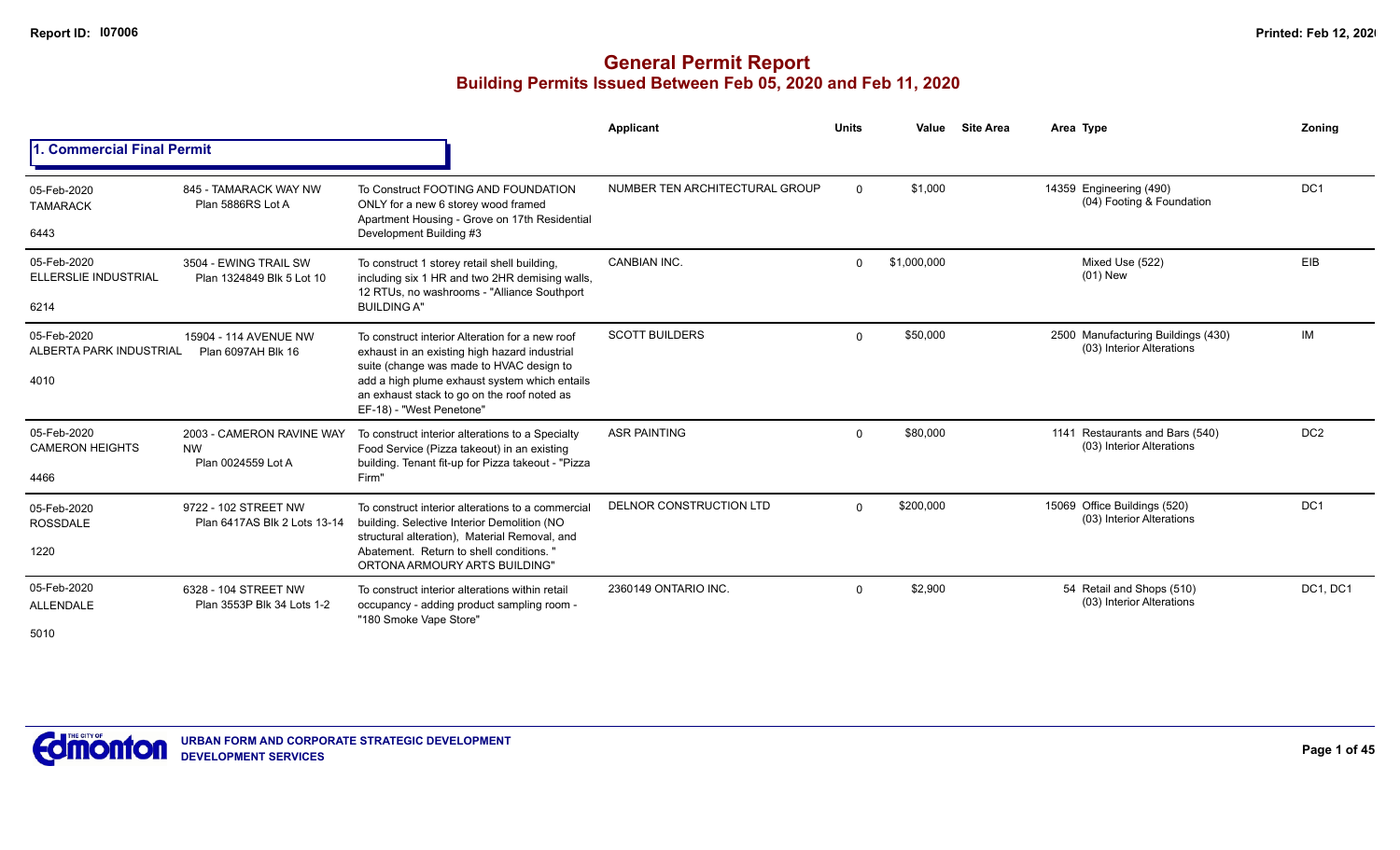|                                                |                                                              |                                                                                                                                                                                                                                                                          | Applicant                      | <b>Units</b> | Value       | <b>Site Area</b> | Area Type                                                       | Zoning          |
|------------------------------------------------|--------------------------------------------------------------|--------------------------------------------------------------------------------------------------------------------------------------------------------------------------------------------------------------------------------------------------------------------------|--------------------------------|--------------|-------------|------------------|-----------------------------------------------------------------|-----------------|
| . Commercial Final Permit                      |                                                              |                                                                                                                                                                                                                                                                          |                                |              |             |                  |                                                                 |                 |
| 05-Feb-2020<br><b>TAMARACK</b><br>6443         | 845 - TAMARACK WAY NW<br>Plan 5886RS Lot A                   | To Construct FOOTING AND FOUNDATION<br>ONLY for a new 6 storey wood framed<br>Apartment Housing - Grove on 17th Residential<br>Development Building #3                                                                                                                   | NUMBER TEN ARCHITECTURAL GROUP | $\Omega$     | \$1,000     |                  | 14359 Engineering (490)<br>(04) Footing & Foundation            | DC <sub>1</sub> |
| 05-Feb-2020<br>ELLERSLIE INDUSTRIAL<br>6214    | 3504 - EWING TRAIL SW<br>Plan 1324849 Blk 5 Lot 10           | To construct 1 storey retail shell building,<br>including six 1 HR and two 2HR demising walls,<br>12 RTUs, no washrooms - "Alliance Southport<br><b>BUILDING A"</b>                                                                                                      | CANBIAN INC.                   | $\Omega$     | \$1,000,000 |                  | Mixed Use (522)<br>$(01)$ New                                   | EIB             |
| 05-Feb-2020<br>ALBERTA PARK INDUSTRIAL<br>4010 | 15904 - 114 AVENUE NW<br>Plan 6097AH Blk 16                  | To construct interior Alteration for a new roof<br>exhaust in an existing high hazard industrial<br>suite (change was made to HVAC design to<br>add a high plume exhaust system which entails<br>an exhaust stack to go on the roof noted as<br>EF-18) - "West Penetone" | <b>SCOTT BUILDERS</b>          | $\Omega$     | \$50,000    |                  | 2500 Manufacturing Buildings (430)<br>(03) Interior Alterations | IM              |
| 05-Feb-2020<br><b>CAMERON HEIGHTS</b><br>4466  | 2003 - CAMERON RAVINE WAY<br><b>NW</b><br>Plan 0024559 Lot A | To construct interior alterations to a Specialty<br>Food Service (Pizza takeout) in an existing<br>building. Tenant fit-up for Pizza takeout - "Pizza<br>Firm"                                                                                                           | <b>ASR PAINTING</b>            | $\Omega$     | \$80,000    |                  | 1141 Restaurants and Bars (540)<br>(03) Interior Alterations    | DC <sub>2</sub> |
| 05-Feb-2020<br><b>ROSSDALE</b><br>1220         | 9722 - 102 STREET NW<br>Plan 6417AS Blk 2 Lots 13-14         | To construct interior alterations to a commercial<br>building. Selective Interior Demolition (NO<br>structural alteration), Material Removal, and<br>Abatement. Return to shell conditions. '<br>ORTONA ARMOURY ARTS BUILDING"                                           | DELNOR CONSTRUCTION LTD        | $\Omega$     | \$200,000   |                  | 15069 Office Buildings (520)<br>(03) Interior Alterations       | DC <sub>1</sub> |
| 05-Feb-2020<br>ALLENDALE<br>5010               | 6328 - 104 STREET NW<br>Plan 3553P Blk 34 Lots 1-2           | To construct interior alterations within retail<br>occupancy - adding product sampling room -<br>"180 Smoke Vape Store"                                                                                                                                                  | 2360149 ONTARIO INC.           | $\Omega$     | \$2,900     |                  | 54 Retail and Shops (510)<br>(03) Interior Alterations          | DC1, DC1        |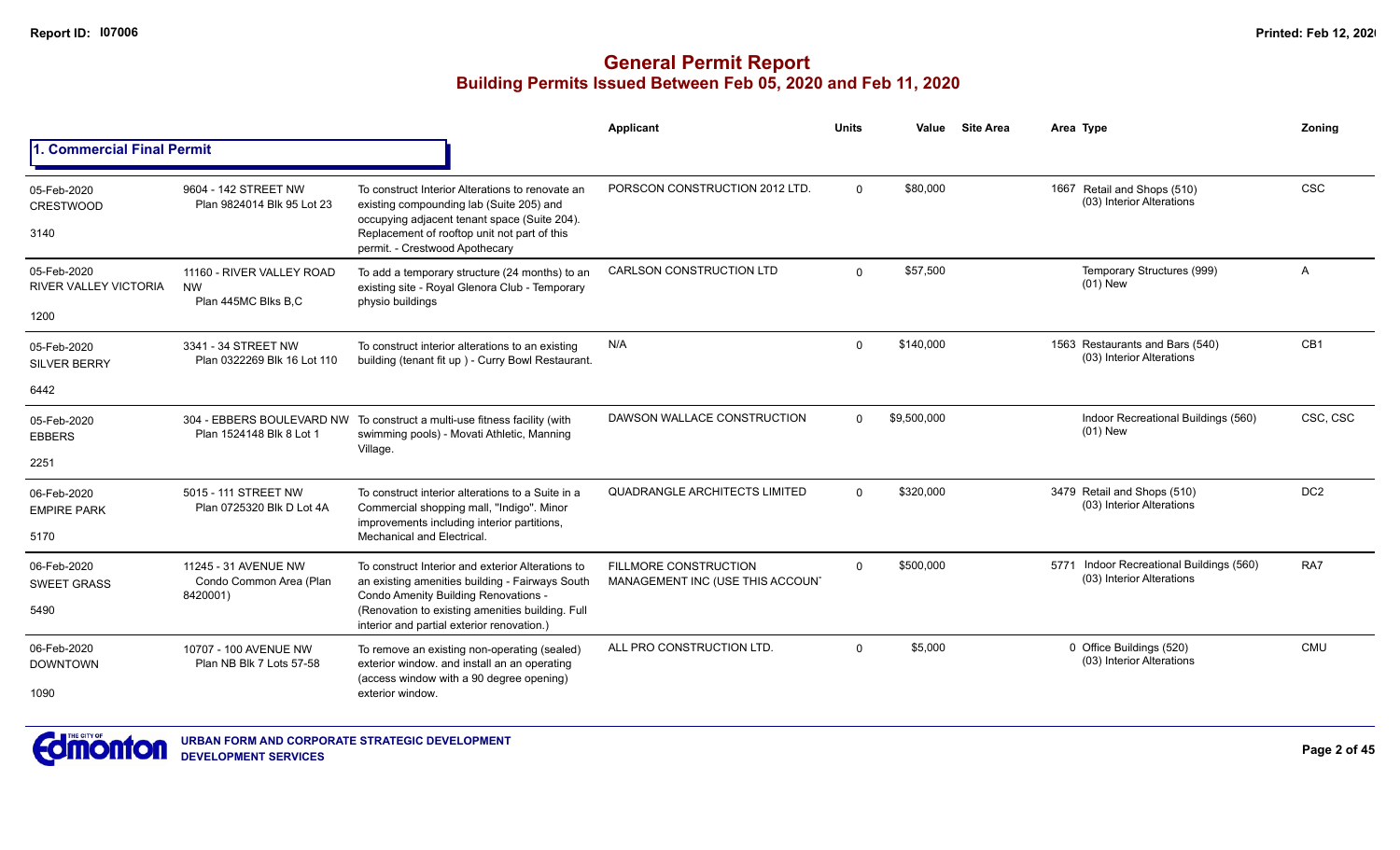|                                                     |                                                               |                                                                                                                                                                                                                                                | Applicant                                                 | <b>Units</b> | Value       | <b>Site Area</b> | Area Type                                                             | Zonina          |
|-----------------------------------------------------|---------------------------------------------------------------|------------------------------------------------------------------------------------------------------------------------------------------------------------------------------------------------------------------------------------------------|-----------------------------------------------------------|--------------|-------------|------------------|-----------------------------------------------------------------------|-----------------|
| 1. Commercial Final Permit                          |                                                               |                                                                                                                                                                                                                                                |                                                           |              |             |                  |                                                                       |                 |
| 05-Feb-2020<br><b>CRESTWOOD</b><br>3140             | 9604 - 142 STREET NW<br>Plan 9824014 Blk 95 Lot 23            | To construct Interior Alterations to renovate an<br>existing compounding lab (Suite 205) and<br>occupying adjacent tenant space (Suite 204).<br>Replacement of rooftop unit not part of this<br>permit. - Crestwood Apothecary                 | PORSCON CONSTRUCTION 2012 LTD.                            | $\Omega$     | \$80,000    |                  | 1667 Retail and Shops (510)<br>(03) Interior Alterations              | <b>CSC</b>      |
| 05-Feb-2020<br><b>RIVER VALLEY VICTORIA</b><br>1200 | 11160 - RIVER VALLEY ROAD<br><b>NW</b><br>Plan 445MC Blks B.C | To add a temporary structure (24 months) to an<br>existing site - Royal Glenora Club - Temporary<br>physio buildings                                                                                                                           | CARLSON CONSTRUCTION LTD                                  | $\Omega$     | \$57,500    |                  | Temporary Structures (999)<br>$(01)$ New                              | A               |
| 05-Feb-2020<br><b>SILVER BERRY</b><br>6442          | 3341 - 34 STREET NW<br>Plan 0322269 Blk 16 Lot 110            | To construct interior alterations to an existing<br>building (tenant fit up) - Curry Bowl Restaurant.                                                                                                                                          | N/A                                                       | $\Omega$     | \$140,000   |                  | 1563 Restaurants and Bars (540)<br>(03) Interior Alterations          | CB1             |
| 05-Feb-2020<br><b>EBBERS</b><br>2251                | Plan 1524148 Blk 8 Lot 1                                      | 304 - EBBERS BOULEVARD NW To construct a multi-use fitness facility (with<br>swimming pools) - Movati Athletic, Manning<br>Village.                                                                                                            | DAWSON WALLACE CONSTRUCTION                               | $\Omega$     | \$9,500,000 |                  | Indoor Recreational Buildings (560)<br>$(01)$ New                     | CSC, CSC        |
| 06-Feb-2020<br><b>EMPIRE PARK</b><br>5170           | 5015 - 111 STREET NW<br>Plan 0725320 Blk D Lot 4A             | To construct interior alterations to a Suite in a<br>Commercial shopping mall, "Indigo". Minor<br>improvements including interior partitions,<br>Mechanical and Electrical.                                                                    | QUADRANGLE ARCHITECTS LIMITED                             | $\Omega$     | \$320,000   |                  | 3479 Retail and Shops (510)<br>(03) Interior Alterations              | DC <sub>2</sub> |
| 06-Feb-2020<br><b>SWEET GRASS</b><br>5490           | 11245 - 31 AVENUE NW<br>Condo Common Area (Plan<br>8420001)   | To construct Interior and exterior Alterations to<br>an existing amenities building - Fairways South<br>Condo Amenity Building Renovations -<br>(Renovation to existing amenities building. Full<br>interior and partial exterior renovation.) | FILLMORE CONSTRUCTION<br>MANAGEMENT INC (USE THIS ACCOUN' | $\Omega$     | \$500,000   |                  | 5771 Indoor Recreational Buildings (560)<br>(03) Interior Alterations | RA7             |
| 06-Feb-2020<br><b>DOWNTOWN</b><br>1090              | 10707 - 100 AVENUE NW<br>Plan NB Blk 7 Lots 57-58             | To remove an existing non-operating (sealed)<br>exterior window. and install an an operating<br>(access window with a 90 degree opening)<br>exterior window.                                                                                   | ALL PRO CONSTRUCTION LTD.                                 | $\Omega$     | \$5,000     |                  | 0 Office Buildings (520)<br>(03) Interior Alterations                 | <b>CMU</b>      |

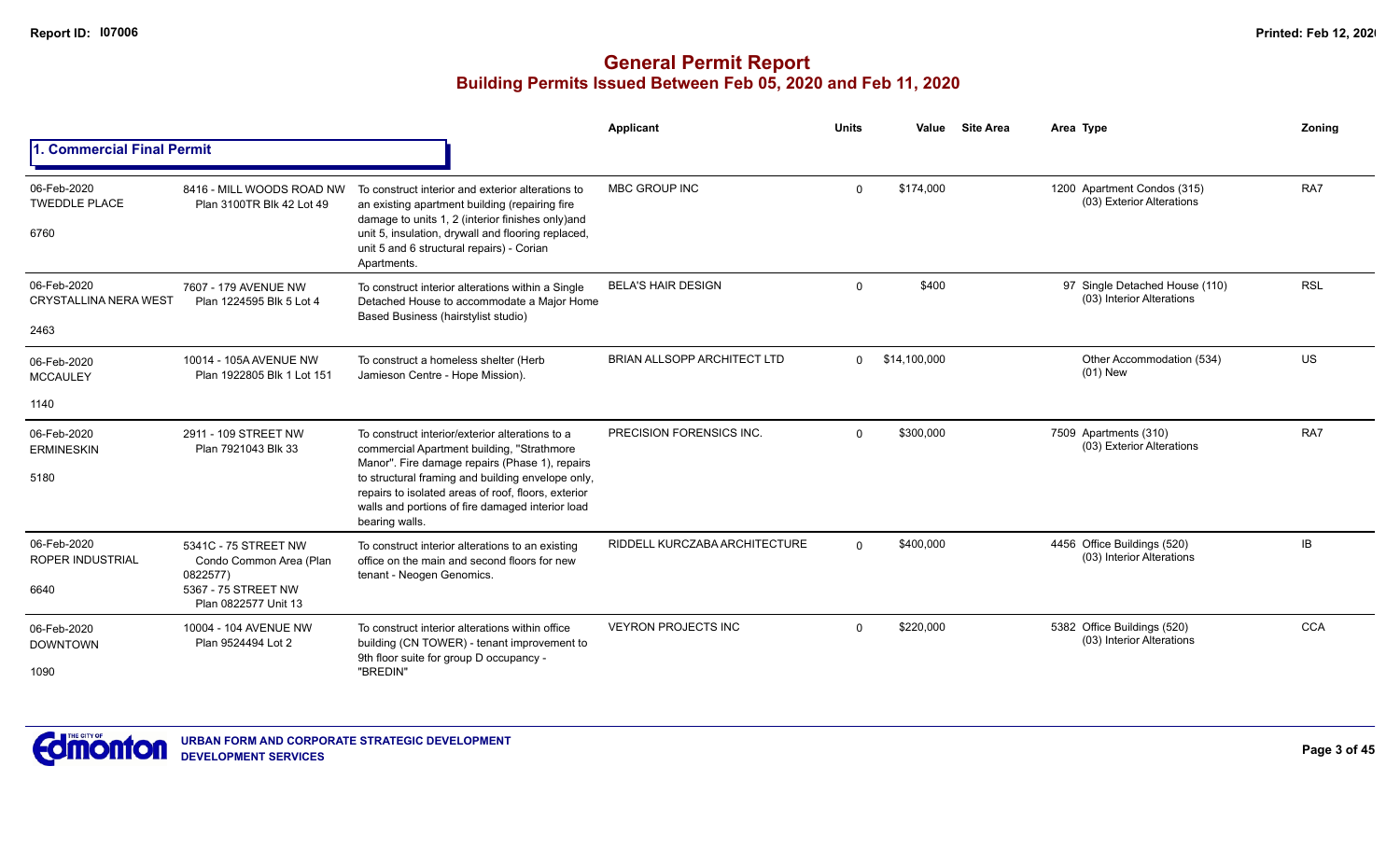|                                                     |                                                                                                            |                                                                                                                                                                                                                                                                                                                                   | Applicant                          | <b>Units</b> | Value        | <b>Site Area</b> | Area Type                                                   | <b>Zoning</b> |
|-----------------------------------------------------|------------------------------------------------------------------------------------------------------------|-----------------------------------------------------------------------------------------------------------------------------------------------------------------------------------------------------------------------------------------------------------------------------------------------------------------------------------|------------------------------------|--------------|--------------|------------------|-------------------------------------------------------------|---------------|
| . Commercial Final Permit                           |                                                                                                            |                                                                                                                                                                                                                                                                                                                                   |                                    |              |              |                  |                                                             |               |
| 06-Feb-2020<br><b>TWEDDLE PLACE</b><br>6760         | 8416 - MILL WOODS ROAD NW<br>Plan 3100TR Blk 42 Lot 49                                                     | To construct interior and exterior alterations to<br>an existing apartment building (repairing fire<br>damage to units 1, 2 (interior finishes only)and<br>unit 5, insulation, drywall and flooring replaced,<br>unit 5 and 6 structural repairs) - Corian<br>Apartments.                                                         | <b>MBC GROUP INC</b>               | $\Omega$     | \$174,000    |                  | 1200 Apartment Condos (315)<br>(03) Exterior Alterations    | RA7           |
| 06-Feb-2020<br><b>CRYSTALLINA NERA WEST</b><br>2463 | 7607 - 179 AVENUE NW<br>Plan 1224595 Blk 5 Lot 4                                                           | To construct interior alterations within a Single<br>Detached House to accommodate a Major Home<br>Based Business (hairstylist studio)                                                                                                                                                                                            | <b>BELA'S HAIR DESIGN</b>          | $\Omega$     | \$400        |                  | 97 Single Detached House (110)<br>(03) Interior Alterations | <b>RSL</b>    |
| 06-Feb-2020<br><b>MCCAULEY</b>                      | 10014 - 105A AVENUE NW<br>Plan 1922805 Blk 1 Lot 151                                                       | To construct a homeless shelter (Herb<br>Jamieson Centre - Hope Mission).                                                                                                                                                                                                                                                         | <b>BRIAN ALLSOPP ARCHITECT LTD</b> | $\Omega$     | \$14,100,000 |                  | Other Accommodation (534)<br>$(01)$ New                     | US            |
| 1140                                                |                                                                                                            |                                                                                                                                                                                                                                                                                                                                   |                                    |              |              |                  |                                                             |               |
| 06-Feb-2020<br><b>ERMINESKIN</b><br>5180            | 2911 - 109 STREET NW<br>Plan 7921043 Blk 33                                                                | To construct interior/exterior alterations to a<br>commercial Apartment building, "Strathmore<br>Manor". Fire damage repairs (Phase 1), repairs<br>to structural framing and building envelope only,<br>repairs to isolated areas of roof, floors, exterior<br>walls and portions of fire damaged interior load<br>bearing walls. | <b>PRECISION FORENSICS INC.</b>    | $\Omega$     | \$300,000    |                  | 7509 Apartments (310)<br>(03) Exterior Alterations          | RA7           |
| 06-Feb-2020<br><b>ROPER INDUSTRIAL</b><br>6640      | 5341C - 75 STREET NW<br>Condo Common Area (Plan<br>0822577)<br>5367 - 75 STREET NW<br>Plan 0822577 Unit 13 | To construct interior alterations to an existing<br>office on the main and second floors for new<br>tenant - Neogen Genomics.                                                                                                                                                                                                     | RIDDELL KURCZABA ARCHITECTURE      | $\Omega$     | \$400,000    |                  | 4456 Office Buildings (520)<br>(03) Interior Alterations    | <b>IB</b>     |
| 06-Feb-2020<br><b>DOWNTOWN</b><br>1090              | 10004 - 104 AVENUE NW<br>Plan 9524494 Lot 2                                                                | To construct interior alterations within office<br>building (CN TOWER) - tenant improvement to<br>9th floor suite for group D occupancy -<br>"BREDIN"                                                                                                                                                                             | <b>VEYRON PROJECTS INC</b>         | $\Omega$     | \$220,000    |                  | 5382 Office Buildings (520)<br>(03) Interior Alterations    | <b>CCA</b>    |

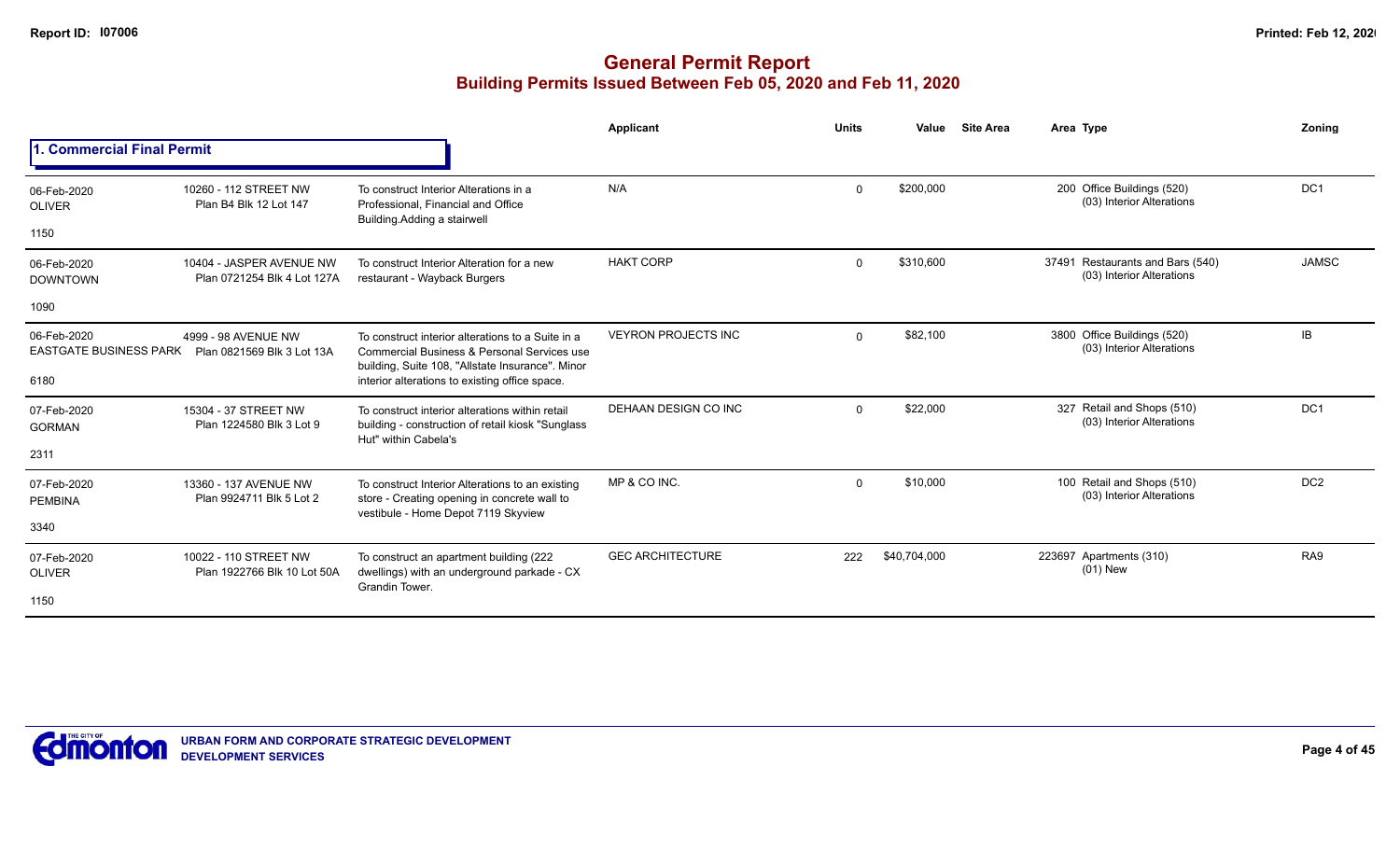|                                |                                                                          |                                                                                                                                                      | Applicant                  | <b>Units</b> | Value        | <b>Site Area</b> | Area Type                                                     | Zoning          |
|--------------------------------|--------------------------------------------------------------------------|------------------------------------------------------------------------------------------------------------------------------------------------------|----------------------------|--------------|--------------|------------------|---------------------------------------------------------------|-----------------|
| 1. Commercial Final Permit     |                                                                          |                                                                                                                                                      |                            |              |              |                  |                                                               |                 |
| 06-Feb-2020<br><b>OLIVER</b>   | 10260 - 112 STREET NW<br>Plan B4 Blk 12 Lot 147                          | To construct Interior Alterations in a<br>Professional, Financial and Office<br>Building. Adding a stairwell                                         | N/A                        | $\Omega$     | \$200.000    |                  | 200 Office Buildings (520)<br>(03) Interior Alterations       | DC <sub>1</sub> |
| 1150                           |                                                                          |                                                                                                                                                      |                            |              |              |                  |                                                               |                 |
| 06-Feb-2020<br><b>DOWNTOWN</b> | 10404 - JASPER AVENUE NW<br>Plan 0721254 Blk 4 Lot 127A                  | To construct Interior Alteration for a new<br>restaurant - Wayback Burgers                                                                           | <b>HAKT CORP</b>           | $\Omega$     | \$310,600    |                  | 37491 Restaurants and Bars (540)<br>(03) Interior Alterations | <b>JAMSC</b>    |
| 1090                           |                                                                          |                                                                                                                                                      |                            |              |              |                  |                                                               |                 |
| 06-Feb-2020                    | 4999 - 98 AVENUE NW<br>EASTGATE BUSINESS PARK Plan 0821569 Blk 3 Lot 13A | To construct interior alterations to a Suite in a<br>Commercial Business & Personal Services use<br>building, Suite 108, "Allstate Insurance". Minor | <b>VEYRON PROJECTS INC</b> | $\Omega$     | \$82,100     |                  | 3800 Office Buildings (520)<br>(03) Interior Alterations      | IB              |
| 6180                           |                                                                          | interior alterations to existing office space.                                                                                                       |                            |              |              |                  |                                                               |                 |
| 07-Feb-2020<br><b>GORMAN</b>   | 15304 - 37 STREET NW<br>Plan 1224580 Blk 3 Lot 9                         | To construct interior alterations within retail<br>building - construction of retail kiosk "Sunglass"<br>Hut" within Cabela's                        | DEHAAN DESIGN CO INC       | $\Omega$     | \$22,000     |                  | 327 Retail and Shops (510)<br>(03) Interior Alterations       | DC <sub>1</sub> |
| 2311                           |                                                                          |                                                                                                                                                      |                            |              |              |                  |                                                               |                 |
| 07-Feb-2020<br><b>PEMBINA</b>  | 13360 - 137 AVENUE NW<br>Plan 9924711 Blk 5 Lot 2                        | To construct Interior Alterations to an existing<br>store - Creating opening in concrete wall to<br>vestibule - Home Depot 7119 Skyview              | MP & CO INC.               | $\Omega$     | \$10,000     |                  | 100 Retail and Shops (510)<br>(03) Interior Alterations       | DC <sub>2</sub> |
| 3340                           |                                                                          |                                                                                                                                                      |                            |              |              |                  |                                                               |                 |
| 07-Feb-2020<br><b>OLIVER</b>   | 10022 - 110 STREET NW<br>Plan 1922766 Blk 10 Lot 50A                     | To construct an apartment building (222<br>dwellings) with an underground parkade - CX<br>Grandin Tower.                                             | <b>GEC ARCHITECTURE</b>    | 222          | \$40,704,000 |                  | 223697 Apartments (310)<br>$(01)$ New                         | RA9             |
| 1150                           |                                                                          |                                                                                                                                                      |                            |              |              |                  |                                                               |                 |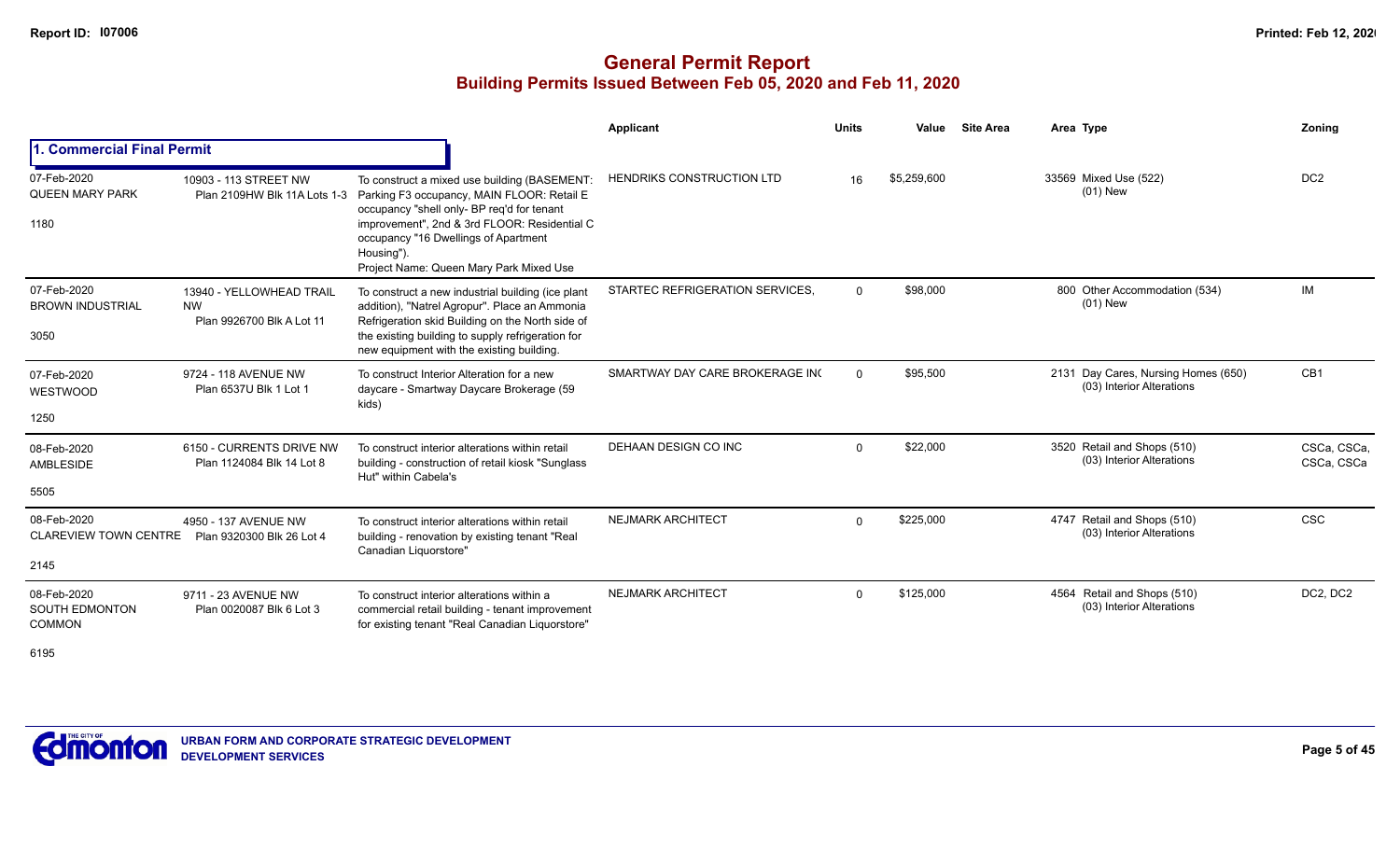## **General Permit Report Building Permits Issued Between Feb 05, 2020 and Feb 11, 2020**

|                                                       |                                                                    |                                                                                                                                                                                                                                                                                           | Applicant                        | <b>Units</b> | Value       | <b>Site Area</b> | Area Type                                                        | Zoning                    |
|-------------------------------------------------------|--------------------------------------------------------------------|-------------------------------------------------------------------------------------------------------------------------------------------------------------------------------------------------------------------------------------------------------------------------------------------|----------------------------------|--------------|-------------|------------------|------------------------------------------------------------------|---------------------------|
| . Commercial Final Permit                             |                                                                    |                                                                                                                                                                                                                                                                                           |                                  |              |             |                  |                                                                  |                           |
| 07-Feb-2020<br><b>QUEEN MARY PARK</b><br>1180         | 10903 - 113 STREET NW<br>Plan 2109HW Blk 11A Lots 1-3              | To construct a mixed use building (BASEMENT:<br>Parking F3 occupancy, MAIN FLOOR: Retail E<br>occupancy "shell only- BP req'd for tenant<br>improvement", 2nd & 3rd FLOOR: Residential C<br>occupancy "16 Dwellings of Apartment<br>Housing").<br>Project Name: Queen Mary Park Mixed Use | <b>HENDRIKS CONSTRUCTION LTD</b> | 16           | \$5,259,600 |                  | 33569 Mixed Use (522)<br>$(01)$ New                              | DC <sub>2</sub>           |
| 07-Feb-2020<br><b>BROWN INDUSTRIAL</b><br>3050        | 13940 - YELLOWHEAD TRAIL<br><b>NW</b><br>Plan 9926700 Blk A Lot 11 | To construct a new industrial building (ice plant<br>addition), "Natrel Agropur". Place an Ammonia<br>Refrigeration skid Building on the North side of<br>the existing building to supply refrigeration for<br>new equipment with the existing building.                                  | STARTEC REFRIGERATION SERVICES,  | $\Omega$     | \$98,000    |                  | 800 Other Accommodation (534)<br>$(01)$ New                      | IM                        |
| 07-Feb-2020<br>WESTWOOD<br>1250                       | 9724 - 118 AVENUE NW<br>Plan 6537U Blk 1 Lot 1                     | To construct Interior Alteration for a new<br>daycare - Smartway Daycare Brokerage (59<br>kids)                                                                                                                                                                                           | SMARTWAY DAY CARE BROKERAGE INC  | $\Omega$     | \$95,500    |                  | 2131 Day Cares, Nursing Homes (650)<br>(03) Interior Alterations | CB1                       |
| 08-Feb-2020<br>AMBLESIDE<br>5505                      | 6150 - CURRENTS DRIVE NW<br>Plan 1124084 Blk 14 Lot 8              | To construct interior alterations within retail<br>building - construction of retail kiosk "Sunglass"<br>Hut" within Cabela's                                                                                                                                                             | DEHAAN DESIGN CO INC             | $\Omega$     | \$22,000    |                  | 3520 Retail and Shops (510)<br>(03) Interior Alterations         | CSCa, CSCa,<br>CSCa, CSCa |
| 08-Feb-2020<br><b>CLAREVIEW TOWN CENTRE</b><br>2145   | 4950 - 137 AVENUE NW<br>Plan 9320300 Blk 26 Lot 4                  | To construct interior alterations within retail<br>building - renovation by existing tenant "Real<br>Canadian Liquorstore"                                                                                                                                                                | <b>NEJMARK ARCHITECT</b>         | $\Omega$     | \$225,000   |                  | 4747 Retail and Shops (510)<br>(03) Interior Alterations         | <b>CSC</b>                |
| 08-Feb-2020<br><b>SOUTH EDMONTON</b><br><b>COMMON</b> | 9711 - 23 AVENUE NW<br>Plan 0020087 Blk 6 Lot 3                    | To construct interior alterations within a<br>commercial retail building - tenant improvement<br>for existing tenant "Real Canadian Liquorstore"                                                                                                                                          | <b>NEJMARK ARCHITECT</b>         | $\Omega$     | \$125,000   |                  | 4564 Retail and Shops (510)<br>(03) Interior Alterations         | DC2, DC2                  |

6195

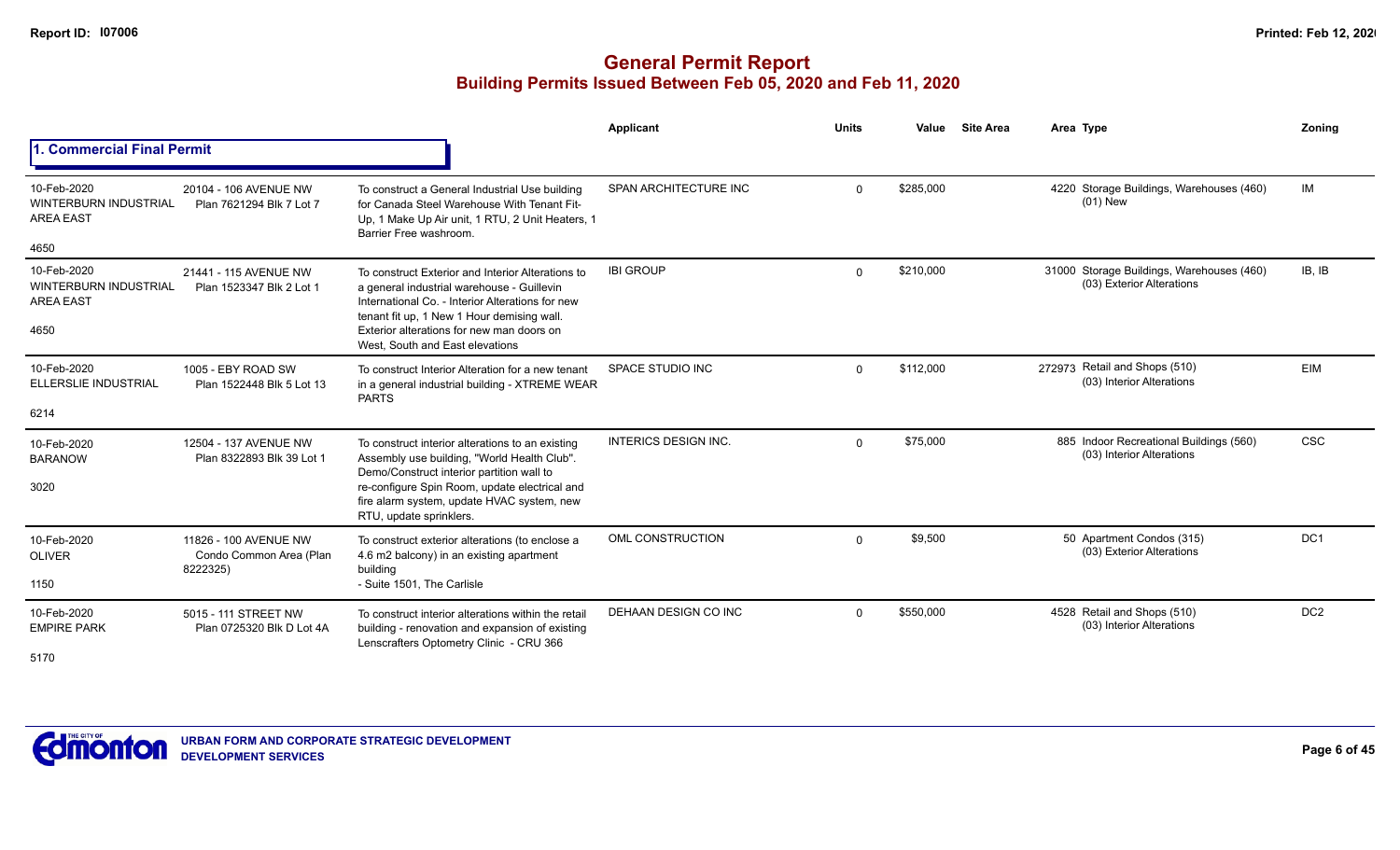|                                                                         |                                                              |                                                                                                                                                                                                                                                                                  | Applicant                   | <b>Units</b> | Value     | <b>Site Area</b> | Area Type                                                              | Zonina          |
|-------------------------------------------------------------------------|--------------------------------------------------------------|----------------------------------------------------------------------------------------------------------------------------------------------------------------------------------------------------------------------------------------------------------------------------------|-----------------------------|--------------|-----------|------------------|------------------------------------------------------------------------|-----------------|
| <b>Commercial Final Permit</b>                                          |                                                              |                                                                                                                                                                                                                                                                                  |                             |              |           |                  |                                                                        |                 |
| 10-Feb-2020<br><b>WINTERBURN INDUSTRIAL</b><br><b>AREA EAST</b><br>4650 | 20104 - 106 AVENUE NW<br>Plan 7621294 Blk 7 Lot 7            | To construct a General Industrial Use building<br>for Canada Steel Warehouse With Tenant Fit-<br>Up, 1 Make Up Air unit, 1 RTU, 2 Unit Heaters, 1<br>Barrier Free washroom.                                                                                                      | SPAN ARCHITECTURE INC       | $\Omega$     | \$285,000 |                  | 4220 Storage Buildings, Warehouses (460)<br>$(01)$ New                 | IM              |
| 10-Feb-2020<br><b>WINTERBURN INDUSTRIAL</b><br><b>AREA EAST</b><br>4650 | 21441 - 115 AVENUE NW<br>Plan 1523347 Blk 2 Lot 1            | To construct Exterior and Interior Alterations to<br>a general industrial warehouse - Guillevin<br>International Co. - Interior Alterations for new<br>tenant fit up, 1 New 1 Hour demising wall<br>Exterior alterations for new man doors on<br>West, South and East elevations | <b>IBI GROUP</b>            | $\Omega$     | \$210,000 |                  | 31000 Storage Buildings, Warehouses (460)<br>(03) Exterior Alterations | IB, IB          |
| 10-Feb-2020<br><b>ELLERSLIE INDUSTRIAL</b><br>6214                      | 1005 - EBY ROAD SW<br>Plan 1522448 Blk 5 Lot 13              | To construct Interior Alteration for a new tenant<br>in a general industrial building - XTREME WEAR<br><b>PARTS</b>                                                                                                                                                              | SPACE STUDIO INC            | $\Omega$     | \$112,000 |                  | 272973 Retail and Shops (510)<br>(03) Interior Alterations             | EIM             |
| 10-Feb-2020<br><b>BARANOW</b><br>3020                                   | 12504 - 137 AVENUE NW<br>Plan 8322893 Blk 39 Lot 1           | To construct interior alterations to an existing<br>Assembly use building, "World Health Club".<br>Demo/Construct interior partition wall to<br>re-configure Spin Room, update electrical and<br>fire alarm system, update HVAC system, new<br>RTU, update sprinklers.           | <b>INTERICS DESIGN INC.</b> | $\Omega$     | \$75,000  |                  | 885 Indoor Recreational Buildings (560)<br>(03) Interior Alterations   | <b>CSC</b>      |
| 10-Feb-2020<br><b>OLIVER</b><br>1150                                    | 11826 - 100 AVENUE NW<br>Condo Common Area (Plan<br>8222325) | To construct exterior alterations (to enclose a<br>4.6 m2 balcony) in an existing apartment<br>building<br>- Suite 1501, The Carlisle                                                                                                                                            | OML CONSTRUCTION            | $\mathbf 0$  | \$9,500   |                  | 50 Apartment Condos (315)<br>(03) Exterior Alterations                 | DC <sub>1</sub> |
| 10-Feb-2020<br><b>EMPIRE PARK</b><br>5170                               | 5015 - 111 STREET NW<br>Plan 0725320 Blk D Lot 4A            | To construct interior alterations within the retail<br>building - renovation and expansion of existing<br>Lenscrafters Optometry Clinic - CRU 366                                                                                                                                | DEHAAN DESIGN CO INC        | $\Omega$     | \$550,000 |                  | 4528 Retail and Shops (510)<br>(03) Interior Alterations               | DC <sub>2</sub> |

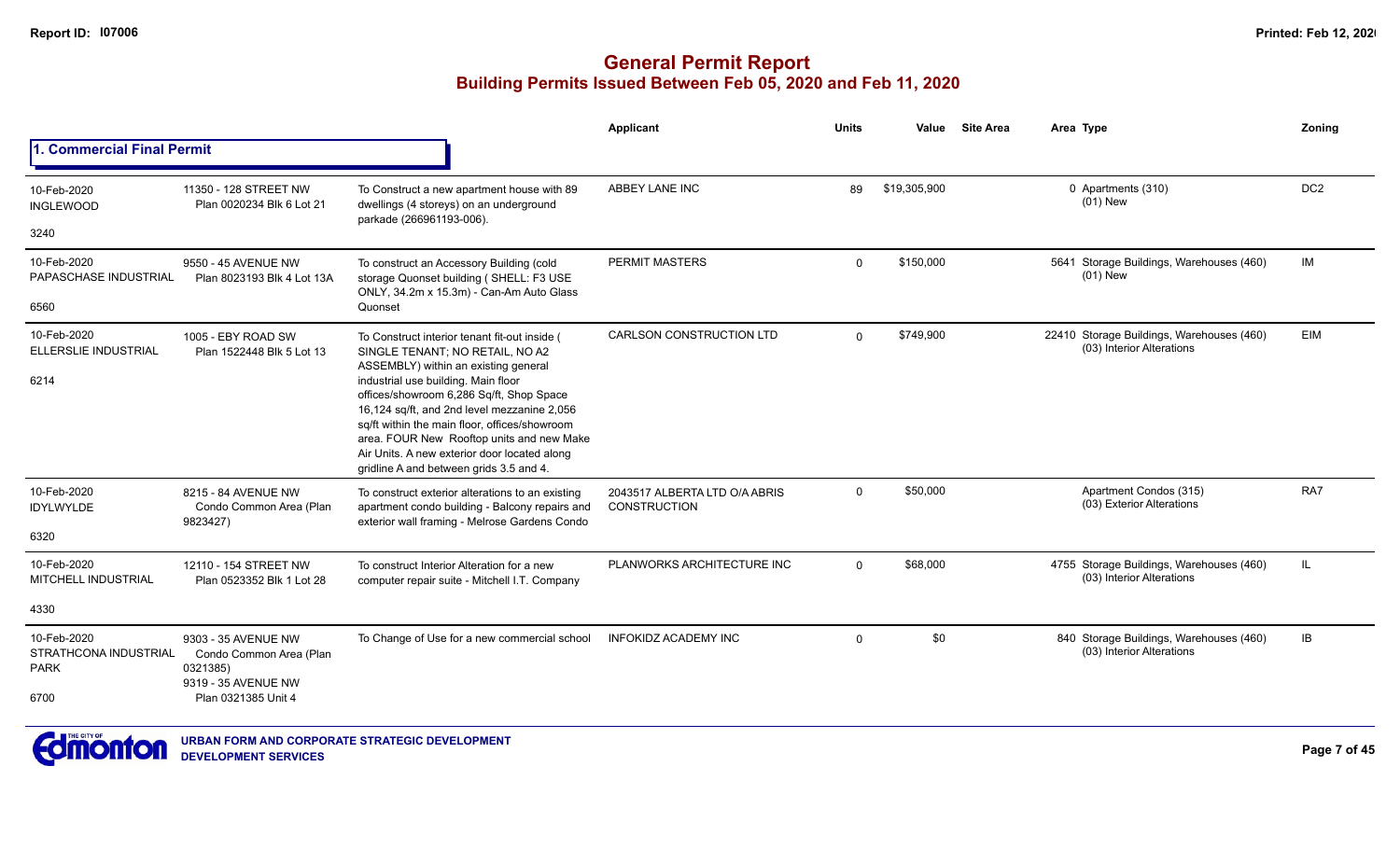|                                                             |                                                                                                          |                                                                                                                                                                                                                                                                                                                         | Applicant                                            | <b>Units</b> | Value        | <b>Site Area</b> | Area Type                                                              | Zoning          |
|-------------------------------------------------------------|----------------------------------------------------------------------------------------------------------|-------------------------------------------------------------------------------------------------------------------------------------------------------------------------------------------------------------------------------------------------------------------------------------------------------------------------|------------------------------------------------------|--------------|--------------|------------------|------------------------------------------------------------------------|-----------------|
| 1. Commercial Final Permit                                  |                                                                                                          |                                                                                                                                                                                                                                                                                                                         |                                                      |              |              |                  |                                                                        |                 |
| 10-Feb-2020<br><b>INGLEWOOD</b>                             | 11350 - 128 STREET NW<br>Plan 0020234 Blk 6 Lot 21                                                       | To Construct a new apartment house with 89<br>dwellings (4 storeys) on an underground                                                                                                                                                                                                                                   | ABBEY LANE INC                                       | 89           | \$19,305,900 |                  | 0 Apartments (310)<br>$(01)$ New                                       | DC <sub>2</sub> |
| 3240                                                        |                                                                                                          | parkade (266961193-006).                                                                                                                                                                                                                                                                                                |                                                      |              |              |                  |                                                                        |                 |
| 10-Feb-2020<br>PAPASCHASE INDUSTRIAL                        | 9550 - 45 AVENUE NW<br>Plan 8023193 Blk 4 Lot 13A                                                        | To construct an Accessory Building (cold<br>storage Quonset building (SHELL: F3 USE<br>ONLY, 34.2m x 15.3m) - Can-Am Auto Glass                                                                                                                                                                                         | <b>PERMIT MASTERS</b>                                | $\mathbf{0}$ | \$150,000    |                  | 5641 Storage Buildings, Warehouses (460)<br>$(01)$ New                 | IM              |
| 6560                                                        |                                                                                                          | Quonset                                                                                                                                                                                                                                                                                                                 |                                                      |              |              |                  |                                                                        |                 |
| 10-Feb-2020<br><b>ELLERSLIE INDUSTRIAL</b>                  | 1005 - EBY ROAD SW<br>Plan 1522448 Blk 5 Lot 13                                                          | To Construct interior tenant fit-out inside (<br>SINGLE TENANT; NO RETAIL, NO A2<br>ASSEMBLY) within an existing general                                                                                                                                                                                                | <b>CARLSON CONSTRUCTION LTD</b>                      | $\Omega$     | \$749,900    |                  | 22410 Storage Buildings, Warehouses (460)<br>(03) Interior Alterations | EIM             |
| 6214                                                        |                                                                                                          | industrial use building. Main floor<br>offices/showroom 6,286 Sq/ft, Shop Space<br>16,124 sq/ft, and 2nd level mezzanine 2,056<br>sq/ft within the main floor, offices/showroom<br>area. FOUR New Rooftop units and new Make<br>Air Units. A new exterior door located along<br>gridline A and between grids 3.5 and 4. |                                                      |              |              |                  |                                                                        |                 |
| 10-Feb-2020<br><b>IDYLWYLDE</b>                             | 8215 - 84 AVENUE NW<br>Condo Common Area (Plan<br>9823427)                                               | To construct exterior alterations to an existing<br>apartment condo building - Balcony repairs and<br>exterior wall framing - Melrose Gardens Condo                                                                                                                                                                     | 2043517 ALBERTA LTD O/A ABRIS<br><b>CONSTRUCTION</b> | $\mathbf{0}$ | \$50,000     |                  | Apartment Condos (315)<br>(03) Exterior Alterations                    | RA7             |
| 6320                                                        |                                                                                                          |                                                                                                                                                                                                                                                                                                                         |                                                      |              |              |                  |                                                                        |                 |
| 10-Feb-2020<br>MITCHELL INDUSTRIAL                          | 12110 - 154 STREET NW<br>Plan 0523352 Blk 1 Lot 28                                                       | To construct Interior Alteration for a new<br>computer repair suite - Mitchell I.T. Company                                                                                                                                                                                                                             | PLANWORKS ARCHITECTURE INC                           | $\Omega$     | \$68,000     |                  | 4755 Storage Buildings, Warehouses (460)<br>(03) Interior Alterations  | IL.             |
| 4330                                                        |                                                                                                          |                                                                                                                                                                                                                                                                                                                         |                                                      |              |              |                  |                                                                        |                 |
| 10-Feb-2020<br>STRATHCONA INDUSTRIAL<br><b>PARK</b><br>6700 | 9303 - 35 AVENUE NW<br>Condo Common Area (Plan<br>0321385)<br>9319 - 35 AVENUE NW<br>Plan 0321385 Unit 4 | To Change of Use for a new commercial school                                                                                                                                                                                                                                                                            | <b>INFOKIDZ ACADEMY INC</b>                          | $\Omega$     | \$0          |                  | 840 Storage Buildings, Warehouses (460)<br>(03) Interior Alterations   | IB              |

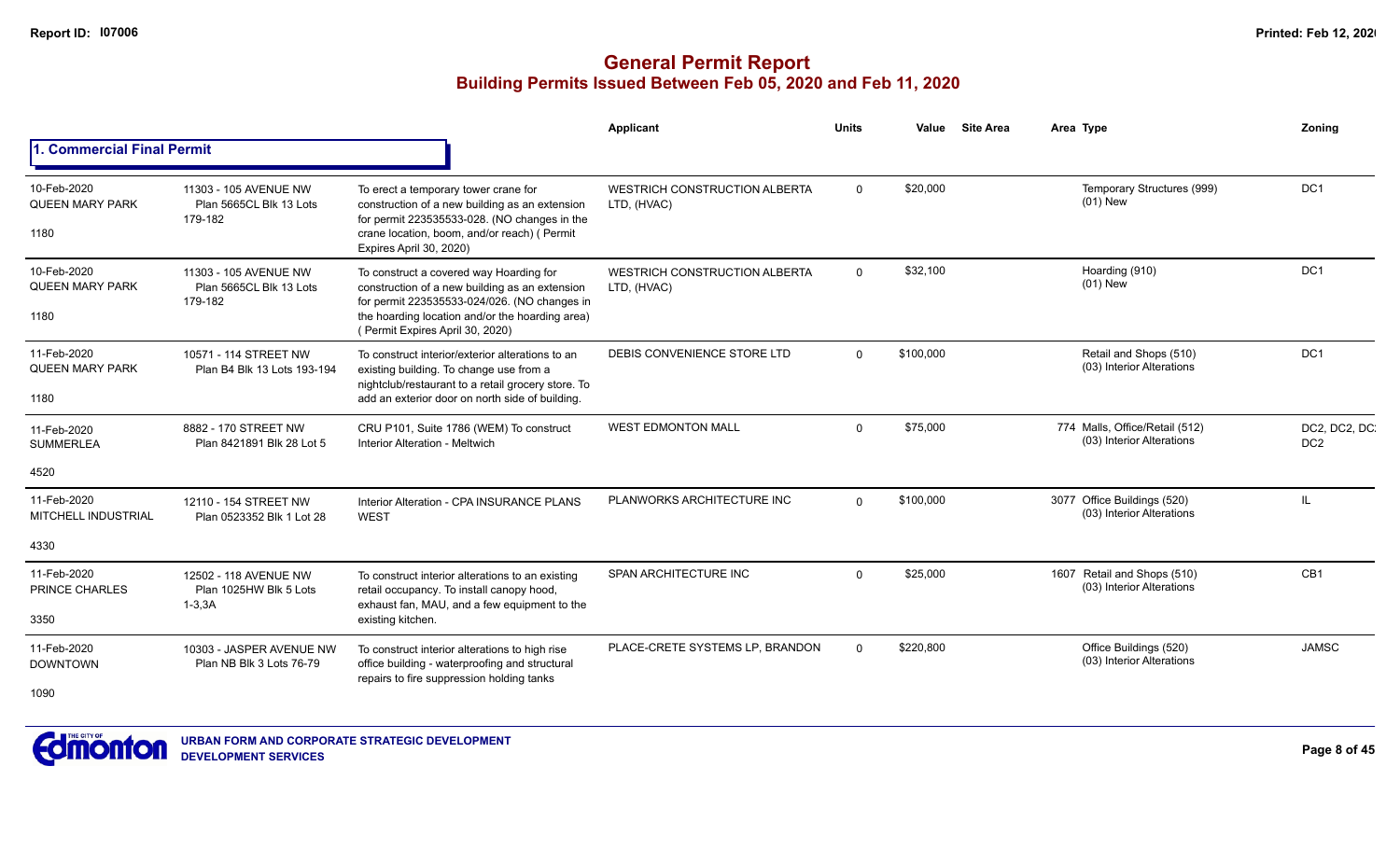|                                                   |                                                                |                                                                                                                                                                                                                                 | Applicant                                           | Units       | Value     | <b>Site Area</b> | Area Type                                                   | Zoning                           |
|---------------------------------------------------|----------------------------------------------------------------|---------------------------------------------------------------------------------------------------------------------------------------------------------------------------------------------------------------------------------|-----------------------------------------------------|-------------|-----------|------------------|-------------------------------------------------------------|----------------------------------|
| 1. Commercial Final Permit                        |                                                                |                                                                                                                                                                                                                                 |                                                     |             |           |                  |                                                             |                                  |
| 10-Feb-2020<br>QUEEN MARY PARK<br>1180            | 11303 - 105 AVENUE NW<br>Plan 5665CL Blk 13 Lots<br>179-182    | To erect a temporary tower crane for<br>construction of a new building as an extension<br>for permit 223535533-028. (NO changes in the<br>crane location, boom, and/or reach) ( Permit<br>Expires April 30, 2020)               | <b>WESTRICH CONSTRUCTION ALBERTA</b><br>LTD, (HVAC) | $\mathbf 0$ | \$20,000  |                  | Temporary Structures (999)<br>$(01)$ New                    | DC <sub>1</sub>                  |
| 10-Feb-2020<br>QUEEN MARY PARK<br>1180            | 11303 - 105 AVENUE NW<br>Plan 5665CL Blk 13 Lots<br>179-182    | To construct a covered way Hoarding for<br>construction of a new building as an extension<br>for permit 223535533-024/026. (NO changes in<br>the hoarding location and/or the hoarding area)<br>(Permit Expires April 30, 2020) | <b>WESTRICH CONSTRUCTION ALBERTA</b><br>LTD, (HVAC) | $\Omega$    | \$32,100  |                  | Hoarding (910)<br>$(01)$ New                                | DC <sub>1</sub>                  |
| 11-Feb-2020<br>QUEEN MARY PARK<br>1180            | 10571 - 114 STREET NW<br>Plan B4 Blk 13 Lots 193-194           | To construct interior/exterior alterations to an<br>existing building. To change use from a<br>nightclub/restaurant to a retail grocery store. To<br>add an exterior door on north side of building.                            | DEBIS CONVENIENCE STORE LTD                         | $\Omega$    | \$100,000 |                  | Retail and Shops (510)<br>(03) Interior Alterations         | DC <sub>1</sub>                  |
| 11-Feb-2020<br><b>SUMMERLEA</b><br>4520           | 8882 - 170 STREET NW<br>Plan 8421891 Blk 28 Lot 5              | CRU P101, Suite 1786 (WEM) To construct<br><b>Interior Alteration - Meltwich</b>                                                                                                                                                | <b>WEST EDMONTON MALL</b>                           | $\Omega$    | \$75,000  |                  | 774 Malls, Office/Retail (512)<br>(03) Interior Alterations | DC2, DC2, DC.<br>DC <sub>2</sub> |
| 11-Feb-2020<br><b>MITCHELL INDUSTRIAL</b><br>4330 | 12110 - 154 STREET NW<br>Plan 0523352 Blk 1 Lot 28             | Interior Alteration - CPA INSURANCE PLANS<br><b>WEST</b>                                                                                                                                                                        | PLANWORKS ARCHITECTURE INC                          | $\Omega$    | \$100,000 |                  | 3077 Office Buildings (520)<br>(03) Interior Alterations    | <b>IL</b>                        |
| 11-Feb-2020<br>PRINCE CHARLES<br>3350             | 12502 - 118 AVENUE NW<br>Plan 1025HW Blk 5 Lots<br>$1 - 3, 3A$ | To construct interior alterations to an existing<br>retail occupancy. To install canopy hood,<br>exhaust fan, MAU, and a few equipment to the<br>existing kitchen.                                                              | SPAN ARCHITECTURE INC                               | $\Omega$    | \$25,000  |                  | 1607 Retail and Shops (510)<br>(03) Interior Alterations    | CB <sub>1</sub>                  |
| 11-Feb-2020<br><b>DOWNTOWN</b><br>1090            | 10303 - JASPER AVENUE NW<br>Plan NB Blk 3 Lots 76-79           | To construct interior alterations to high rise<br>office building - waterproofing and structural<br>repairs to fire suppression holding tanks                                                                                   | PLACE-CRETE SYSTEMS LP, BRANDON                     | $\Omega$    | \$220,800 |                  | Office Buildings (520)<br>(03) Interior Alterations         | <b>JAMSC</b>                     |

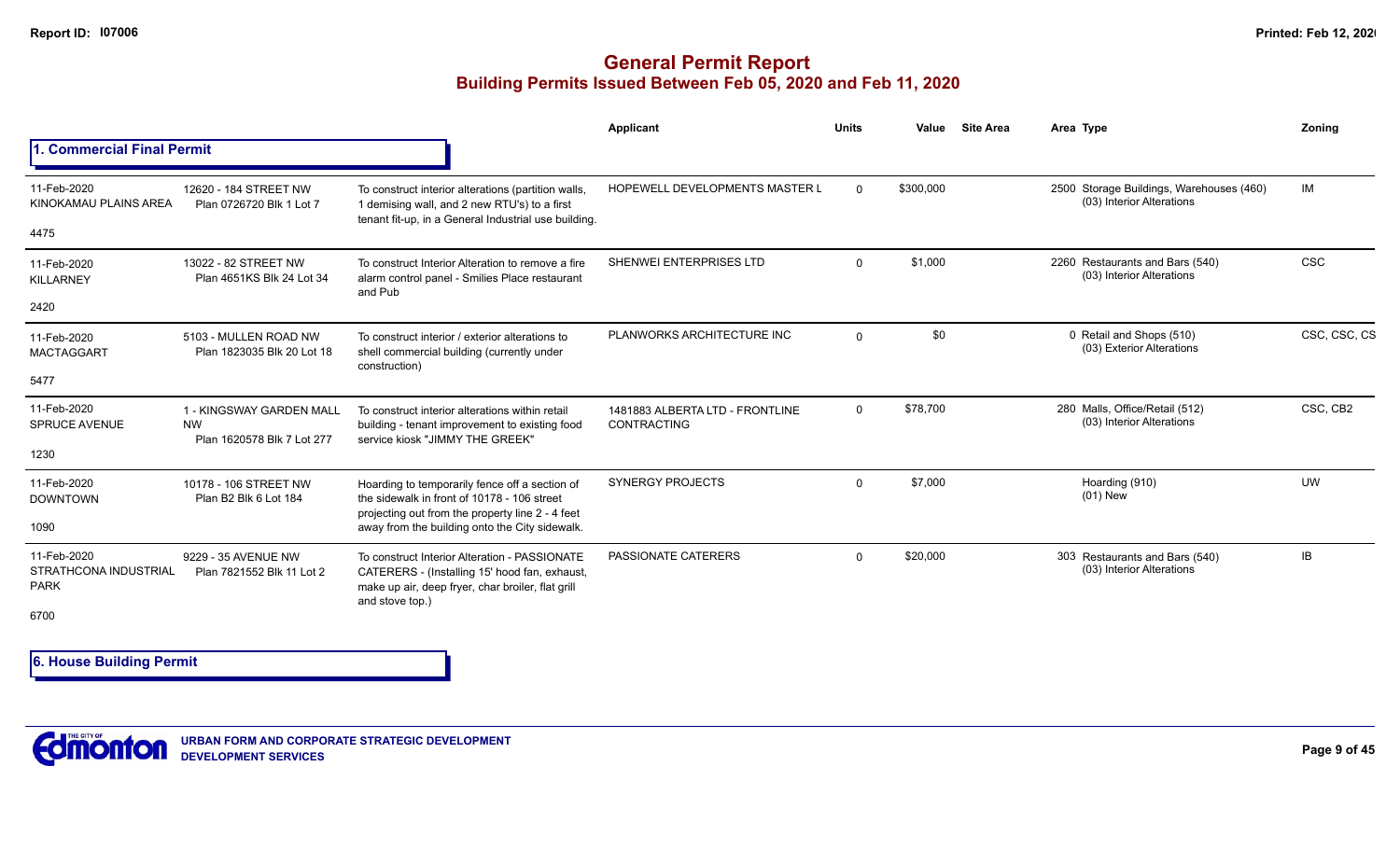## **General Permit Report Building Permits Issued Between Feb 05, 2020 and Feb 11, 2020**

|                                                             |                                                                     |                                                                                                                                                                        | Applicant                                             | <b>Units</b> | Value     | <b>Site Area</b> | Area Type                                                             | Zoning       |
|-------------------------------------------------------------|---------------------------------------------------------------------|------------------------------------------------------------------------------------------------------------------------------------------------------------------------|-------------------------------------------------------|--------------|-----------|------------------|-----------------------------------------------------------------------|--------------|
| <b>Commercial Final Permit</b>                              |                                                                     |                                                                                                                                                                        |                                                       |              |           |                  |                                                                       |              |
| 11-Feb-2020<br>KINOKAMAU PLAINS AREA                        | 12620 - 184 STREET NW<br>Plan 0726720 Blk 1 Lot 7                   | To construct interior alterations (partition walls,<br>1 demising wall, and 2 new RTU's) to a first<br>tenant fit-up, in a General Industrial use building.            | <b>HOPEWELL DEVELOPMENTS MASTER L</b>                 | $\Omega$     | \$300,000 |                  | 2500 Storage Buildings, Warehouses (460)<br>(03) Interior Alterations | IM           |
| 4475                                                        |                                                                     |                                                                                                                                                                        |                                                       |              |           |                  |                                                                       |              |
| 11-Feb-2020<br><b>KILLARNEY</b>                             | 13022 - 82 STREET NW<br>Plan 4651KS Blk 24 Lot 34                   | To construct Interior Alteration to remove a fire<br>alarm control panel - Smilies Place restaurant<br>and Pub                                                         | SHENWEI ENTERPRISES LTD                               | $\Omega$     | \$1,000   |                  | 2260 Restaurants and Bars (540)<br>(03) Interior Alterations          | <b>CSC</b>   |
| 2420                                                        |                                                                     |                                                                                                                                                                        |                                                       |              |           |                  |                                                                       |              |
| 11-Feb-2020<br><b>MACTAGGART</b>                            | 5103 - MULLEN ROAD NW<br>Plan 1823035 Blk 20 Lot 18                 | To construct interior / exterior alterations to<br>shell commercial building (currently under                                                                          | PLANWORKS ARCHITECTURE INC                            | $\Omega$     | \$0       |                  | 0 Retail and Shops (510)<br>(03) Exterior Alterations                 | CSC, CSC, CS |
| 5477                                                        |                                                                     | construction)                                                                                                                                                          |                                                       |              |           |                  |                                                                       |              |
| 11-Feb-2020<br><b>SPRUCE AVENUE</b>                         | 1 - KINGSWAY GARDEN MALL<br><b>NW</b><br>Plan 1620578 Blk 7 Lot 277 | To construct interior alterations within retail<br>building - tenant improvement to existing food<br>service kiosk "JIMMY THE GREEK"                                   | 1481883 ALBERTA LTD - FRONTLINE<br><b>CONTRACTING</b> | $\mathbf 0$  | \$78,700  |                  | 280 Malls, Office/Retail (512)<br>(03) Interior Alterations           | CSC, CB2     |
| 1230                                                        |                                                                     |                                                                                                                                                                        |                                                       |              |           |                  |                                                                       |              |
| 11-Feb-2020<br><b>DOWNTOWN</b>                              | 10178 - 106 STREET NW<br>Plan B2 Blk 6 Lot 184                      | Hoarding to temporarily fence off a section of<br>the sidewalk in front of 10178 - 106 street<br>projecting out from the property line 2 - 4 feet                      | <b>SYNERGY PROJECTS</b>                               | $\Omega$     | \$7,000   |                  | Hoarding (910)<br>$(01)$ New                                          | <b>UW</b>    |
| 1090                                                        |                                                                     | away from the building onto the City sidewalk.                                                                                                                         |                                                       |              |           |                  |                                                                       |              |
| 11-Feb-2020<br>STRATHCONA INDUSTRIAL<br><b>PARK</b><br>6700 | 9229 - 35 AVENUE NW<br>Plan 7821552 Blk 11 Lot 2                    | To construct Interior Alteration - PASSIONATE<br>CATERERS - (Installing 15' hood fan, exhaust,<br>make up air, deep fryer, char broiler, flat grill<br>and stove top.) | PASSIONATE CATERERS                                   | $\Omega$     | \$20,000  |                  | 303 Restaurants and Bars (540)<br>(03) Interior Alterations           | IB           |
|                                                             |                                                                     |                                                                                                                                                                        |                                                       |              |           |                  |                                                                       |              |

**6. House Building Permit**

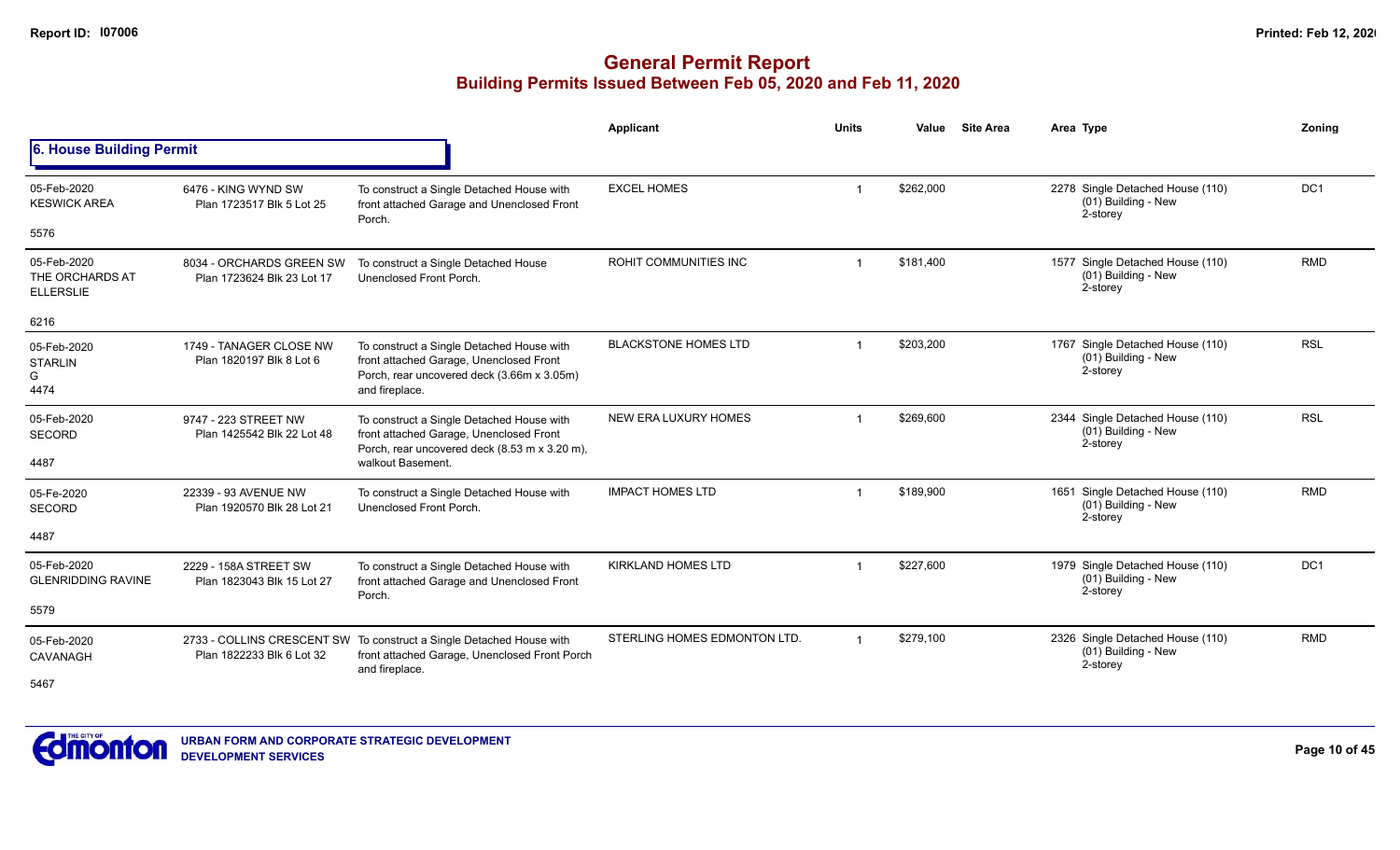|                                                    |                                                        |                                                                                                                                                            | Applicant                    | <b>Units</b>   | Value     | <b>Site Area</b> | Area Type                                                             | Zoning          |
|----------------------------------------------------|--------------------------------------------------------|------------------------------------------------------------------------------------------------------------------------------------------------------------|------------------------------|----------------|-----------|------------------|-----------------------------------------------------------------------|-----------------|
| 6. House Building Permit                           |                                                        |                                                                                                                                                            |                              |                |           |                  |                                                                       |                 |
| 05-Feb-2020<br><b>KESWICK AREA</b>                 | 6476 - KING WYND SW<br>Plan 1723517 Blk 5 Lot 25       | To construct a Single Detached House with<br>front attached Garage and Unenclosed Front<br>Porch.                                                          | <b>EXCEL HOMES</b>           |                | \$262,000 |                  | 2278 Single Detached House (110)<br>(01) Building - New<br>2-storey   | DC <sub>1</sub> |
| 5576                                               |                                                        |                                                                                                                                                            |                              |                |           |                  |                                                                       |                 |
| 05-Feb-2020<br>THE ORCHARDS AT<br><b>ELLERSLIE</b> | 8034 - ORCHARDS GREEN SW<br>Plan 1723624 Blk 23 Lot 17 | To construct a Single Detached House<br>Unenclosed Front Porch.                                                                                            | ROHIT COMMUNITIES INC        | $\overline{1}$ | \$181,400 |                  | 1577 Single Detached House (110)<br>$(01)$ Building - New<br>2-storey | <b>RMD</b>      |
| 6216                                               |                                                        |                                                                                                                                                            |                              |                |           |                  |                                                                       |                 |
| 05-Feb-2020<br><b>STARLIN</b><br>G<br>4474         | 1749 - TANAGER CLOSE NW<br>Plan 1820197 Blk 8 Lot 6    | To construct a Single Detached House with<br>front attached Garage, Unenclosed Front<br>Porch, rear uncovered deck (3.66m x 3.05m)<br>and fireplace.       | <b>BLACKSTONE HOMES LTD</b>  |                | \$203,200 |                  | 1767 Single Detached House (110)<br>(01) Building - New<br>2-storey   | <b>RSL</b>      |
| 05-Feb-2020<br><b>SECORD</b><br>4487               | 9747 - 223 STREET NW<br>Plan 1425542 Blk 22 Lot 48     | To construct a Single Detached House with<br>front attached Garage, Unenclosed Front<br>Porch, rear uncovered deck (8.53 m x 3.20 m),<br>walkout Basement. | NEW ERA LUXURY HOMES         |                | \$269,600 |                  | 2344 Single Detached House (110)<br>$(01)$ Building - New<br>2-storey | <b>RSL</b>      |
| 05-Fe-2020<br><b>SECORD</b>                        | 22339 - 93 AVENUE NW<br>Plan 1920570 Blk 28 Lot 21     | To construct a Single Detached House with<br>Unenclosed Front Porch.                                                                                       | <b>IMPACT HOMES LTD</b>      |                | \$189,900 |                  | 1651 Single Detached House (110)<br>$(01)$ Building - New<br>2-storey | <b>RMD</b>      |
| 4487                                               |                                                        |                                                                                                                                                            |                              |                |           |                  |                                                                       |                 |
| 05-Feb-2020<br><b>GLENRIDDING RAVINE</b>           | 2229 - 158A STREET SW<br>Plan 1823043 Blk 15 Lot 27    | To construct a Single Detached House with<br>front attached Garage and Unenclosed Front<br>Porch.                                                          | <b>KIRKLAND HOMES LTD</b>    |                | \$227.600 |                  | 1979 Single Detached House (110)<br>$(01)$ Building - New<br>2-storey | DC <sub>1</sub> |
| 5579                                               |                                                        |                                                                                                                                                            |                              |                |           |                  |                                                                       |                 |
| 05-Feb-2020<br>CAVANAGH                            | Plan 1822233 Blk 6 Lot 32                              | 2733 - COLLINS CRESCENT SW To construct a Single Detached House with<br>front attached Garage, Unenclosed Front Porch                                      | STERLING HOMES EDMONTON LTD. |                | \$279,100 |                  | 2326 Single Detached House (110)<br>(01) Building - New<br>2-storey   | <b>RMD</b>      |
| 5467                                               |                                                        | and fireplace.                                                                                                                                             |                              |                |           |                  |                                                                       |                 |

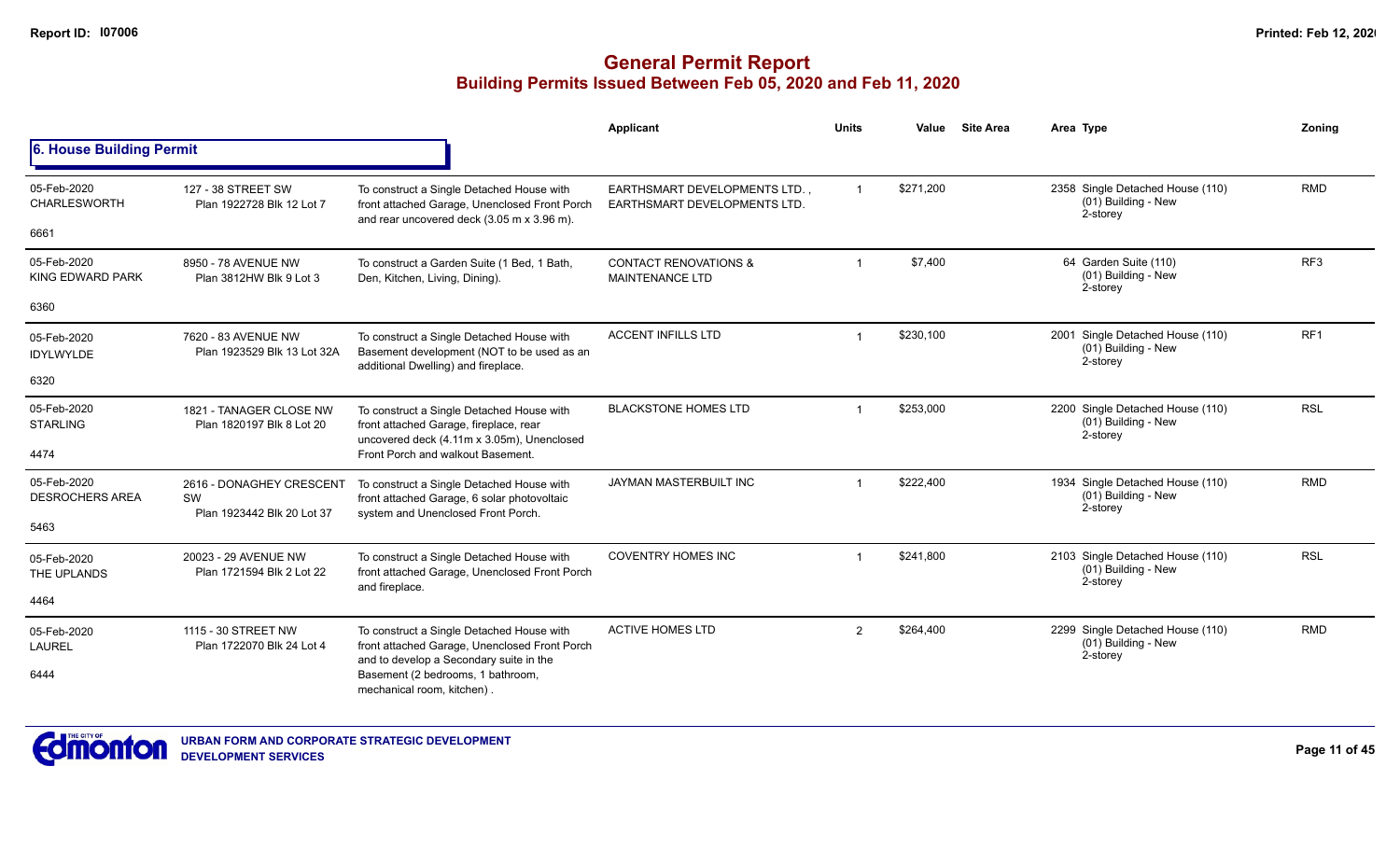|                                       |                                                              |                                                                                                                                          | Applicant                                                            | <b>Units</b>            | Value     | <b>Site Area</b> | Area Type                                                           | Zoning          |
|---------------------------------------|--------------------------------------------------------------|------------------------------------------------------------------------------------------------------------------------------------------|----------------------------------------------------------------------|-------------------------|-----------|------------------|---------------------------------------------------------------------|-----------------|
| 6. House Building Permit              |                                                              |                                                                                                                                          |                                                                      |                         |           |                  |                                                                     |                 |
| 05-Feb-2020<br><b>CHARLESWORTH</b>    | 127 - 38 STREET SW<br>Plan 1922728 Blk 12 Lot 7              | To construct a Single Detached House with<br>front attached Garage, Unenclosed Front Porch<br>and rear uncovered deck (3.05 m x 3.96 m). | <b>EARTHSMART DEVELOPMENTS LTD.,</b><br>EARTHSMART DEVELOPMENTS LTD. | $\mathbf{1}$            | \$271,200 |                  | 2358 Single Detached House (110)<br>(01) Building - New<br>2-storey | <b>RMD</b>      |
| 6661                                  |                                                              |                                                                                                                                          |                                                                      |                         |           |                  |                                                                     |                 |
| 05-Feb-2020<br>KING EDWARD PARK       | 8950 - 78 AVENUE NW<br>Plan 3812HW Blk 9 Lot 3               | To construct a Garden Suite (1 Bed, 1 Bath,<br>Den, Kitchen, Living, Dining).                                                            | <b>CONTACT RENOVATIONS &amp;</b><br><b>MAINTENANCE LTD</b>           | $\overline{\mathbf{1}}$ | \$7,400   |                  | 64 Garden Suite (110)<br>(01) Building - New<br>2-storey            | RF <sub>3</sub> |
| 6360                                  |                                                              |                                                                                                                                          |                                                                      |                         |           |                  |                                                                     |                 |
| 05-Feb-2020<br><b>IDYLWYLDE</b>       | 7620 - 83 AVENUE NW<br>Plan 1923529 Blk 13 Lot 32A           | To construct a Single Detached House with<br>Basement development (NOT to be used as an<br>additional Dwelling) and fireplace.           | <b>ACCENT INFILLS LTD</b>                                            |                         | \$230,100 |                  | 2001 Single Detached House (110)<br>(01) Building - New<br>2-storey | RF <sub>1</sub> |
| 6320                                  |                                                              |                                                                                                                                          |                                                                      |                         |           |                  |                                                                     |                 |
| 05-Feb-2020<br><b>STARLING</b>        | 1821 - TANAGER CLOSE NW<br>Plan 1820197 Blk 8 Lot 20         | To construct a Single Detached House with<br>front attached Garage, fireplace, rear                                                      | <b>BLACKSTONE HOMES LTD</b>                                          |                         | \$253,000 |                  | 2200 Single Detached House (110)<br>(01) Building - New<br>2-storey | <b>RSL</b>      |
| 4474                                  |                                                              | uncovered deck (4.11m x 3.05m), Unenclosed<br>Front Porch and walkout Basement.                                                          |                                                                      |                         |           |                  |                                                                     |                 |
| 05-Feb-2020<br><b>DESROCHERS AREA</b> | 2616 - DONAGHEY CRESCENT<br>SW<br>Plan 1923442 Blk 20 Lot 37 | To construct a Single Detached House with<br>front attached Garage, 6 solar photovoltaic                                                 | JAYMAN MASTERBUILT INC                                               |                         | \$222,400 |                  | 1934 Single Detached House (110)<br>(01) Building - New<br>2-storey | <b>RMD</b>      |
| 5463                                  |                                                              | system and Unenclosed Front Porch.                                                                                                       |                                                                      |                         |           |                  |                                                                     |                 |
| 05-Feb-2020<br>THE UPLANDS            | 20023 - 29 AVENUE NW<br>Plan 1721594 Blk 2 Lot 22            | To construct a Single Detached House with<br>front attached Garage, Unenclosed Front Porch                                               | <b>COVENTRY HOMES INC</b>                                            |                         | \$241,800 |                  | 2103 Single Detached House (110)<br>(01) Building - New<br>2-storey | <b>RSL</b>      |
| 4464                                  |                                                              | and fireplace.                                                                                                                           |                                                                      |                         |           |                  |                                                                     |                 |
| 05-Feb-2020<br><b>LAUREL</b>          | 1115 - 30 STREET NW<br>Plan 1722070 Blk 24 Lot 4             | To construct a Single Detached House with<br>front attached Garage, Unenclosed Front Porch                                               | <b>ACTIVE HOMES LTD</b>                                              | 2                       | \$264,400 |                  | 2299 Single Detached House (110)<br>(01) Building - New<br>2-storey | <b>RMD</b>      |
| 6444                                  |                                                              | and to develop a Secondary suite in the<br>Basement (2 bedrooms, 1 bathroom,<br>mechanical room, kitchen).                               |                                                                      |                         |           |                  |                                                                     |                 |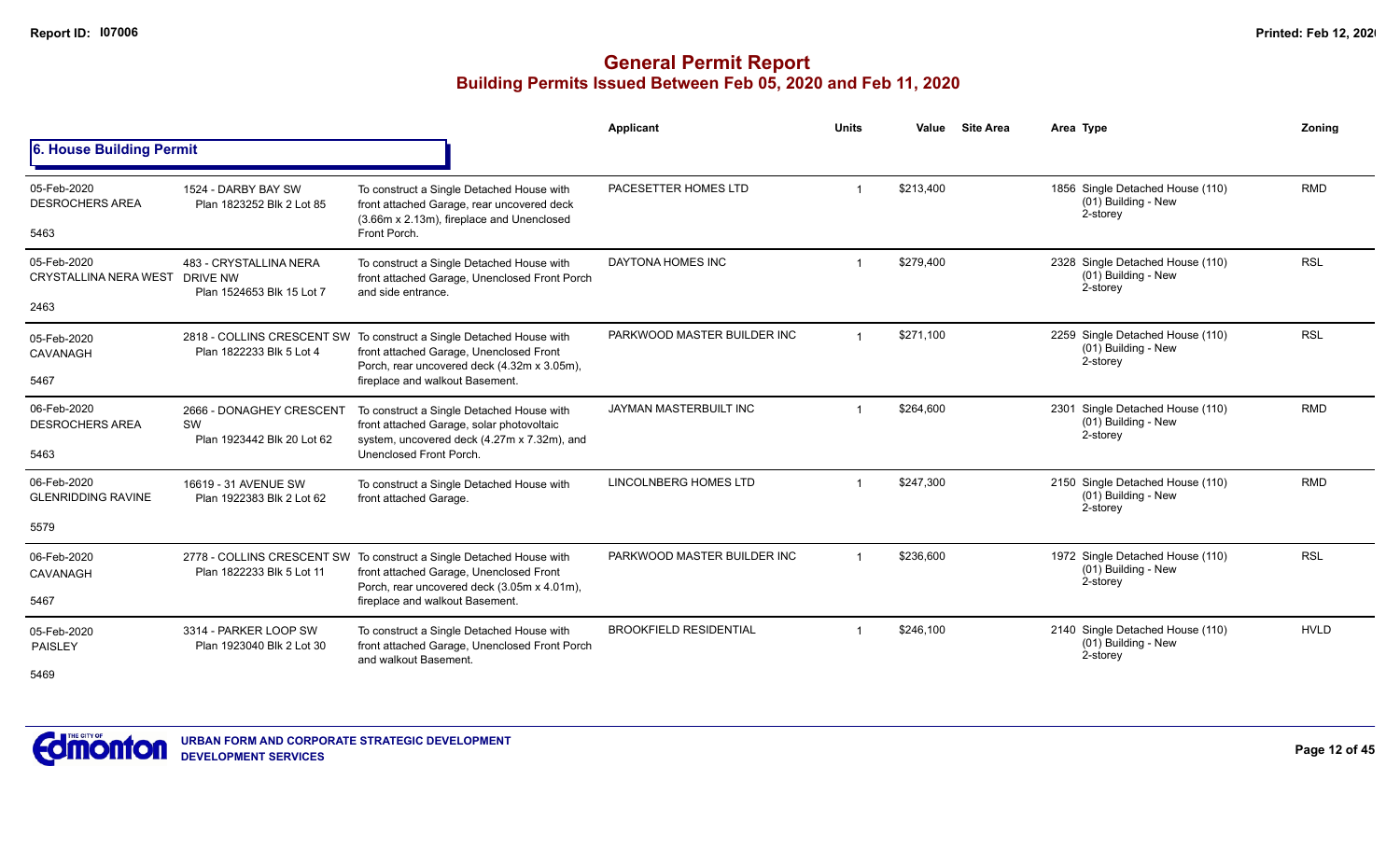|                                                       |                                                              |                                                                                                                                                                                                   | Applicant                     | <b>Units</b> | Value     | <b>Site Area</b> | Area Type                                                           | Zoning      |
|-------------------------------------------------------|--------------------------------------------------------------|---------------------------------------------------------------------------------------------------------------------------------------------------------------------------------------------------|-------------------------------|--------------|-----------|------------------|---------------------------------------------------------------------|-------------|
| 6. House Building Permit                              |                                                              |                                                                                                                                                                                                   |                               |              |           |                  |                                                                     |             |
| 05-Feb-2020<br><b>DESROCHERS AREA</b><br>5463         | 1524 - DARBY BAY SW<br>Plan 1823252 Blk 2 Lot 85             | To construct a Single Detached House with<br>front attached Garage, rear uncovered deck<br>(3.66m x 2.13m), fireplace and Unenclosed<br>Front Porch.                                              | PACESETTER HOMES LTD          |              | \$213,400 |                  | 1856 Single Detached House (110)<br>(01) Building - New<br>2-storey | <b>RMD</b>  |
| 05-Feb-2020<br>CRYSTALLINA NERA WEST DRIVE NW<br>2463 | 483 - CRYSTALLINA NERA<br>Plan 1524653 Blk 15 Lot 7          | To construct a Single Detached House with<br>front attached Garage, Unenclosed Front Porch<br>and side entrance.                                                                                  | DAYTONA HOMES INC             |              | \$279,400 |                  | 2328 Single Detached House (110)<br>(01) Building - New<br>2-storey | <b>RSL</b>  |
| 05-Feb-2020<br>CAVANAGH<br>5467                       | Plan 1822233 Blk 5 Lot 4                                     | 2818 - COLLINS CRESCENT SW To construct a Single Detached House with<br>front attached Garage, Unenclosed Front<br>Porch, rear uncovered deck (4.32m x 3.05m),<br>fireplace and walkout Basement. | PARKWOOD MASTER BUILDER INC   |              | \$271,100 |                  | 2259 Single Detached House (110)<br>(01) Building - New<br>2-storey | <b>RSL</b>  |
| 06-Feb-2020<br><b>DESROCHERS AREA</b><br>5463         | 2666 - DONAGHEY CRESCENT<br>SW<br>Plan 1923442 Blk 20 Lot 62 | To construct a Single Detached House with<br>front attached Garage, solar photovoltaic<br>system, uncovered deck (4.27m x 7.32m), and<br>Unenclosed Front Porch.                                  | JAYMAN MASTERBUILT INC        |              | \$264,600 |                  | 2301 Single Detached House (110)<br>(01) Building - New<br>2-storey | <b>RMD</b>  |
| 06-Feb-2020<br><b>GLENRIDDING RAVINE</b><br>5579      | 16619 - 31 AVENUE SW<br>Plan 1922383 Blk 2 Lot 62            | To construct a Single Detached House with<br>front attached Garage.                                                                                                                               | <b>LINCOLNBERG HOMES LTD</b>  |              | \$247,300 |                  | 2150 Single Detached House (110)<br>(01) Building - New<br>2-storey | <b>RMD</b>  |
| 06-Feb-2020<br>CAVANAGH<br>5467                       | Plan 1822233 Blk 5 Lot 11                                    | 2778 - COLLINS CRESCENT SW To construct a Single Detached House with<br>front attached Garage, Unenclosed Front<br>Porch, rear uncovered deck (3.05m x 4.01m),<br>fireplace and walkout Basement. | PARKWOOD MASTER BUILDER INC   |              | \$236,600 |                  | 1972 Single Detached House (110)<br>(01) Building - New<br>2-storey | <b>RSL</b>  |
| 05-Feb-2020<br>PAISLEY<br>5469                        | 3314 - PARKER LOOP SW<br>Plan 1923040 Blk 2 Lot 30           | To construct a Single Detached House with<br>front attached Garage, Unenclosed Front Porch<br>and walkout Basement.                                                                               | <b>BROOKFIELD RESIDENTIAL</b> |              | \$246,100 |                  | 2140 Single Detached House (110)<br>(01) Building - New<br>2-storey | <b>HVLD</b> |

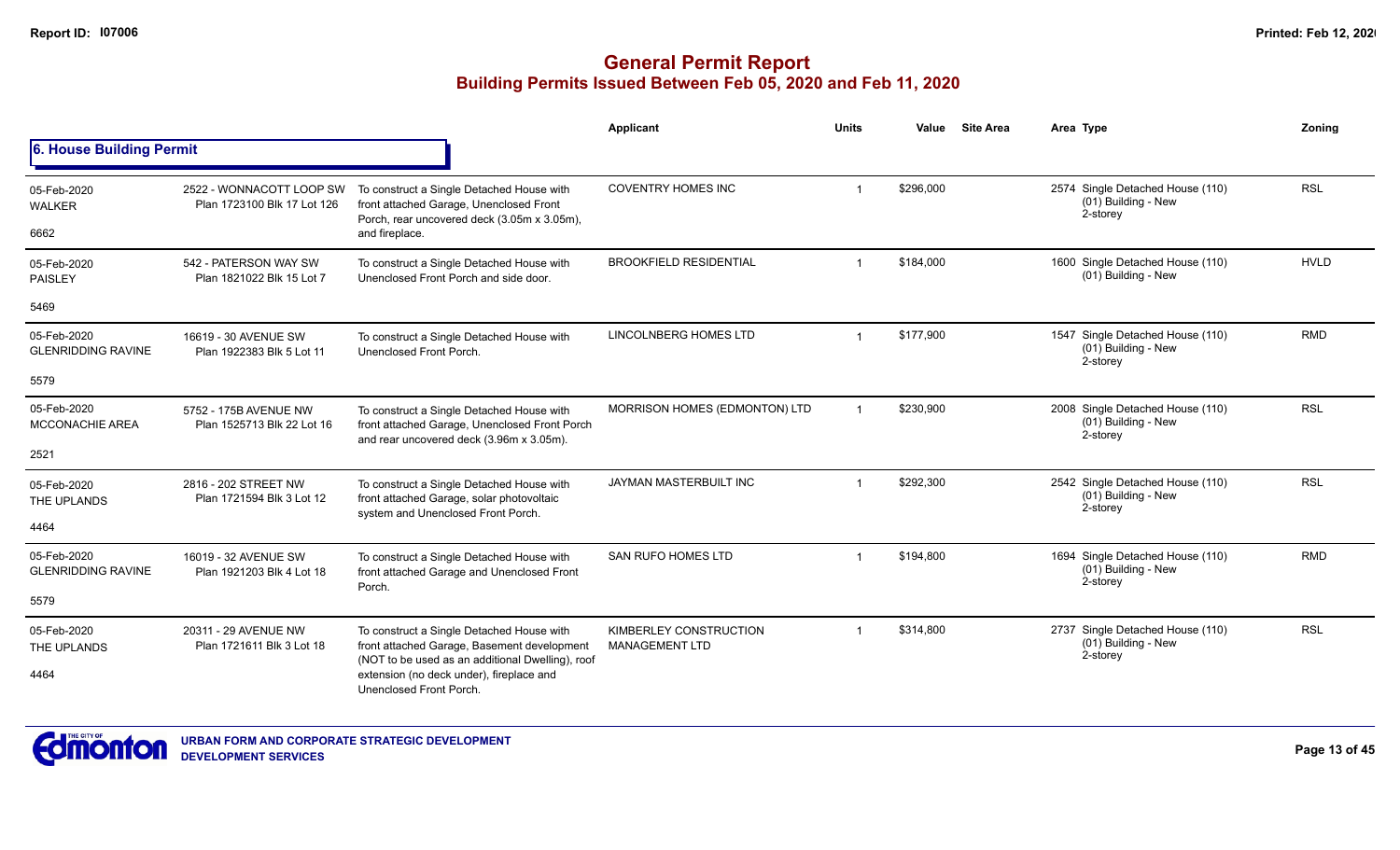|                                          |                                                                                                                                               |                                                                                                                                        | Applicant                     | <b>Units</b> | Value     | <b>Site Area</b>                                                    | Area Type                                                           | Zoning      |
|------------------------------------------|-----------------------------------------------------------------------------------------------------------------------------------------------|----------------------------------------------------------------------------------------------------------------------------------------|-------------------------------|--------------|-----------|---------------------------------------------------------------------|---------------------------------------------------------------------|-------------|
| 6. House Building Permit                 |                                                                                                                                               |                                                                                                                                        |                               |              |           |                                                                     |                                                                     |             |
| 05-Feb-2020<br><b>WALKER</b>             | 2522 - WONNACOTT LOOP SW<br>Plan 1723100 Blk 17 Lot 126                                                                                       | To construct a Single Detached House with<br>front attached Garage, Unenclosed Front<br>Porch, rear uncovered deck (3.05m x 3.05m),    | <b>COVENTRY HOMES INC</b>     |              | \$296,000 |                                                                     | 2574 Single Detached House (110)<br>(01) Building - New<br>2-storey | <b>RSL</b>  |
| 6662                                     |                                                                                                                                               | and fireplace.                                                                                                                         |                               |              |           |                                                                     |                                                                     |             |
| 05-Feb-2020<br><b>PAISLEY</b>            | 542 - PATERSON WAY SW<br>Plan 1821022 Blk 15 Lot 7                                                                                            | To construct a Single Detached House with<br>Unenclosed Front Porch and side door.                                                     | <b>BROOKFIELD RESIDENTIAL</b> |              | \$184,000 |                                                                     | 1600 Single Detached House (110)<br>(01) Building - New             | <b>HVLD</b> |
| 5469                                     |                                                                                                                                               |                                                                                                                                        |                               |              |           |                                                                     |                                                                     |             |
| 05-Feb-2020<br><b>GLENRIDDING RAVINE</b> | 16619 - 30 AVENUE SW<br>Plan 1922383 Blk 5 Lot 11                                                                                             | To construct a Single Detached House with<br>Unenclosed Front Porch.                                                                   | LINCOLNBERG HOMES LTD         |              | \$177,900 |                                                                     | 1547 Single Detached House (110)<br>(01) Building - New<br>2-storey | <b>RMD</b>  |
| 5579                                     |                                                                                                                                               |                                                                                                                                        |                               |              |           |                                                                     |                                                                     |             |
| 05-Feb-2020<br><b>MCCONACHIE AREA</b>    | 5752 - 175B AVENUE NW<br>Plan 1525713 Blk 22 Lot 16                                                                                           | To construct a Single Detached House with<br>front attached Garage, Unenclosed Front Porch<br>and rear uncovered deck (3.96m x 3.05m). | MORRISON HOMES (EDMONTON) LTD |              | \$230,900 |                                                                     | 2008 Single Detached House (110)<br>(01) Building - New<br>2-storey | <b>RSL</b>  |
| 2521                                     |                                                                                                                                               |                                                                                                                                        |                               |              |           |                                                                     |                                                                     |             |
| 05-Feb-2020<br>THE UPLANDS               | 2816 - 202 STREET NW<br>Plan 1721594 Blk 3 Lot 12                                                                                             | To construct a Single Detached House with<br>front attached Garage, solar photovoltaic<br>system and Unenclosed Front Porch.           | JAYMAN MASTERBUILT INC        |              | \$292.300 |                                                                     | 2542 Single Detached House (110)<br>(01) Building - New<br>2-storey | <b>RSL</b>  |
| 4464                                     |                                                                                                                                               |                                                                                                                                        |                               |              |           |                                                                     |                                                                     |             |
| 05-Feb-2020<br><b>GLENRIDDING RAVINE</b> | 16019 - 32 AVENUE SW<br>Plan 1921203 Blk 4 Lot 18                                                                                             | To construct a Single Detached House with<br>front attached Garage and Unenclosed Front                                                | <b>SAN RUFO HOMES LTD</b>     | -1           | \$194,800 |                                                                     | 1694 Single Detached House (110)<br>(01) Building - New<br>2-storey | <b>RMD</b>  |
| 5579                                     |                                                                                                                                               | Porch.                                                                                                                                 |                               |              |           |                                                                     |                                                                     |             |
| 05-Feb-2020<br>THE UPLANDS               | 20311 - 29 AVENUE NW<br>To construct a Single Detached House with<br>front attached Garage, Basement development<br>Plan 1721611 Blk 3 Lot 18 | KIMBERLEY CONSTRUCTION<br><b>MANAGEMENT LTD</b>                                                                                        |                               | \$314,800    |           | 2737 Single Detached House (110)<br>(01) Building - New<br>2-storey | <b>RSL</b>                                                          |             |
| 4464                                     |                                                                                                                                               | (NOT to be used as an additional Dwelling), roof<br>extension (no deck under), fireplace and<br>Unenclosed Front Porch.                |                               |              |           |                                                                     |                                                                     |             |

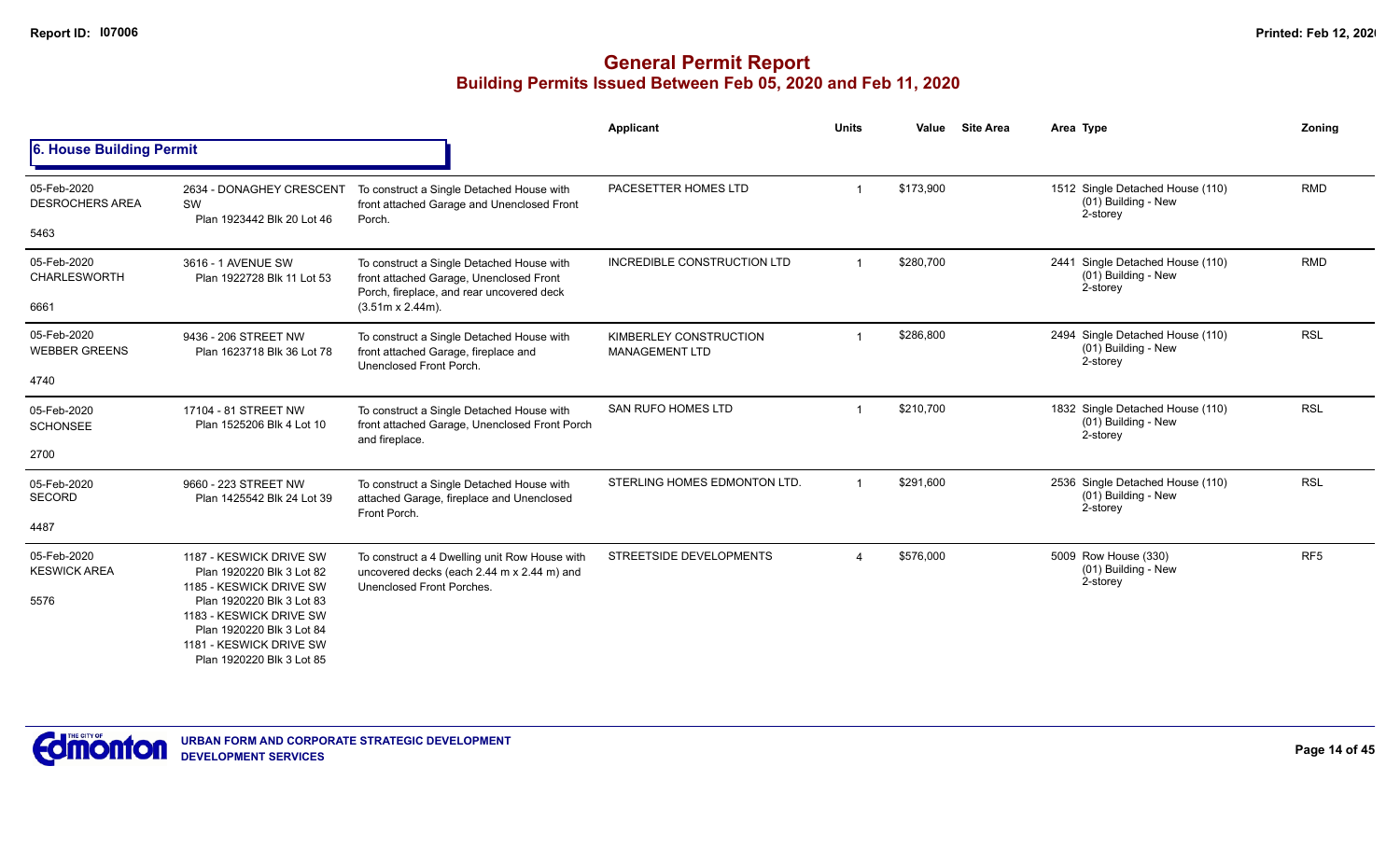|                                               |                                                                                                                                                                      |                                                                                                                                                               | Applicant                                       | <b>Units</b> | Value     | <b>Site Area</b> | Area Type                                                           | Zoning          |
|-----------------------------------------------|----------------------------------------------------------------------------------------------------------------------------------------------------------------------|---------------------------------------------------------------------------------------------------------------------------------------------------------------|-------------------------------------------------|--------------|-----------|------------------|---------------------------------------------------------------------|-----------------|
| 6. House Building Permit                      |                                                                                                                                                                      |                                                                                                                                                               |                                                 |              |           |                  |                                                                     |                 |
| 05-Feb-2020<br><b>DESROCHERS AREA</b><br>5463 | 2634 - DONAGHEY CRESCENT<br>SW<br>Plan 1923442 Blk 20 Lot 46                                                                                                         | To construct a Single Detached House with<br>front attached Garage and Unenclosed Front<br>Porch.                                                             | PACESETTER HOMES LTD                            |              | \$173.900 |                  | 1512 Single Detached House (110)<br>(01) Building - New<br>2-storey | <b>RMD</b>      |
| 05-Feb-2020<br><b>CHARLESWORTH</b><br>6661    | 3616 - 1 AVENUE SW<br>Plan 1922728 Blk 11 Lot 53                                                                                                                     | To construct a Single Detached House with<br>front attached Garage, Unenclosed Front<br>Porch, fireplace, and rear uncovered deck<br>$(3.51m \times 2.44m)$ . | INCREDIBLE CONSTRUCTION LTD                     |              | \$280,700 |                  | 2441 Single Detached House (110)<br>(01) Building - New<br>2-storey | <b>RMD</b>      |
| 05-Feb-2020<br><b>WEBBER GREENS</b>           | 9436 - 206 STREET NW<br>Plan 1623718 Blk 36 Lot 78                                                                                                                   | To construct a Single Detached House with<br>front attached Garage, fireplace and<br>Unenclosed Front Porch.                                                  | KIMBERLEY CONSTRUCTION<br><b>MANAGEMENT LTD</b> |              | \$286,800 |                  | 2494 Single Detached House (110)<br>(01) Building - New<br>2-storey | <b>RSL</b>      |
| 4740                                          |                                                                                                                                                                      |                                                                                                                                                               |                                                 |              |           |                  |                                                                     |                 |
| 05-Feb-2020<br><b>SCHONSEE</b>                | 17104 - 81 STREET NW<br>Plan 1525206 Blk 4 Lot 10                                                                                                                    | To construct a Single Detached House with<br>front attached Garage, Unenclosed Front Porch<br>and fireplace.                                                  | <b>SAN RUFO HOMES LTD</b>                       |              | \$210,700 |                  | 1832 Single Detached House (110)<br>(01) Building - New<br>2-storey | <b>RSL</b>      |
| 2700                                          |                                                                                                                                                                      |                                                                                                                                                               |                                                 |              |           |                  |                                                                     |                 |
| 05-Feb-2020<br><b>SECORD</b>                  | 9660 - 223 STREET NW<br>Plan 1425542 Blk 24 Lot 39                                                                                                                   | To construct a Single Detached House with<br>attached Garage, fireplace and Unenclosed<br>Front Porch.                                                        | STERLING HOMES EDMONTON LTD.                    |              | \$291,600 |                  | 2536 Single Detached House (110)<br>(01) Building - New<br>2-storey | <b>RSL</b>      |
| 4487                                          |                                                                                                                                                                      |                                                                                                                                                               |                                                 |              |           |                  |                                                                     |                 |
| 05-Feb-2020<br><b>KESWICK AREA</b><br>5576    | 1187 - KESWICK DRIVE SW<br>Plan 1920220 Blk 3 Lot 82<br>1185 - KESWICK DRIVE SW<br>Plan 1920220 Blk 3 Lot 83<br>1183 - KESWICK DRIVE SW<br>Plan 1920220 Blk 3 Lot 84 | To construct a 4 Dwelling unit Row House with<br>uncovered decks (each 2.44 m x 2.44 m) and<br>Unenclosed Front Porches.                                      | STREETSIDE DEVELOPMENTS                         |              | \$576,000 |                  | 5009 Row House (330)<br>(01) Building - New<br>2-storey             | RF <sub>5</sub> |
|                                               | 1181 - KESWICK DRIVE SW<br>Plan 1920220 Blk 3 Lot 85                                                                                                                 |                                                                                                                                                               |                                                 |              |           |                  |                                                                     |                 |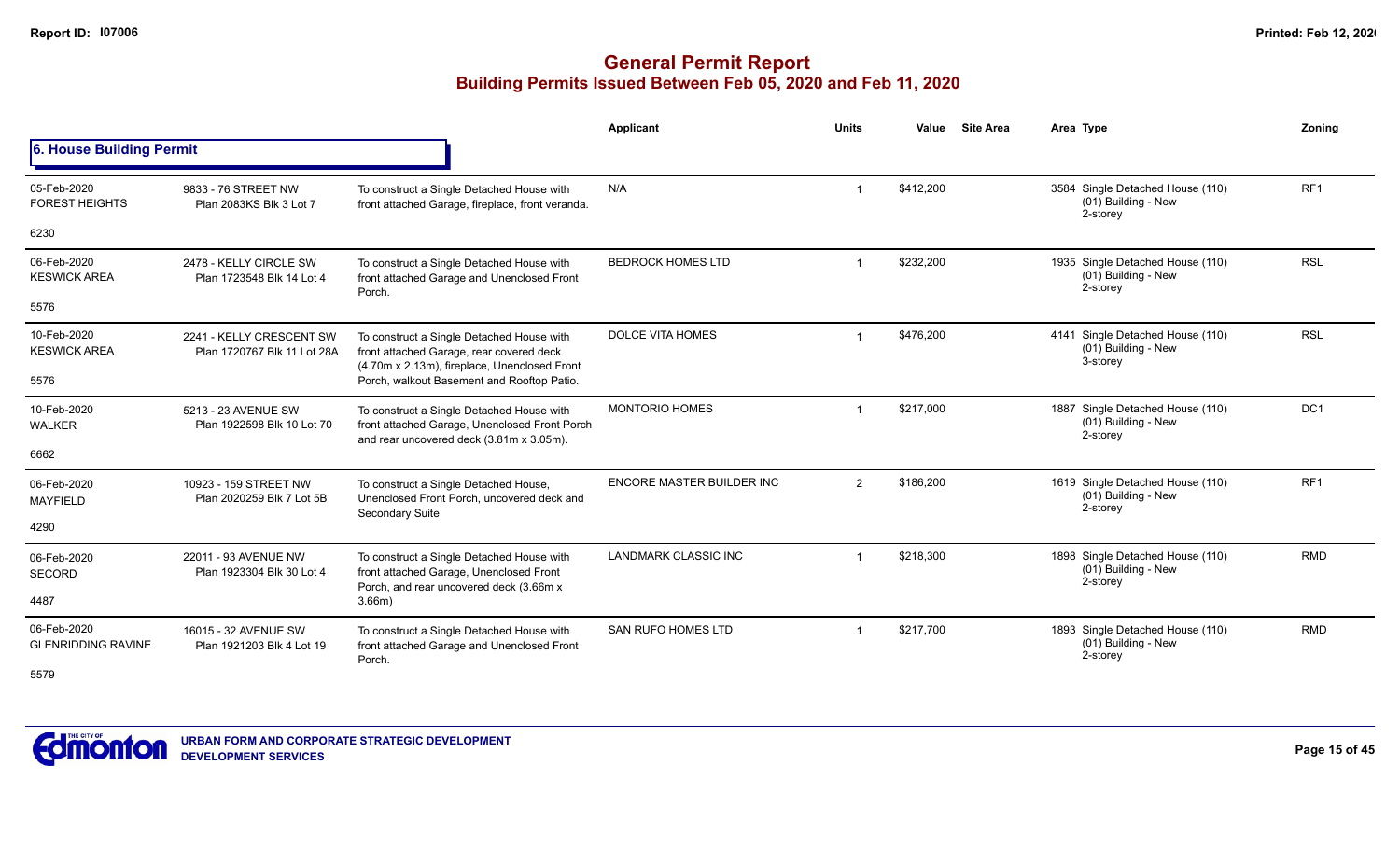|                                          |                                                         |                                                                                                                                        | Applicant                   | <b>Units</b> | Value     | <b>Site Area</b> | Area Type                                                           | Zoning          |
|------------------------------------------|---------------------------------------------------------|----------------------------------------------------------------------------------------------------------------------------------------|-----------------------------|--------------|-----------|------------------|---------------------------------------------------------------------|-----------------|
| 6. House Building Permit                 |                                                         |                                                                                                                                        |                             |              |           |                  |                                                                     |                 |
| 05-Feb-2020<br><b>FOREST HEIGHTS</b>     | 9833 - 76 STREET NW<br>Plan 2083KS Blk 3 Lot 7          | To construct a Single Detached House with<br>front attached Garage, fireplace, front veranda.                                          | N/A                         |              | \$412,200 |                  | 3584 Single Detached House (110)<br>(01) Building - New<br>2-storey | RF <sub>1</sub> |
| 6230                                     |                                                         |                                                                                                                                        |                             |              |           |                  |                                                                     |                 |
| 06-Feb-2020<br><b>KESWICK AREA</b>       | 2478 - KELLY CIRCLE SW<br>Plan 1723548 Blk 14 Lot 4     | To construct a Single Detached House with<br>front attached Garage and Unenclosed Front<br>Porch.                                      | <b>BEDROCK HOMES LTD</b>    |              | \$232,200 |                  | 1935 Single Detached House (110)<br>(01) Building - New<br>2-storey | <b>RSL</b>      |
| 5576                                     |                                                         |                                                                                                                                        |                             |              |           |                  |                                                                     |                 |
| 10-Feb-2020<br><b>KESWICK AREA</b>       | 2241 - KELLY CRESCENT SW<br>Plan 1720767 Blk 11 Lot 28A | To construct a Single Detached House with<br>front attached Garage, rear covered deck<br>(4.70m x 2.13m), fireplace, Unenclosed Front  | <b>DOLCE VITA HOMES</b>     |              | \$476,200 |                  | 4141 Single Detached House (110)<br>(01) Building - New<br>3-storey | <b>RSL</b>      |
| 5576                                     |                                                         | Porch, walkout Basement and Rooftop Patio.                                                                                             |                             |              |           |                  |                                                                     |                 |
| 10-Feb-2020<br><b>WALKER</b>             | 5213 - 23 AVENUE SW<br>Plan 1922598 Blk 10 Lot 70       | To construct a Single Detached House with<br>front attached Garage, Unenclosed Front Porch<br>and rear uncovered deck (3.81m x 3.05m). | <b>MONTORIO HOMES</b>       |              | \$217,000 |                  | 1887 Single Detached House (110)<br>(01) Building - New<br>2-storey | DC <sub>1</sub> |
| 6662                                     |                                                         |                                                                                                                                        |                             |              |           |                  |                                                                     |                 |
| 06-Feb-2020<br><b>MAYFIELD</b>           | 10923 - 159 STREET NW<br>Plan 2020259 Blk 7 Lot 5B      | To construct a Single Detached House,<br>Unenclosed Front Porch, uncovered deck and<br><b>Secondary Suite</b>                          | ENCORE MASTER BUILDER INC   | 2            | \$186,200 |                  | 1619 Single Detached House (110)<br>(01) Building - New<br>2-storey | RF <sub>1</sub> |
| 4290                                     |                                                         |                                                                                                                                        |                             |              |           |                  |                                                                     |                 |
| 06-Feb-2020<br><b>SECORD</b>             | 22011 - 93 AVENUE NW<br>Plan 1923304 Blk 30 Lot 4       | To construct a Single Detached House with<br>front attached Garage, Unenclosed Front<br>Porch, and rear uncovered deck (3.66m x        | <b>LANDMARK CLASSIC INC</b> |              | \$218,300 |                  | 1898 Single Detached House (110)<br>(01) Building - New<br>2-storey | <b>RMD</b>      |
| 4487                                     |                                                         | 3.66m)                                                                                                                                 |                             |              |           |                  |                                                                     |                 |
| 06-Feb-2020<br><b>GLENRIDDING RAVINE</b> | 16015 - 32 AVENUE SW<br>Plan 1921203 Blk 4 Lot 19       | To construct a Single Detached House with<br>front attached Garage and Unenclosed Front<br>Porch.                                      | <b>SAN RUFO HOMES LTD</b>   |              | \$217,700 |                  | 1893 Single Detached House (110)<br>(01) Building - New<br>2-storey | <b>RMD</b>      |
| 5579                                     |                                                         |                                                                                                                                        |                             |              |           |                  |                                                                     |                 |

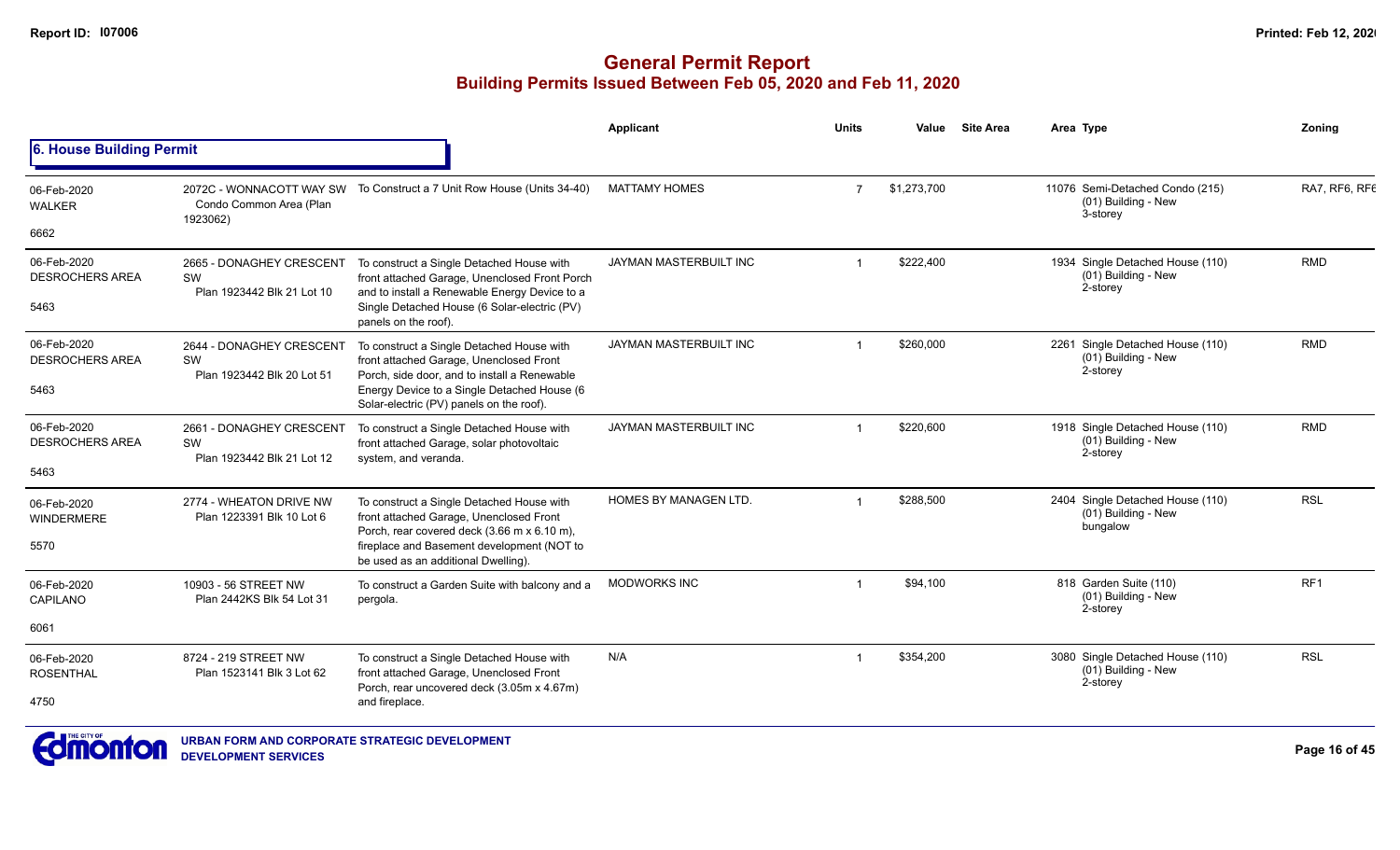# **General Permit Report Building Permits Issued Between Feb 05, 2020 and Feb 11, 2020**

|                                               |                                                                 |                                                                                                                                                                                                                                 | Applicant                     | <b>Units</b>   | Value       | <b>Site Area</b> | Area Type                                                           | Zoning          |
|-----------------------------------------------|-----------------------------------------------------------------|---------------------------------------------------------------------------------------------------------------------------------------------------------------------------------------------------------------------------------|-------------------------------|----------------|-------------|------------------|---------------------------------------------------------------------|-----------------|
| 6. House Building Permit                      |                                                                 |                                                                                                                                                                                                                                 |                               |                |             |                  |                                                                     |                 |
| 06-Feb-2020<br><b>WALKER</b><br>6662          | 2072C - WONNACOTT WAY SW<br>Condo Common Area (Plan<br>1923062) | To Construct a 7 Unit Row House (Units 34-40)                                                                                                                                                                                   | <b>MATTAMY HOMES</b>          | $\overline{7}$ | \$1,273,700 |                  | 11076 Semi-Detached Condo (215)<br>(01) Building - New<br>3-storey  | RA7, RF6, RF6   |
| 06-Feb-2020<br><b>DESROCHERS AREA</b><br>5463 | 2665 - DONAGHEY CRESCENT<br>SW<br>Plan 1923442 Blk 21 Lot 10    | To construct a Single Detached House with<br>front attached Garage, Unenclosed Front Porch<br>and to install a Renewable Energy Device to a<br>Single Detached House (6 Solar-electric (PV)<br>panels on the roof).             | JAYMAN MASTERBUILT INC        |                | \$222,400   |                  | 1934 Single Detached House (110)<br>(01) Building - New<br>2-storey | <b>RMD</b>      |
| 06-Feb-2020<br><b>DESROCHERS AREA</b><br>5463 | 2644 - DONAGHEY CRESCENT<br>SW<br>Plan 1923442 Blk 20 Lot 51    | To construct a Single Detached House with<br>front attached Garage, Unenclosed Front<br>Porch, side door, and to install a Renewable<br>Energy Device to a Single Detached House (6<br>Solar-electric (PV) panels on the roof). | <b>JAYMAN MASTERBUILT INC</b> |                | \$260,000   |                  | 2261 Single Detached House (110)<br>(01) Building - New<br>2-storey | <b>RMD</b>      |
| 06-Feb-2020<br><b>DESROCHERS AREA</b><br>5463 | 2661 - DONAGHEY CRESCENT<br>SW<br>Plan 1923442 Blk 21 Lot 12    | To construct a Single Detached House with<br>front attached Garage, solar photovoltaic<br>system, and veranda.                                                                                                                  | <b>JAYMAN MASTERBUILT INC</b> |                | \$220,600   |                  | 1918 Single Detached House (110)<br>(01) Building - New<br>2-storey | <b>RMD</b>      |
| 06-Feb-2020<br><b>WINDERMERE</b><br>5570      | 2774 - WHEATON DRIVE NW<br>Plan 1223391 Blk 10 Lot 6            | To construct a Single Detached House with<br>front attached Garage, Unenclosed Front<br>Porch, rear covered deck (3.66 m x 6.10 m),<br>fireplace and Basement development (NOT to<br>be used as an additional Dwelling).        | <b>HOMES BY MANAGEN LTD.</b>  |                | \$288.500   |                  | 2404 Single Detached House (110)<br>(01) Building - New<br>bungalow | <b>RSL</b>      |
| 06-Feb-2020<br>CAPILANO<br>6061               | 10903 - 56 STREET NW<br>Plan 2442KS Blk 54 Lot 31               | To construct a Garden Suite with balcony and a<br>pergola.                                                                                                                                                                      | <b>MODWORKS INC</b>           |                | \$94,100    |                  | 818 Garden Suite (110)<br>(01) Building - New<br>2-storey           | RF <sub>1</sub> |
| 06-Feb-2020<br><b>ROSENTHAL</b><br>4750       | 8724 - 219 STREET NW<br>Plan 1523141 Blk 3 Lot 62               | To construct a Single Detached House with<br>front attached Garage, Unenclosed Front<br>Porch, rear uncovered deck (3.05m x 4.67m)<br>and fireplace.                                                                            | N/A                           |                | \$354,200   |                  | 3080 Single Detached House (110)<br>(01) Building - New<br>2-storey | <b>RSL</b>      |
|                                               |                                                                 |                                                                                                                                                                                                                                 |                               |                |             |                  |                                                                     |                 |



**URBAN FORM AND CORPORATE STRATEGIC DEVELOPMENT DEVELOPMENT SERVICES**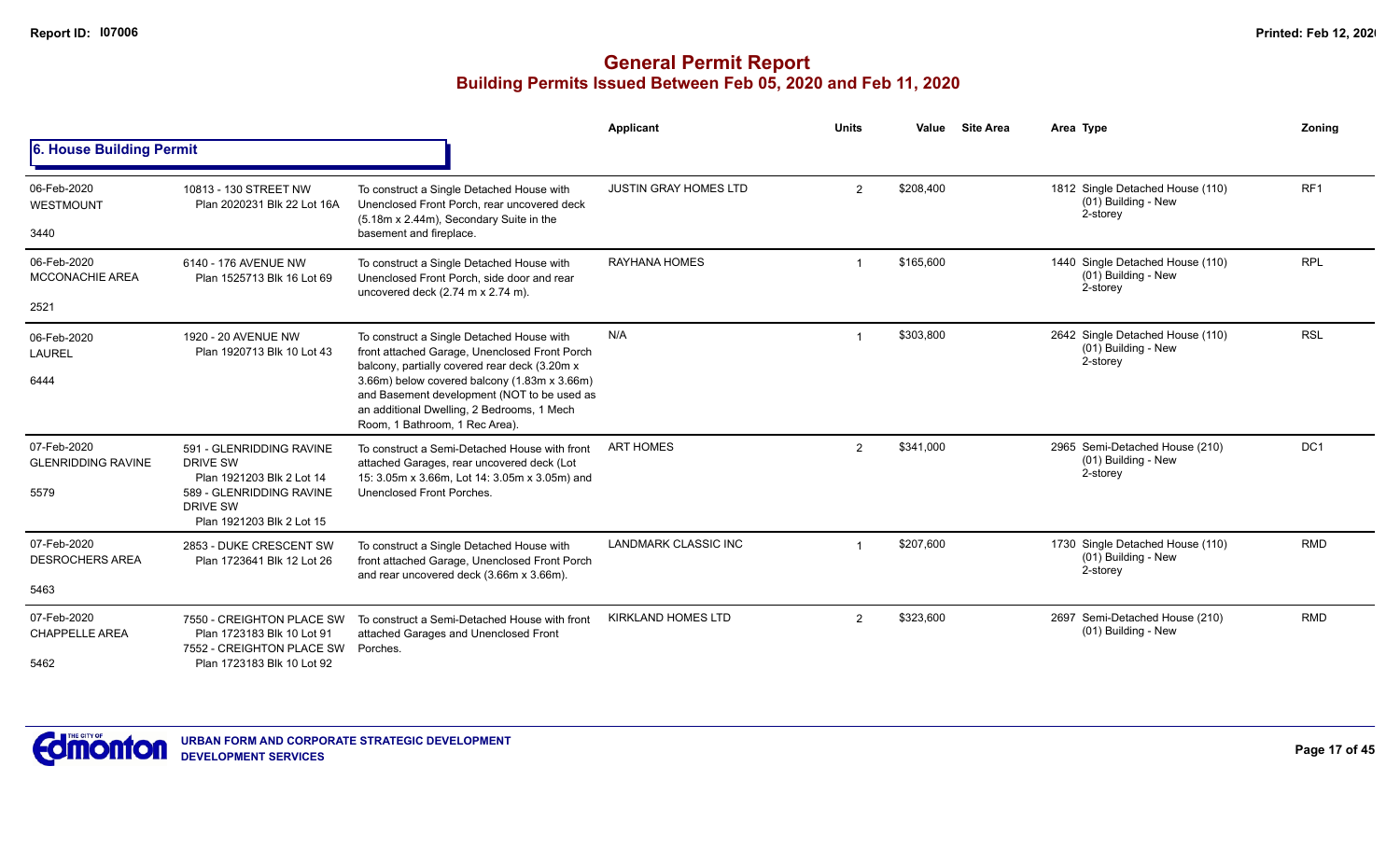|                                                  |                                                                                                                                        |                                                                                                                                                                                                                                                                                                                            | <b>Applicant</b>             | <b>Units</b>   | Value     | <b>Site Area</b> | Area Type                                                             | Zonina          |
|--------------------------------------------------|----------------------------------------------------------------------------------------------------------------------------------------|----------------------------------------------------------------------------------------------------------------------------------------------------------------------------------------------------------------------------------------------------------------------------------------------------------------------------|------------------------------|----------------|-----------|------------------|-----------------------------------------------------------------------|-----------------|
| <b>6. House Building Permit</b>                  |                                                                                                                                        |                                                                                                                                                                                                                                                                                                                            |                              |                |           |                  |                                                                       |                 |
| 06-Feb-2020<br><b>WESTMOUNT</b><br>3440          | 10813 - 130 STREET NW<br>Plan 2020231 Blk 22 Lot 16A                                                                                   | To construct a Single Detached House with<br>Unenclosed Front Porch, rear uncovered deck<br>(5.18m x 2.44m), Secondary Suite in the<br>basement and fireplace.                                                                                                                                                             | <b>JUSTIN GRAY HOMES LTD</b> | $\overline{2}$ | \$208,400 |                  | 1812 Single Detached House (110)<br>(01) Building - New<br>2-storey   | RF <sub>1</sub> |
| 06-Feb-2020<br><b>MCCONACHIE AREA</b><br>2521    | 6140 - 176 AVENUE NW<br>Plan 1525713 Blk 16 Lot 69                                                                                     | To construct a Single Detached House with<br>Unenclosed Front Porch, side door and rear<br>uncovered deck (2.74 m x 2.74 m).                                                                                                                                                                                               | <b>RAYHANA HOMES</b>         |                | \$165,600 |                  | 1440 Single Detached House (110)<br>$(01)$ Building - New<br>2-storey | <b>RPL</b>      |
| 06-Feb-2020<br>LAUREL<br>6444                    | 1920 - 20 AVENUE NW<br>Plan 1920713 Blk 10 Lot 43                                                                                      | To construct a Single Detached House with<br>front attached Garage, Unenclosed Front Porch<br>balcony, partially covered rear deck (3.20m x<br>3.66m) below covered balcony (1.83m x 3.66m)<br>and Basement development (NOT to be used as<br>an additional Dwelling, 2 Bedrooms, 1 Mech<br>Room, 1 Bathroom, 1 Rec Area). | N/A                          |                | \$303,800 |                  | 2642 Single Detached House (110)<br>$(01)$ Building - New<br>2-storey | <b>RSL</b>      |
| 07-Feb-2020<br><b>GLENRIDDING RAVINE</b><br>5579 | 591 - GLENRIDDING RAVINE<br>DRIVE SW<br>Plan 1921203 Blk 2 Lot 14<br>589 - GLENRIDDING RAVINE<br>DRIVE SW<br>Plan 1921203 Blk 2 Lot 15 | To construct a Semi-Detached House with front<br>attached Garages, rear uncovered deck (Lot<br>15: 3.05m x 3.66m, Lot 14: 3.05m x 3.05m) and<br>Unenclosed Front Porches.                                                                                                                                                  | <b>ART HOMES</b>             | $\overline{2}$ | \$341,000 |                  | 2965 Semi-Detached House (210)<br>(01) Building - New<br>2-storey     | DC <sub>1</sub> |
| 07-Feb-2020<br><b>DESROCHERS AREA</b><br>5463    | 2853 - DUKE CRESCENT SW<br>Plan 1723641 Blk 12 Lot 26                                                                                  | To construct a Single Detached House with<br>front attached Garage, Unenclosed Front Porch<br>and rear uncovered deck (3.66m x 3.66m).                                                                                                                                                                                     | <b>LANDMARK CLASSIC INC</b>  |                | \$207,600 |                  | 1730 Single Detached House (110)<br>(01) Building - New<br>2-storey   | <b>RMD</b>      |
| 07-Feb-2020<br><b>CHAPPELLE AREA</b><br>5462     | 7550 - CREIGHTON PLACE SW<br>Plan 1723183 Blk 10 Lot 91<br>7552 - CREIGHTON PLACE SW<br>Plan 1723183 Blk 10 Lot 92                     | To construct a Semi-Detached House with front<br>attached Garages and Unenclosed Front<br>Porches.                                                                                                                                                                                                                         | <b>KIRKLAND HOMES LTD</b>    | $\overline{2}$ | \$323,600 |                  | 2697 Semi-Detached House (210)<br>(01) Building - New                 | <b>RMD</b>      |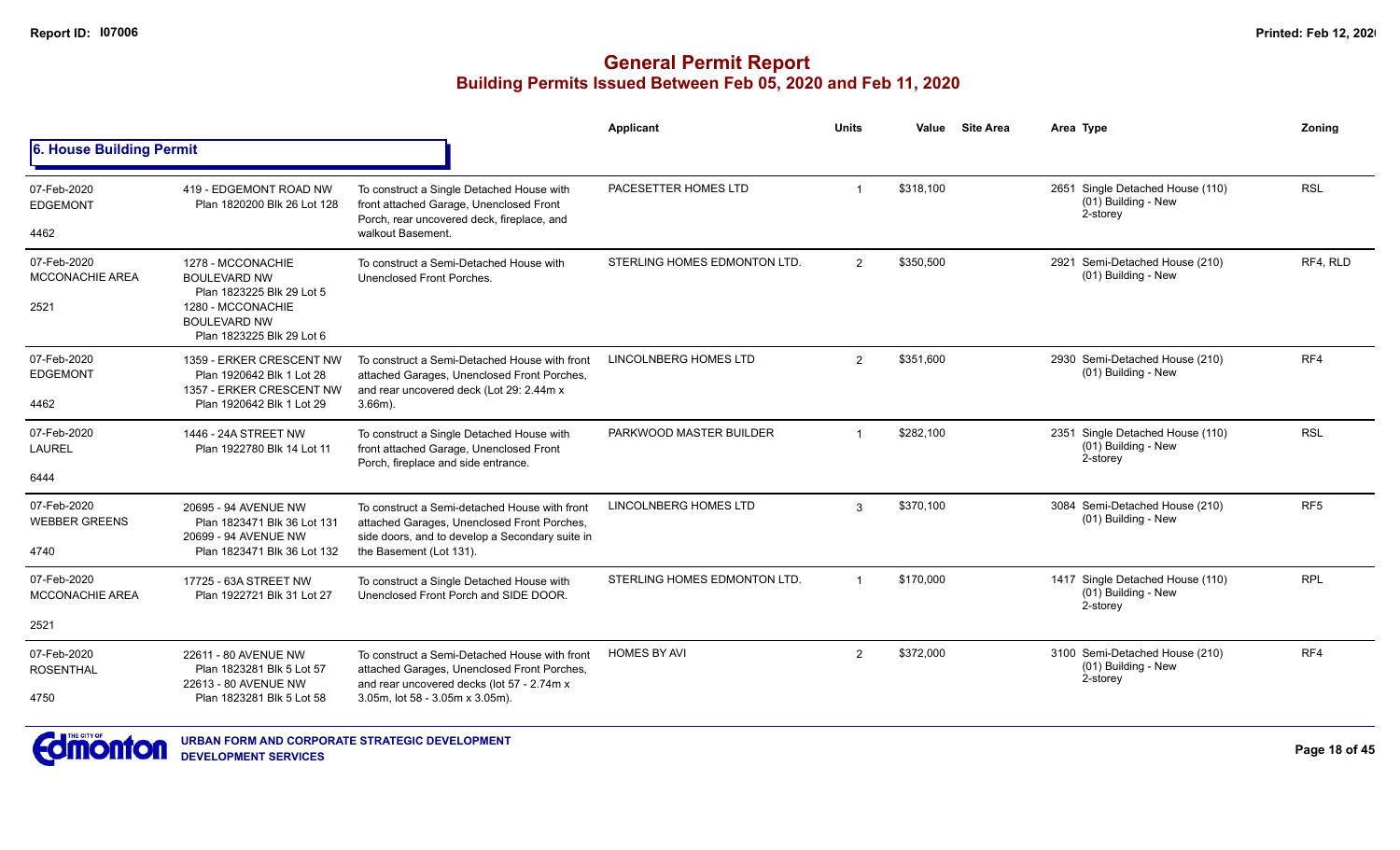|                                               |                                                                                                                                                |                                                                                                                                                                               | Applicant                    | <b>Units</b>            | Value     | <b>Site Area</b> | Area Type                                                           | Zonina          |
|-----------------------------------------------|------------------------------------------------------------------------------------------------------------------------------------------------|-------------------------------------------------------------------------------------------------------------------------------------------------------------------------------|------------------------------|-------------------------|-----------|------------------|---------------------------------------------------------------------|-----------------|
| 6. House Building Permit                      |                                                                                                                                                |                                                                                                                                                                               |                              |                         |           |                  |                                                                     |                 |
| 07-Feb-2020<br><b>EDGEMONT</b><br>4462        | 419 - EDGEMONT ROAD NW<br>Plan 1820200 Blk 26 Lot 128                                                                                          | To construct a Single Detached House with<br>front attached Garage, Unenclosed Front<br>Porch, rear uncovered deck, fireplace, and<br>walkout Basement.                       | PACESETTER HOMES LTD         | $\overline{\mathbf{1}}$ | \$318,100 |                  | 2651 Single Detached House (110)<br>(01) Building - New<br>2-storey | <b>RSL</b>      |
| 07-Feb-2020<br><b>MCCONACHIE AREA</b><br>2521 | 1278 - MCCONACHIE<br><b>BOULEVARD NW</b><br>Plan 1823225 Blk 29 Lot 5<br>1280 - MCCONACHIE<br><b>BOULEVARD NW</b><br>Plan 1823225 Blk 29 Lot 6 | To construct a Semi-Detached House with<br>Unenclosed Front Porches.                                                                                                          | STERLING HOMES EDMONTON LTD. | 2                       | \$350,500 |                  | 2921 Semi-Detached House (210)<br>(01) Building - New               | RF4, RLD        |
| 07-Feb-2020<br><b>EDGEMONT</b><br>4462        | 1359 - ERKER CRESCENT NW<br>Plan 1920642 Blk 1 Lot 28<br>1357 - ERKER CRESCENT NW<br>Plan 1920642 Blk 1 Lot 29                                 | To construct a Semi-Detached House with front<br>attached Garages, Unenclosed Front Porches,<br>and rear uncovered deck (Lot 29: 2.44m x<br>$3.66m$ ).                        | LINCOLNBERG HOMES LTD        | $\overline{2}$          | \$351.600 |                  | 2930 Semi-Detached House (210)<br>(01) Building - New               | RF4             |
| 07-Feb-2020<br><b>LAUREL</b><br>6444          | 1446 - 24A STREET NW<br>Plan 1922780 Blk 14 Lot 11                                                                                             | To construct a Single Detached House with<br>front attached Garage, Unenclosed Front<br>Porch, fireplace and side entrance.                                                   | PARKWOOD MASTER BUILDER      | $\overline{1}$          | \$282,100 |                  | 2351 Single Detached House (110)<br>(01) Building - New<br>2-storey | <b>RSL</b>      |
| 07-Feb-2020<br><b>WEBBER GREENS</b><br>4740   | 20695 - 94 AVENUE NW<br>Plan 1823471 Blk 36 Lot 131<br>20699 - 94 AVENUE NW<br>Plan 1823471 Blk 36 Lot 132                                     | To construct a Semi-detached House with front<br>attached Garages, Unenclosed Front Porches,<br>side doors, and to develop a Secondary suite in<br>the Basement (Lot 131).    | LINCOLNBERG HOMES LTD        | 3                       | \$370,100 |                  | 3084 Semi-Detached House (210)<br>(01) Building - New               | RF <sub>5</sub> |
| 07-Feb-2020<br>MCCONACHIE AREA                | 17725 - 63A STREET NW<br>Plan 1922721 Blk 31 Lot 27                                                                                            | To construct a Single Detached House with<br>Unenclosed Front Porch and SIDE DOOR.                                                                                            | STERLING HOMES EDMONTON LTD. | $\overline{1}$          | \$170.000 |                  | 1417 Single Detached House (110)<br>(01) Building - New<br>2-storey | <b>RPL</b>      |
| 2521                                          |                                                                                                                                                |                                                                                                                                                                               |                              |                         |           |                  |                                                                     |                 |
| 07-Feb-2020<br><b>ROSENTHAL</b><br>4750       | 22611 - 80 AVENUE NW<br>Plan 1823281 Blk 5 Lot 57<br>22613 - 80 AVENUE NW<br>Plan 1823281 Blk 5 Lot 58                                         | To construct a Semi-Detached House with front<br>attached Garages, Unenclosed Front Porches,<br>and rear uncovered decks (lot 57 - 2.74m x<br>3.05m, lot 58 - 3.05m x 3.05m). | <b>HOMES BY AVI</b>          | $\overline{2}$          | \$372,000 |                  | 3100 Semi-Detached House (210)<br>(01) Building - New<br>2-storey   | RF4             |

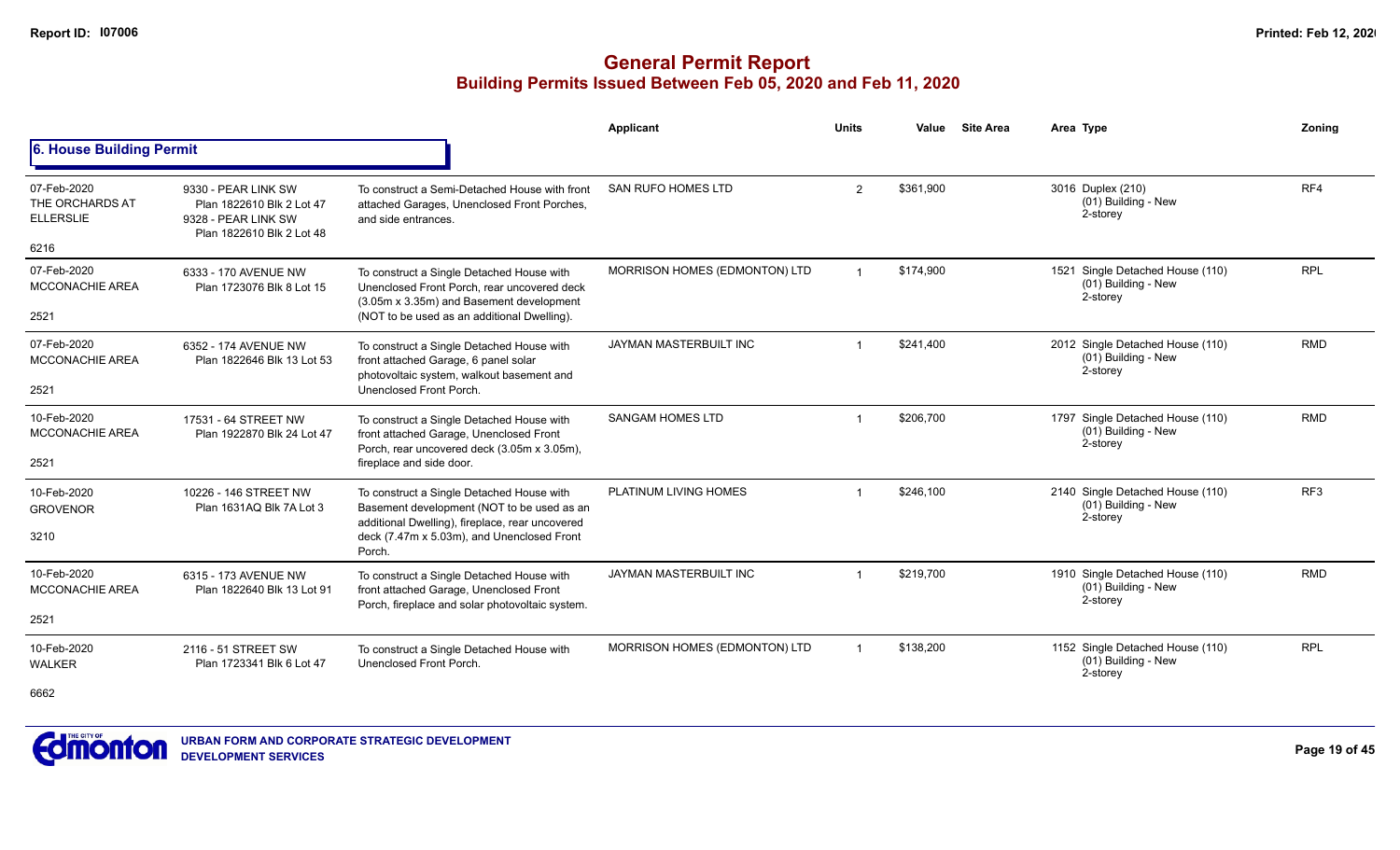|                                                    |                                                                                                      |                                                                                                                                            | Applicant                     | <b>Units</b>   | Value     | <b>Site Area</b> | Area Type                                                             | Zonina     |
|----------------------------------------------------|------------------------------------------------------------------------------------------------------|--------------------------------------------------------------------------------------------------------------------------------------------|-------------------------------|----------------|-----------|------------------|-----------------------------------------------------------------------|------------|
| 6. House Building Permit                           |                                                                                                      |                                                                                                                                            |                               |                |           |                  |                                                                       |            |
| 07-Feb-2020<br>THE ORCHARDS AT<br><b>ELLERSLIE</b> | 9330 - PEAR LINK SW<br>Plan 1822610 Blk 2 Lot 47<br>9328 - PEAR LINK SW<br>Plan 1822610 Blk 2 Lot 48 | To construct a Semi-Detached House with front<br>attached Garages, Unenclosed Front Porches,<br>and side entrances.                        | <b>SAN RUFO HOMES LTD</b>     | $\overline{2}$ | \$361,900 |                  | 3016 Duplex (210)<br>(01) Building - New<br>2-storey                  | RF4        |
| 6216                                               |                                                                                                      |                                                                                                                                            |                               |                |           |                  |                                                                       |            |
| 07-Feb-2020<br><b>MCCONACHIE AREA</b>              | 6333 - 170 AVENUE NW<br>Plan 1723076 Blk 8 Lot 15                                                    | To construct a Single Detached House with<br>Unenclosed Front Porch, rear uncovered deck<br>(3.05m x 3.35m) and Basement development       | MORRISON HOMES (EDMONTON) LTD |                | \$174.900 |                  | 1521 Single Detached House (110)<br>$(01)$ Building - New<br>2-storey | <b>RPL</b> |
| 2521                                               |                                                                                                      | (NOT to be used as an additional Dwelling).                                                                                                |                               |                |           |                  |                                                                       |            |
| 07-Feb-2020<br><b>MCCONACHIE AREA</b>              | 6352 - 174 AVENUE NW<br>Plan 1822646 Blk 13 Lot 53                                                   | To construct a Single Detached House with<br>front attached Garage, 6 panel solar<br>photovoltaic system, walkout basement and             | <b>JAYMAN MASTERBUILT INC</b> |                | \$241,400 |                  | 2012 Single Detached House (110)<br>(01) Building - New<br>2-storey   | <b>RMD</b> |
| 2521                                               |                                                                                                      | Unenclosed Front Porch.                                                                                                                    |                               |                |           |                  |                                                                       |            |
| 10-Feb-2020<br><b>MCCONACHIE AREA</b>              | 17531 - 64 STREET NW<br>Plan 1922870 Blk 24 Lot 47                                                   | To construct a Single Detached House with<br>front attached Garage, Unenclosed Front<br>Porch, rear uncovered deck (3.05m x 3.05m),        | <b>SANGAM HOMES LTD</b>       |                | \$206.700 |                  | 1797 Single Detached House (110)<br>(01) Building - New<br>2-storey   | <b>RMD</b> |
| 2521                                               |                                                                                                      | fireplace and side door.                                                                                                                   |                               |                |           |                  |                                                                       |            |
| 10-Feb-2020<br><b>GROVENOR</b>                     | 10226 - 146 STREET NW<br>Plan 1631AQ Blk 7A Lot 3                                                    | To construct a Single Detached House with<br>Basement development (NOT to be used as an<br>additional Dwelling), fireplace, rear uncovered | PLATINUM LIVING HOMES         |                | \$246,100 |                  | 2140 Single Detached House (110)<br>(01) Building - New<br>2-storey   | RF3        |
| 3210                                               |                                                                                                      | deck (7.47m x 5.03m), and Unenclosed Front<br>Porch.                                                                                       |                               |                |           |                  |                                                                       |            |
| 10-Feb-2020<br><b>MCCONACHIE AREA</b>              | 6315 - 173 AVENUE NW<br>Plan 1822640 Blk 13 Lot 91                                                   | To construct a Single Detached House with<br>front attached Garage, Unenclosed Front                                                       | <b>JAYMAN MASTERBUILT INC</b> |                | \$219,700 |                  | 1910 Single Detached House (110)<br>(01) Building - New<br>2-storey   | <b>RMD</b> |
| 2521                                               |                                                                                                      | Porch, fireplace and solar photovoltaic system.                                                                                            |                               |                |           |                  |                                                                       |            |
| 10-Feb-2020<br><b>WALKER</b>                       | 2116 - 51 STREET SW<br>Plan 1723341 Blk 6 Lot 47                                                     | To construct a Single Detached House with<br>Unenclosed Front Porch.                                                                       | MORRISON HOMES (EDMONTON) LTD |                | \$138,200 |                  | 1152 Single Detached House (110)<br>(01) Building - New<br>2-storey   | <b>RPL</b> |
| 6662                                               |                                                                                                      |                                                                                                                                            |                               |                |           |                  |                                                                       |            |

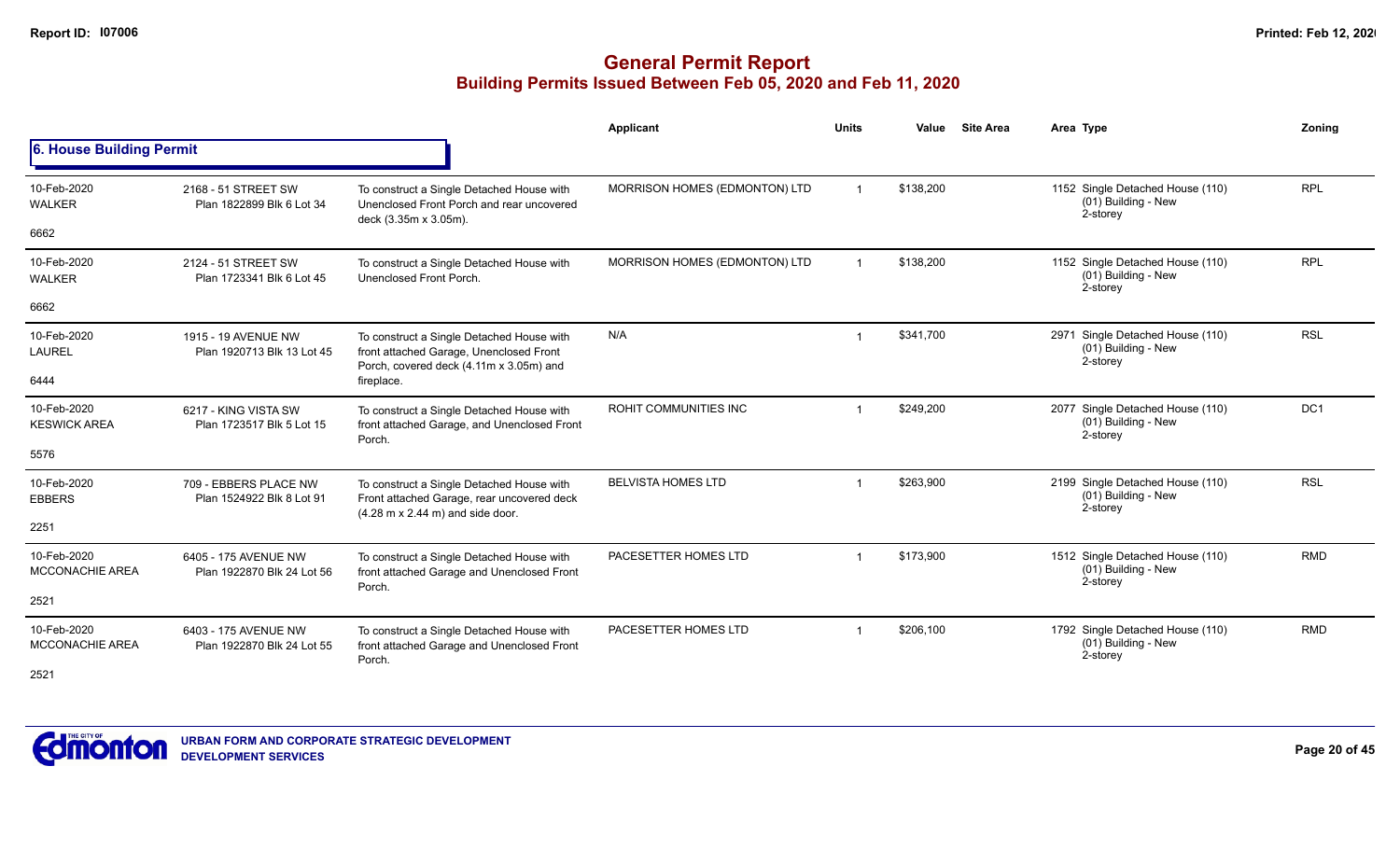|                                       |                                                    |                                                                                                                                                    | Applicant                     | <b>Units</b> | Value     | <b>Site Area</b> | Area Type                                                           | Zoning     |
|---------------------------------------|----------------------------------------------------|----------------------------------------------------------------------------------------------------------------------------------------------------|-------------------------------|--------------|-----------|------------------|---------------------------------------------------------------------|------------|
| 6. House Building Permit              |                                                    |                                                                                                                                                    |                               |              |           |                  |                                                                     |            |
| 10-Feb-2020<br><b>WALKER</b>          | 2168 - 51 STREET SW<br>Plan 1822899 Blk 6 Lot 34   | To construct a Single Detached House with<br>Unenclosed Front Porch and rear uncovered<br>deck (3.35m x 3.05m).                                    | MORRISON HOMES (EDMONTON) LTD |              | \$138,200 |                  | 1152 Single Detached House (110)<br>(01) Building - New<br>2-storey | <b>RPL</b> |
| 6662                                  |                                                    |                                                                                                                                                    |                               |              |           |                  |                                                                     |            |
| 10-Feb-2020<br><b>WALKER</b>          | 2124 - 51 STREET SW<br>Plan 1723341 Blk 6 Lot 45   | To construct a Single Detached House with<br>Unenclosed Front Porch.                                                                               | MORRISON HOMES (EDMONTON) LTD |              | \$138,200 |                  | 1152 Single Detached House (110)<br>(01) Building - New<br>2-storey | <b>RPL</b> |
| 6662                                  |                                                    |                                                                                                                                                    |                               |              |           |                  |                                                                     |            |
| 10-Feb-2020<br><b>LAUREL</b>          | 1915 - 19 AVENUE NW<br>Plan 1920713 Blk 13 Lot 45  | To construct a Single Detached House with<br>front attached Garage, Unenclosed Front<br>Porch, covered deck (4.11m x 3.05m) and                    | N/A                           | -1           | \$341,700 |                  | 2971 Single Detached House (110)<br>(01) Building - New<br>2-storey | <b>RSL</b> |
| 6444                                  |                                                    | fireplace.                                                                                                                                         |                               |              |           |                  |                                                                     |            |
| 10-Feb-2020<br><b>KESWICK AREA</b>    | 6217 - KING VISTA SW<br>Plan 1723517 Blk 5 Lot 15  | To construct a Single Detached House with<br>front attached Garage, and Unenclosed Front<br>Porch.                                                 | ROHIT COMMUNITIES INC         |              | \$249,200 |                  | 2077 Single Detached House (110)<br>(01) Building - New<br>2-storey | DC1        |
| 5576                                  |                                                    |                                                                                                                                                    |                               |              |           |                  |                                                                     |            |
| 10-Feb-2020<br><b>EBBERS</b>          | 709 - EBBERS PLACE NW<br>Plan 1524922 Blk 8 Lot 91 | To construct a Single Detached House with<br>Front attached Garage, rear uncovered deck<br>$(4.28 \text{ m} \times 2.44 \text{ m})$ and side door. | <b>BELVISTA HOMES LTD</b>     | -1           | \$263,900 |                  | 2199 Single Detached House (110)<br>(01) Building - New<br>2-storey | <b>RSL</b> |
| 2251                                  |                                                    |                                                                                                                                                    |                               |              |           |                  |                                                                     |            |
| 10-Feb-2020<br><b>MCCONACHIE AREA</b> | 6405 - 175 AVENUE NW<br>Plan 1922870 Blk 24 Lot 56 | To construct a Single Detached House with<br>front attached Garage and Unenclosed Front<br>Porch.                                                  | PACESETTER HOMES LTD          |              | \$173,900 |                  | 1512 Single Detached House (110)<br>(01) Building - New<br>2-storey | <b>RMD</b> |
| 2521                                  |                                                    |                                                                                                                                                    |                               |              |           |                  |                                                                     |            |
| 10-Feb-2020<br><b>MCCONACHIE AREA</b> | 6403 - 175 AVENUE NW<br>Plan 1922870 Blk 24 Lot 55 | To construct a Single Detached House with<br>front attached Garage and Unenclosed Front<br>Porch.                                                  | PACESETTER HOMES LTD          | -1           | \$206,100 |                  | 1792 Single Detached House (110)<br>(01) Building - New<br>2-storey | <b>RMD</b> |
| 2521                                  |                                                    |                                                                                                                                                    |                               |              |           |                  |                                                                     |            |

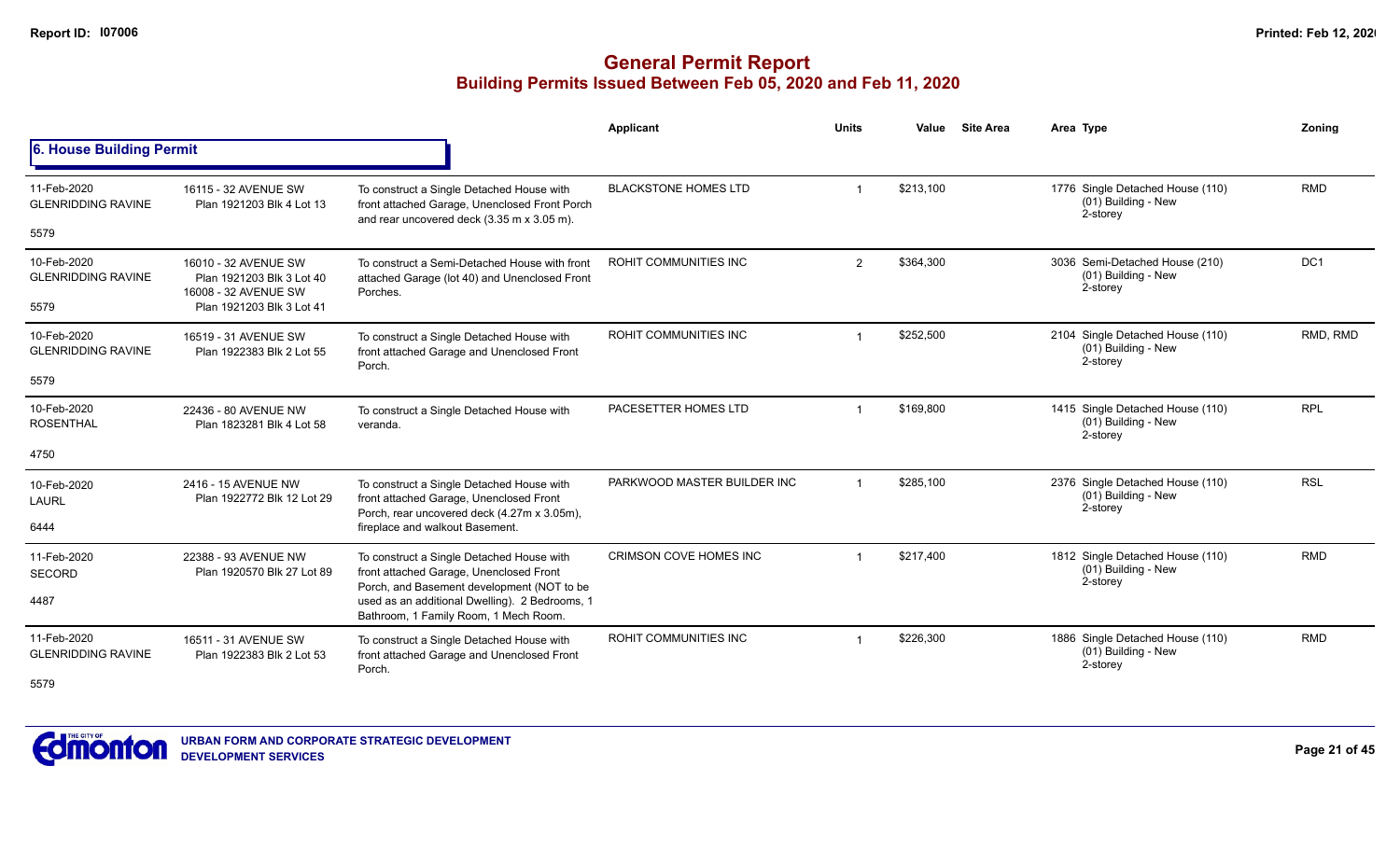|                                          |                                                                           |                                                                                                                                          | Applicant                     | <b>Units</b> | Value     | <b>Site Area</b> | Area Type                                                           | Zoning          |
|------------------------------------------|---------------------------------------------------------------------------|------------------------------------------------------------------------------------------------------------------------------------------|-------------------------------|--------------|-----------|------------------|---------------------------------------------------------------------|-----------------|
| 6. House Building Permit                 |                                                                           |                                                                                                                                          |                               |              |           |                  |                                                                     |                 |
| 11-Feb-2020<br><b>GLENRIDDING RAVINE</b> | 16115 - 32 AVENUE SW<br>Plan 1921203 Blk 4 Lot 13                         | To construct a Single Detached House with<br>front attached Garage, Unenclosed Front Porch<br>and rear uncovered deck (3.35 m x 3.05 m). | <b>BLACKSTONE HOMES LTD</b>   |              | \$213,100 |                  | 1776 Single Detached House (110)<br>(01) Building - New<br>2-storey | <b>RMD</b>      |
| 5579                                     |                                                                           |                                                                                                                                          |                               |              |           |                  |                                                                     |                 |
| 10-Feb-2020<br><b>GLENRIDDING RAVINE</b> | 16010 - 32 AVENUE SW<br>Plan 1921203 Blk 3 Lot 40<br>16008 - 32 AVENUE SW | To construct a Semi-Detached House with front<br>attached Garage (lot 40) and Unenclosed Front<br>Porches.                               | <b>ROHIT COMMUNITIES INC</b>  | 2            | \$364,300 |                  | 3036 Semi-Detached House (210)<br>(01) Building - New<br>2-storey   | DC <sub>1</sub> |
| 5579                                     | Plan 1921203 Blk 3 Lot 41                                                 |                                                                                                                                          |                               |              |           |                  |                                                                     |                 |
| 10-Feb-2020<br><b>GLENRIDDING RAVINE</b> | 16519 - 31 AVENUE SW<br>Plan 1922383 Blk 2 Lot 55                         | To construct a Single Detached House with<br>front attached Garage and Unenclosed Front<br>Porch.                                        | <b>ROHIT COMMUNITIES INC</b>  | -1           | \$252,500 |                  | 2104 Single Detached House (110)<br>(01) Building - New<br>2-storey | RMD, RMD        |
| 5579                                     |                                                                           |                                                                                                                                          |                               |              |           |                  |                                                                     |                 |
| 10-Feb-2020<br><b>ROSENTHAL</b>          | 22436 - 80 AVENUE NW<br>Plan 1823281 Blk 4 Lot 58                         | To construct a Single Detached House with<br>veranda.                                                                                    | PACESETTER HOMES LTD          | -1           | \$169,800 |                  | 1415 Single Detached House (110)<br>(01) Building - New<br>2-storey | <b>RPL</b>      |
| 4750                                     |                                                                           |                                                                                                                                          |                               |              |           |                  |                                                                     |                 |
| 10-Feb-2020<br>LAURL                     | 2416 - 15 AVENUE NW<br>Plan 1922772 Blk 12 Lot 29                         | To construct a Single Detached House with<br>front attached Garage, Unenclosed Front<br>Porch, rear uncovered deck (4.27m x 3.05m),      | PARKWOOD MASTER BUILDER INC   |              | \$285.100 |                  | 2376 Single Detached House (110)<br>(01) Building - New<br>2-storey | <b>RSL</b>      |
| 6444                                     |                                                                           | fireplace and walkout Basement.                                                                                                          |                               |              |           |                  |                                                                     |                 |
| 11-Feb-2020<br><b>SECORD</b>             | 22388 - 93 AVENUE NW<br>Plan 1920570 Blk 27 Lot 89                        | To construct a Single Detached House with<br>front attached Garage, Unenclosed Front<br>Porch, and Basement development (NOT to be       | <b>CRIMSON COVE HOMES INC</b> |              | \$217,400 |                  | 1812 Single Detached House (110)<br>(01) Building - New<br>2-storey | <b>RMD</b>      |
| 4487                                     |                                                                           | used as an additional Dwelling). 2 Bedrooms, 1<br>Bathroom, 1 Family Room, 1 Mech Room.                                                  |                               |              |           |                  |                                                                     |                 |
| 11-Feb-2020<br><b>GLENRIDDING RAVINE</b> | 16511 - 31 AVENUE SW<br>Plan 1922383 Blk 2 Lot 53                         | To construct a Single Detached House with<br>front attached Garage and Unenclosed Front<br>Porch.                                        | <b>ROHIT COMMUNITIES INC</b>  |              | \$226,300 |                  | 1886 Single Detached House (110)<br>(01) Building - New<br>2-storey | <b>RMD</b>      |
| 5579                                     |                                                                           |                                                                                                                                          |                               |              |           |                  |                                                                     |                 |

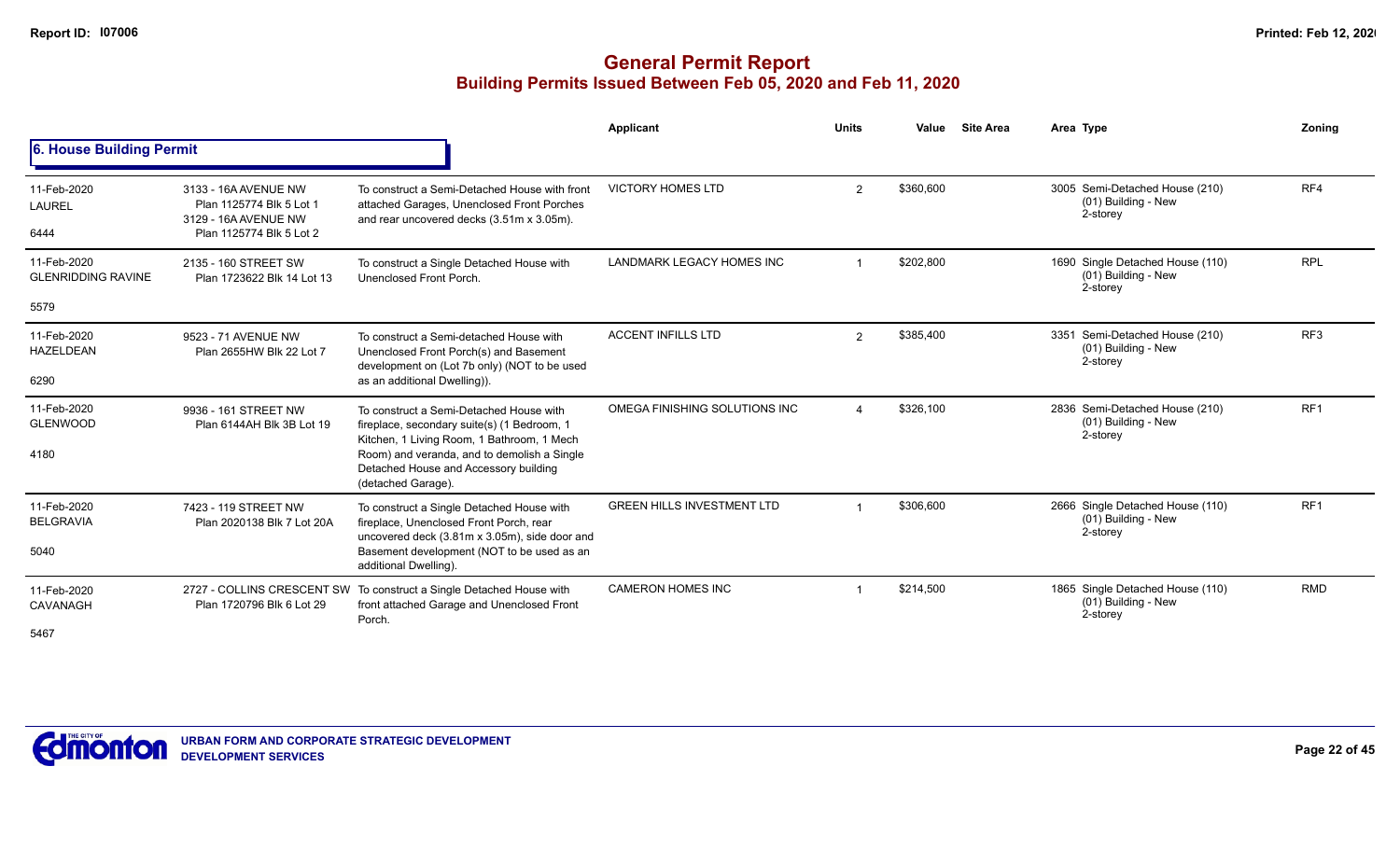|                                          |                                                                                                      |                                                                                                                                          | Applicant                         | <b>Units</b>   | Value     | <b>Site Area</b> | Area Type                                                           | Zoning          |
|------------------------------------------|------------------------------------------------------------------------------------------------------|------------------------------------------------------------------------------------------------------------------------------------------|-----------------------------------|----------------|-----------|------------------|---------------------------------------------------------------------|-----------------|
| 6. House Building Permit                 |                                                                                                      |                                                                                                                                          |                                   |                |           |                  |                                                                     |                 |
| 11-Feb-2020<br><b>LAUREL</b><br>6444     | 3133 - 16A AVENUE NW<br>Plan 1125774 Blk 5 Lot 1<br>3129 - 16A AVENUE NW<br>Plan 1125774 Blk 5 Lot 2 | To construct a Semi-Detached House with front<br>attached Garages, Unenclosed Front Porches<br>and rear uncovered decks (3.51m x 3.05m). | <b>VICTORY HOMES LTD</b>          | $\overline{2}$ | \$360,600 |                  | 3005 Semi-Detached House (210)<br>(01) Building - New<br>2-storey   | RF4             |
| 11-Feb-2020<br><b>GLENRIDDING RAVINE</b> | 2135 - 160 STREET SW<br>Plan 1723622 Blk 14 Lot 13                                                   | To construct a Single Detached House with<br>Unenclosed Front Porch.                                                                     | <b>LANDMARK LEGACY HOMES INC</b>  |                | \$202,800 |                  | 1690 Single Detached House (110)<br>(01) Building - New<br>2-storey | <b>RPL</b>      |
| 5579                                     |                                                                                                      |                                                                                                                                          |                                   |                |           |                  |                                                                     |                 |
| 11-Feb-2020<br><b>HAZELDEAN</b>          | 9523 - 71 AVENUE NW<br>Plan 2655HW Blk 22 Lot 7                                                      | To construct a Semi-detached House with<br>Unenclosed Front Porch(s) and Basement<br>development on (Lot 7b only) (NOT to be used        | <b>ACCENT INFILLS LTD</b>         | $\mathcal{P}$  | \$385,400 |                  | 3351 Semi-Detached House (210)<br>(01) Building - New<br>2-storey   | RF <sub>3</sub> |
| 6290                                     |                                                                                                      | as an additional Dwelling)).                                                                                                             |                                   |                |           |                  |                                                                     |                 |
| 11-Feb-2020<br><b>GLENWOOD</b>           | 9936 - 161 STREET NW<br>Plan 6144AH Blk 3B Lot 19                                                    | To construct a Semi-Detached House with<br>fireplace, secondary suite(s) (1 Bedroom, 1<br>Kitchen, 1 Living Room, 1 Bathroom, 1 Mech     | OMEGA FINISHING SOLUTIONS INC     |                | \$326,100 |                  | 2836 Semi-Detached House (210)<br>(01) Building - New<br>2-storey   | RF <sub>1</sub> |
| 4180                                     |                                                                                                      | Room) and veranda, and to demolish a Single<br>Detached House and Accessory building<br>(detached Garage).                               |                                   |                |           |                  |                                                                     |                 |
| 11-Feb-2020<br><b>BELGRAVIA</b>          | 7423 - 119 STREET NW<br>Plan 2020138 Blk 7 Lot 20A                                                   | To construct a Single Detached House with<br>fireplace, Unenclosed Front Porch, rear<br>uncovered deck (3.81m x 3.05m), side door and    | <b>GREEN HILLS INVESTMENT LTD</b> |                | \$306.600 |                  | 2666 Single Detached House (110)<br>(01) Building - New<br>2-storey | RF <sub>1</sub> |
| 5040                                     |                                                                                                      | Basement development (NOT to be used as an<br>additional Dwelling).                                                                      |                                   |                |           |                  |                                                                     |                 |
| 11-Feb-2020<br>CAVANAGH                  | Plan 1720796 Blk 6 Lot 29                                                                            | 2727 - COLLINS CRESCENT SW To construct a Single Detached House with<br>front attached Garage and Unenclosed Front<br>Porch.             | <b>CAMERON HOMES INC</b>          |                | \$214,500 |                  | 1865 Single Detached House (110)<br>(01) Building - New<br>2-storey | <b>RMD</b>      |
| 5467                                     |                                                                                                      |                                                                                                                                          |                                   |                |           |                  |                                                                     |                 |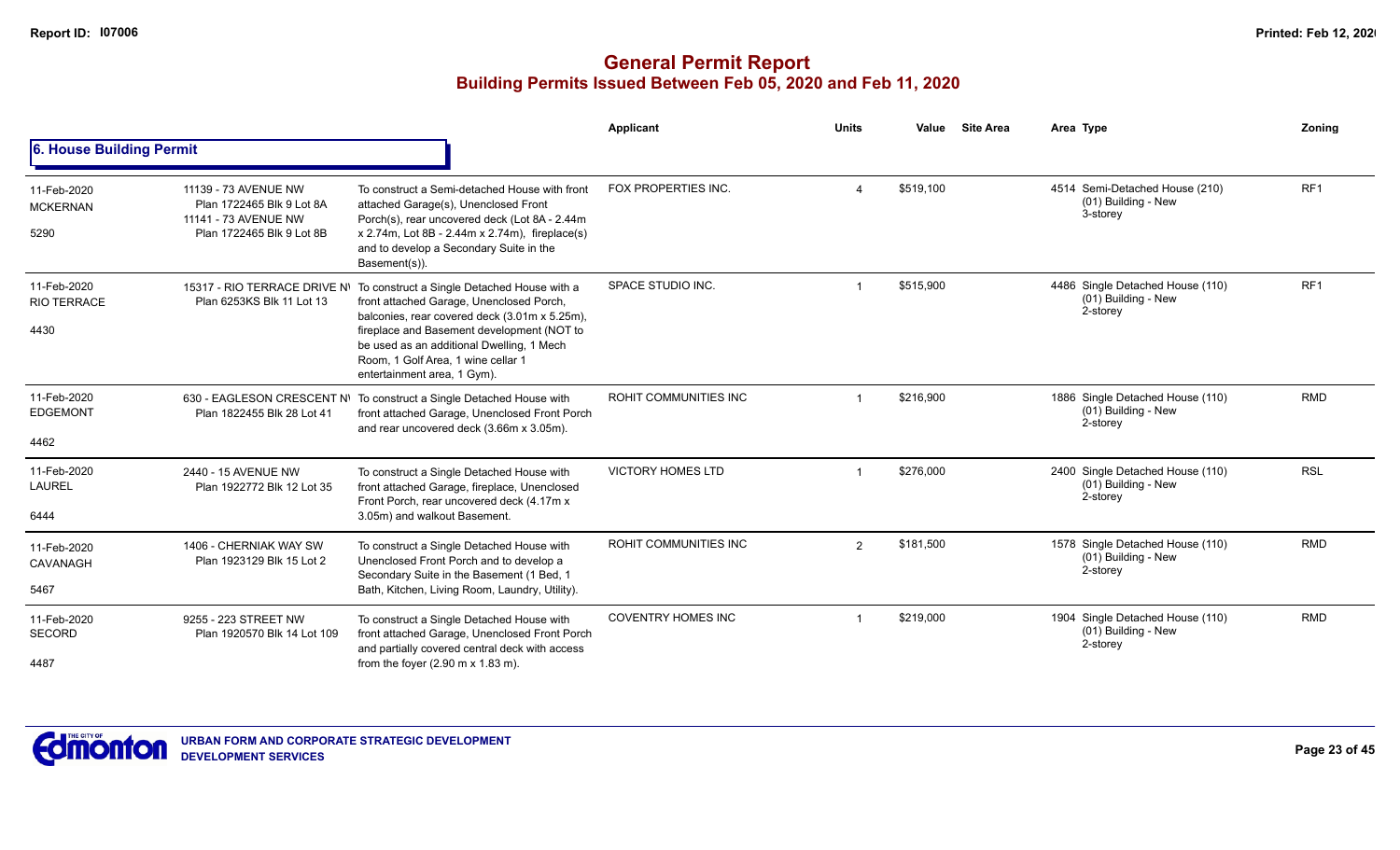|                                           |                                                                                                        |                                                                                                                                                                                                                                                                                                          | Applicant                 | <b>Units</b>   | Value     | <b>Site Area</b> | Area Type                                                           | Zoning          |
|-------------------------------------------|--------------------------------------------------------------------------------------------------------|----------------------------------------------------------------------------------------------------------------------------------------------------------------------------------------------------------------------------------------------------------------------------------------------------------|---------------------------|----------------|-----------|------------------|---------------------------------------------------------------------|-----------------|
| 6. House Building Permit                  |                                                                                                        |                                                                                                                                                                                                                                                                                                          |                           |                |           |                  |                                                                     |                 |
| 11-Feb-2020<br><b>MCKERNAN</b><br>5290    | 11139 - 73 AVENUE NW<br>Plan 1722465 Blk 9 Lot 8A<br>11141 - 73 AVENUE NW<br>Plan 1722465 Blk 9 Lot 8B | To construct a Semi-detached House with front<br>attached Garage(s), Unenclosed Front<br>Porch(s), rear uncovered deck (Lot 8A - 2.44m<br>x 2.74m, Lot 8B - 2.44m x 2.74m), fireplace(s)<br>and to develop a Secondary Suite in the<br>Basement(s)).                                                     | FOX PROPERTIES INC.       |                | \$519,100 |                  | 4514 Semi-Detached House (210)<br>(01) Building - New<br>3-storey   | RF <sub>1</sub> |
| 11-Feb-2020<br><b>RIO TERRACE</b><br>4430 | 15317 - RIO TERRACE DRIVE NI<br>Plan 6253KS Blk 11 Lot 13                                              | To construct a Single Detached House with a<br>front attached Garage, Unenclosed Porch,<br>balconies, rear covered deck (3.01m x 5.25m),<br>fireplace and Basement development (NOT to<br>be used as an additional Dwelling, 1 Mech<br>Room, 1 Golf Area, 1 wine cellar 1<br>entertainment area, 1 Gym). | SPACE STUDIO INC.         |                | \$515,900 |                  | 4486 Single Detached House (110)<br>(01) Building - New<br>2-storey | RF <sub>1</sub> |
| 11-Feb-2020<br><b>EDGEMONT</b><br>4462    | Plan 1822455 Blk 28 Lot 41                                                                             | 630 - EAGLESON CRESCENT N\ To construct a Single Detached House with<br>front attached Garage, Unenclosed Front Porch<br>and rear uncovered deck (3.66m x 3.05m).                                                                                                                                        | ROHIT COMMUNITIES INC     |                | \$216,900 |                  | 1886 Single Detached House (110)<br>(01) Building - New<br>2-storey | <b>RMD</b>      |
| 11-Feb-2020<br><b>LAUREL</b><br>6444      | 2440 - 15 AVENUE NW<br>Plan 1922772 Blk 12 Lot 35                                                      | To construct a Single Detached House with<br>front attached Garage, fireplace, Unenclosed<br>Front Porch, rear uncovered deck (4.17m x<br>3.05m) and walkout Basement.                                                                                                                                   | <b>VICTORY HOMES LTD</b>  |                | \$276,000 |                  | 2400 Single Detached House (110)<br>(01) Building - New<br>2-storey | <b>RSL</b>      |
| 11-Feb-2020<br>CAVANAGH<br>5467           | 1406 - CHERNIAK WAY SW<br>Plan 1923129 Blk 15 Lot 2                                                    | To construct a Single Detached House with<br>Unenclosed Front Porch and to develop a<br>Secondary Suite in the Basement (1 Bed, 1<br>Bath, Kitchen, Living Room, Laundry, Utility).                                                                                                                      | ROHIT COMMUNITIES INC     | $\overline{2}$ | \$181,500 |                  | 1578 Single Detached House (110)<br>(01) Building - New<br>2-storey | <b>RMD</b>      |
| 11-Feb-2020<br><b>SECORD</b><br>4487      | 9255 - 223 STREET NW<br>Plan 1920570 Blk 14 Lot 109                                                    | To construct a Single Detached House with<br>front attached Garage, Unenclosed Front Porch<br>and partially covered central deck with access<br>from the foyer $(2.90 \text{ m} \times 1.83 \text{ m})$ .                                                                                                | <b>COVENTRY HOMES INC</b> |                | \$219,000 |                  | 1904 Single Detached House (110)<br>(01) Building - New<br>2-storey | <b>RMD</b>      |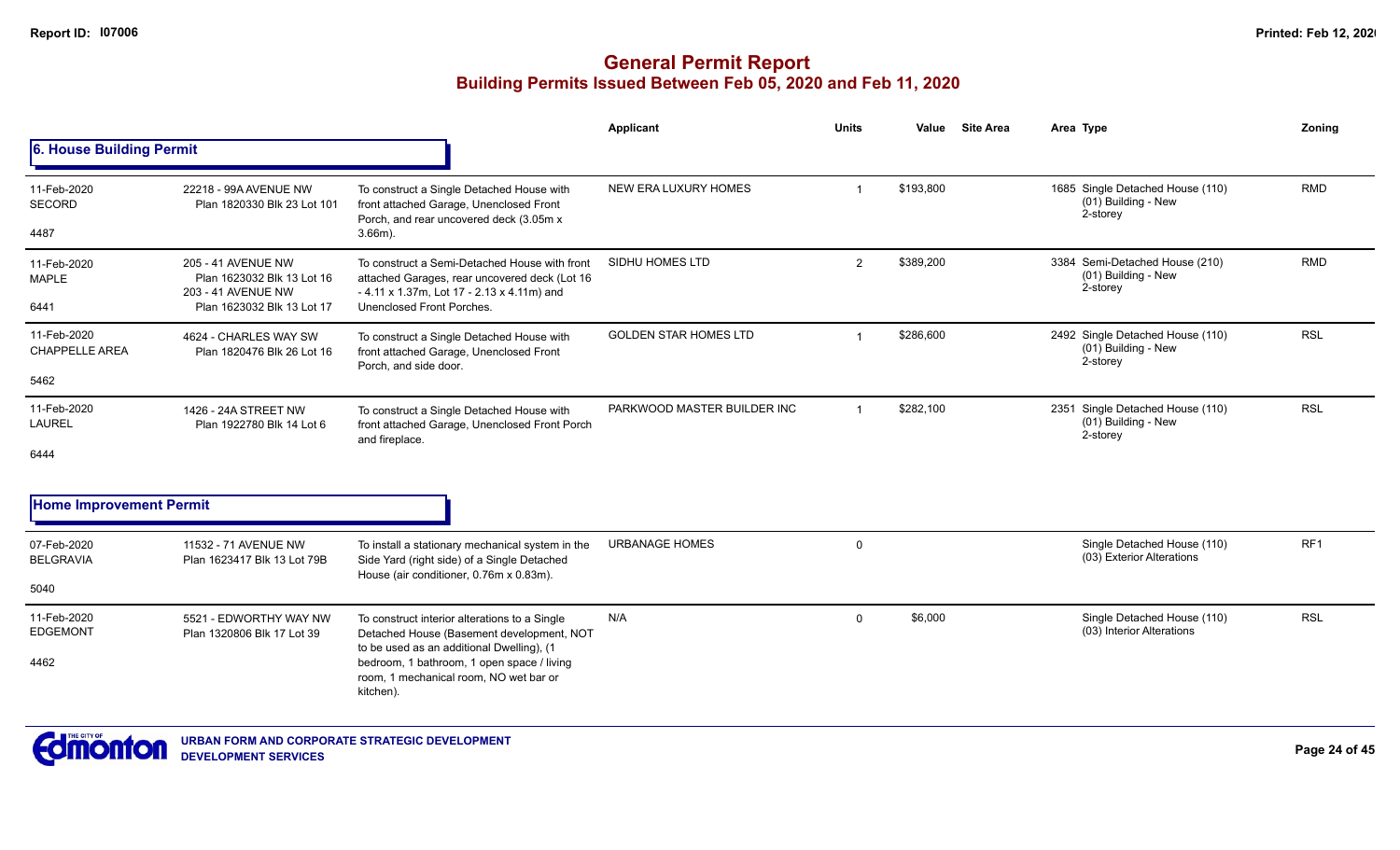## **General Permit Report Building Permits Issued Between Feb 05, 2020 and Feb 11, 2020**

|                                      |                                                                        |                                                                                                                                              | <b>Applicant</b>             | <b>Units</b>            | Value     | <b>Site Area</b> | Area Type                                                           | Zoning          |
|--------------------------------------|------------------------------------------------------------------------|----------------------------------------------------------------------------------------------------------------------------------------------|------------------------------|-------------------------|-----------|------------------|---------------------------------------------------------------------|-----------------|
| 6. House Building Permit             |                                                                        |                                                                                                                                              |                              |                         |           |                  |                                                                     |                 |
| 11-Feb-2020<br><b>SECORD</b>         | 22218 - 99A AVENUE NW<br>Plan 1820330 Blk 23 Lot 101                   | To construct a Single Detached House with<br>front attached Garage, Unenclosed Front<br>Porch, and rear uncovered deck (3.05m x)             | NEW ERA LUXURY HOMES         | $\overline{\mathbf{1}}$ | \$193,800 |                  | 1685 Single Detached House (110)<br>(01) Building - New<br>2-storey | <b>RMD</b>      |
| 4487                                 |                                                                        | $3.66m$ ).                                                                                                                                   |                              |                         |           |                  |                                                                     |                 |
| 11-Feb-2020<br><b>MAPLE</b>          | 205 - 41 AVENUE NW<br>Plan 1623032 Blk 13 Lot 16<br>203 - 41 AVENUE NW | To construct a Semi-Detached House with front<br>attached Garages, rear uncovered deck (Lot 16<br>- 4.11 x 1.37m, Lot 17 - 2.13 x 4.11m) and | SIDHU HOMES LTD              | 2                       | \$389,200 |                  | 3384 Semi-Detached House (210)<br>(01) Building - New<br>2-storey   | <b>RMD</b>      |
| 6441                                 | Plan 1623032 Blk 13 Lot 17                                             | Unenclosed Front Porches.                                                                                                                    |                              |                         |           |                  |                                                                     |                 |
| 11-Feb-2020<br><b>CHAPPELLE AREA</b> | 4624 - CHARLES WAY SW<br>Plan 1820476 Blk 26 Lot 16                    | To construct a Single Detached House with<br>front attached Garage, Unenclosed Front<br>Porch, and side door.                                | <b>GOLDEN STAR HOMES LTD</b> | $\overline{\mathbf{1}}$ | \$286,600 |                  | 2492 Single Detached House (110)<br>(01) Building - New<br>2-storey | <b>RSL</b>      |
| 5462                                 |                                                                        |                                                                                                                                              |                              |                         |           |                  |                                                                     |                 |
| 11-Feb-2020<br><b>LAUREL</b>         | 1426 - 24A STREET NW<br>Plan 1922780 Blk 14 Lot 6                      | To construct a Single Detached House with<br>front attached Garage, Unenclosed Front Porch<br>and fireplace.                                 | PARKWOOD MASTER BUILDER INC  | $\overline{1}$          | \$282,100 |                  | 2351 Single Detached House (110)<br>(01) Building - New<br>2-storey | <b>RSL</b>      |
| 6444                                 |                                                                        |                                                                                                                                              |                              |                         |           |                  |                                                                     |                 |
| <b>Home Improvement Permit</b>       |                                                                        |                                                                                                                                              |                              |                         |           |                  |                                                                     |                 |
| 07-Feb-2020<br><b>BELGRAVIA</b>      | 11532 - 71 AVENUE NW<br>Plan 1623417 Blk 13 Lot 79B                    | To install a stationary mechanical system in the<br>Side Yard (right side) of a Single Detached<br>House (air conditioner, 0.76m x 0.83m).   | <b>URBANAGE HOMES</b>        | 0                       |           |                  | Single Detached House (110)<br>(03) Exterior Alterations            | RF <sub>1</sub> |
| 5040                                 |                                                                        |                                                                                                                                              |                              |                         |           |                  |                                                                     |                 |
| 11-Feb-2020<br><b>EDGEMONT</b>       | 5521 - EDWORTHY WAY NW<br>Plan 1320806 Blk 17 Lot 39                   | To construct interior alterations to a Single<br>Detached House (Basement development, NOT<br>to be used as an additional Dwelling), (1      | N/A                          | $\mathbf 0$             | \$6,000   |                  | Single Detached House (110)<br>(03) Interior Alterations            | <b>RSL</b>      |
| 4462                                 |                                                                        | bedroom, 1 bathroom, 1 open space / living<br>room, 1 mechanical room, NO wet bar or<br>kitchen).                                            |                              |                         |           |                  |                                                                     |                 |



**Page 24 of 45**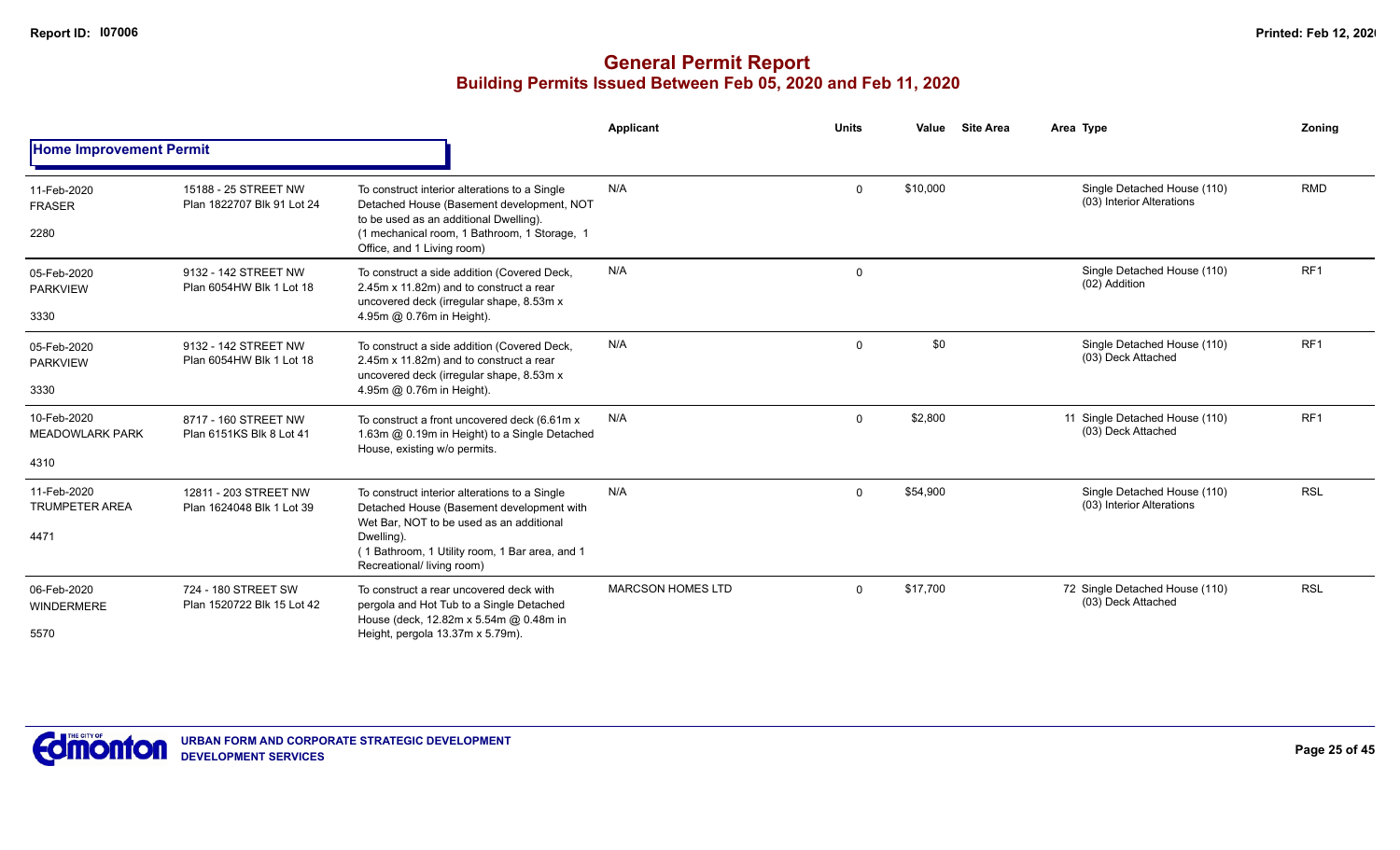|                                               |                                                    |                                                                                                                                                                                                                                      | Applicant                | <b>Units</b> | <b>Site Area</b><br>Value | Area Type                                                | Zoning          |
|-----------------------------------------------|----------------------------------------------------|--------------------------------------------------------------------------------------------------------------------------------------------------------------------------------------------------------------------------------------|--------------------------|--------------|---------------------------|----------------------------------------------------------|-----------------|
| <b>Home Improvement Permit</b>                |                                                    |                                                                                                                                                                                                                                      |                          |              |                           |                                                          |                 |
| 11-Feb-2020<br><b>FRASER</b><br>2280          | 15188 - 25 STREET NW<br>Plan 1822707 Blk 91 Lot 24 | To construct interior alterations to a Single<br>Detached House (Basement development, NOT<br>to be used as an additional Dwelling).<br>(1 mechanical room, 1 Bathroom, 1 Storage, 1<br>Office, and 1 Living room)                   | N/A                      | $\Omega$     | \$10,000                  | Single Detached House (110)<br>(03) Interior Alterations | <b>RMD</b>      |
| 05-Feb-2020<br><b>PARKVIEW</b><br>3330        | 9132 - 142 STREET NW<br>Plan 6054HW Blk 1 Lot 18   | To construct a side addition (Covered Deck,<br>2.45m x 11.82m) and to construct a rear<br>uncovered deck (irregular shape, 8.53m x<br>4.95m @ 0.76m in Height).                                                                      | N/A                      | $\mathbf 0$  |                           | Single Detached House (110)<br>(02) Addition             | RF <sub>1</sub> |
| 05-Feb-2020<br><b>PARKVIEW</b><br>3330        | 9132 - 142 STREET NW<br>Plan 6054HW Blk 1 Lot 18   | To construct a side addition (Covered Deck,<br>2.45m x 11.82m) and to construct a rear<br>uncovered deck (irregular shape, 8.53m x<br>4.95m @ 0.76m in Height).                                                                      | N/A                      | $\Omega$     | \$0                       | Single Detached House (110)<br>(03) Deck Attached        | RF <sub>1</sub> |
| 10-Feb-2020<br><b>MEADOWLARK PARK</b><br>4310 | 8717 - 160 STREET NW<br>Plan 6151KS Blk 8 Lot 41   | To construct a front uncovered deck (6.61m x<br>1.63m @ 0.19m in Height) to a Single Detached<br>House, existing w/o permits.                                                                                                        | N/A                      | $\Omega$     | \$2,800                   | 11 Single Detached House (110)<br>(03) Deck Attached     | RF <sub>1</sub> |
| 11-Feb-2020<br><b>TRUMPETER AREA</b><br>4471  | 12811 - 203 STREET NW<br>Plan 1624048 Blk 1 Lot 39 | To construct interior alterations to a Single<br>Detached House (Basement development with<br>Wet Bar, NOT to be used as an additional<br>Dwelling).<br>(1 Bathroom, 1 Utility room, 1 Bar area, and 1<br>Recreational/ living room) | N/A                      | $\Omega$     | \$54,900                  | Single Detached House (110)<br>(03) Interior Alterations | <b>RSL</b>      |
| 06-Feb-2020<br>WINDERMERE<br>5570             | 724 - 180 STREET SW<br>Plan 1520722 Blk 15 Lot 42  | To construct a rear uncovered deck with<br>pergola and Hot Tub to a Single Detached<br>House (deck, 12.82m x 5.54m @ 0.48m in<br>Height, pergola 13.37m x 5.79m).                                                                    | <b>MARCSON HOMES LTD</b> | $\Omega$     | \$17,700                  | 72 Single Detached House (110)<br>(03) Deck Attached     | <b>RSL</b>      |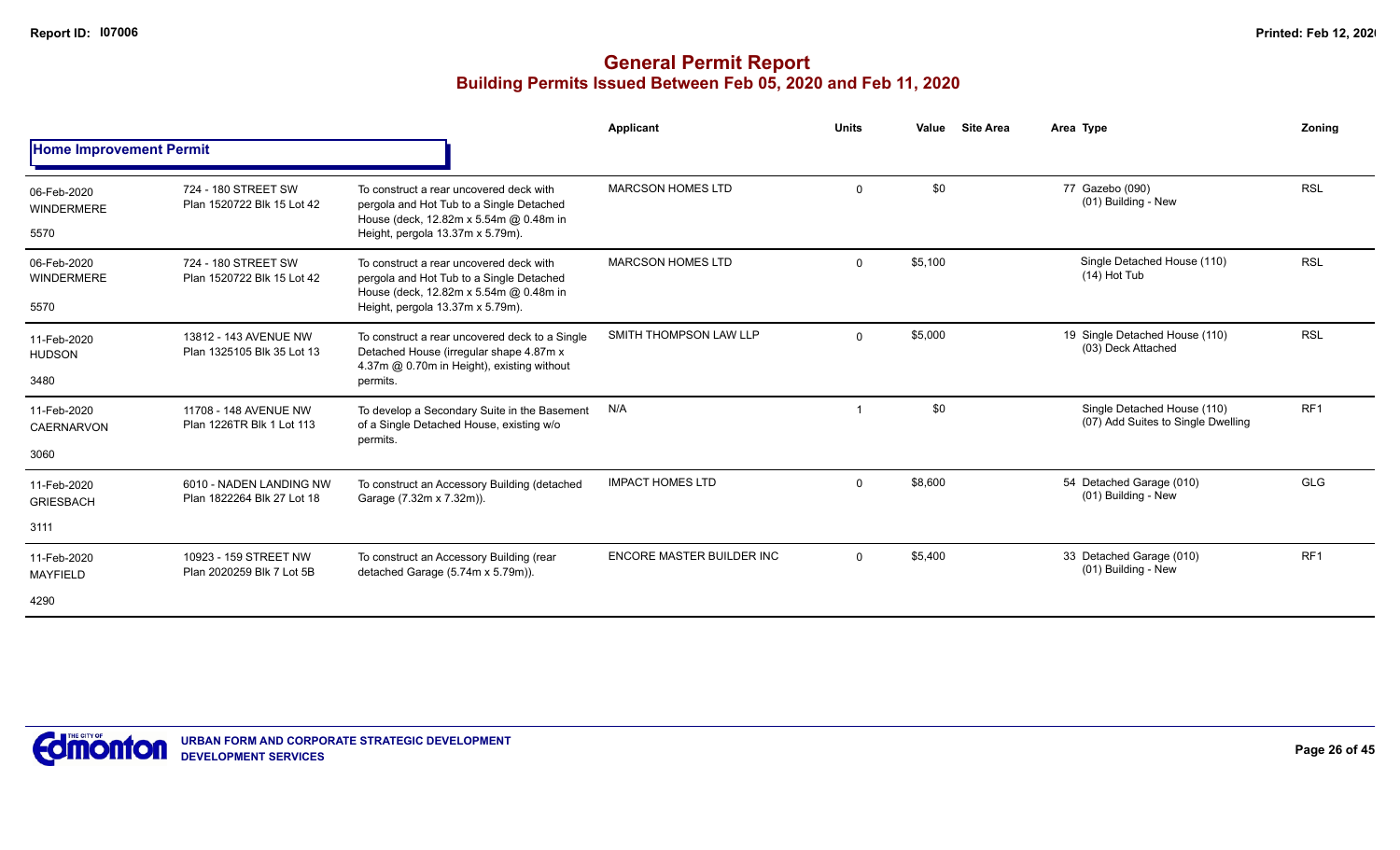|                                          |                                                       |                                                                                                                                                                   | <b>Applicant</b>          | <b>Units</b> | <b>Site Area</b><br>Value | Area Type                                                         | Zoning          |
|------------------------------------------|-------------------------------------------------------|-------------------------------------------------------------------------------------------------------------------------------------------------------------------|---------------------------|--------------|---------------------------|-------------------------------------------------------------------|-----------------|
| <b>Home Improvement Permit</b>           |                                                       |                                                                                                                                                                   |                           |              |                           |                                                                   |                 |
| 06-Feb-2020<br><b>WINDERMERE</b><br>5570 | 724 - 180 STREET SW<br>Plan 1520722 Blk 15 Lot 42     | To construct a rear uncovered deck with<br>pergola and Hot Tub to a Single Detached<br>House (deck, 12.82m x 5.54m @ 0.48m in<br>Height, pergola 13.37m x 5.79m). | <b>MARCSON HOMES LTD</b>  | $\mathbf 0$  | \$0                       | 77 Gazebo (090)<br>(01) Building - New                            | <b>RSL</b>      |
| 06-Feb-2020<br>WINDERMERE<br>5570        | 724 - 180 STREET SW<br>Plan 1520722 Blk 15 Lot 42     | To construct a rear uncovered deck with<br>pergola and Hot Tub to a Single Detached<br>House (deck, 12.82m x 5.54m @ 0.48m in<br>Height, pergola 13.37m x 5.79m). | <b>MARCSON HOMES LTD</b>  | $\Omega$     | \$5,100                   | Single Detached House (110)<br>$(14)$ Hot Tub                     | <b>RSL</b>      |
| 11-Feb-2020<br><b>HUDSON</b><br>3480     | 13812 - 143 AVENUE NW<br>Plan 1325105 Blk 35 Lot 13   | To construct a rear uncovered deck to a Single<br>Detached House (irregular shape 4.87m x<br>4.37m @ 0.70m in Height), existing without<br>permits.               | SMITH THOMPSON LAW LLP    | $\Omega$     | \$5,000                   | 19 Single Detached House (110)<br>(03) Deck Attached              | <b>RSL</b>      |
| 11-Feb-2020<br>CAERNARVON<br>3060        | 11708 - 148 AVENUE NW<br>Plan 1226TR Blk 1 Lot 113    | To develop a Secondary Suite in the Basement<br>of a Single Detached House, existing w/o<br>permits.                                                              | N/A                       |              | \$0                       | Single Detached House (110)<br>(07) Add Suites to Single Dwelling | RF <sub>1</sub> |
| 11-Feb-2020<br><b>GRIESBACH</b><br>3111  | 6010 - NADEN LANDING NW<br>Plan 1822264 Blk 27 Lot 18 | To construct an Accessory Building (detached<br>Garage (7.32m x 7.32m)).                                                                                          | <b>IMPACT HOMES LTD</b>   | $\Omega$     | \$8,600                   | 54 Detached Garage (010)<br>(01) Building - New                   | <b>GLG</b>      |
|                                          |                                                       |                                                                                                                                                                   |                           |              |                           |                                                                   |                 |
| 11-Feb-2020<br><b>MAYFIELD</b>           | 10923 - 159 STREET NW<br>Plan 2020259 Blk 7 Lot 5B    | To construct an Accessory Building (rear<br>detached Garage (5.74m x 5.79m)).                                                                                     | ENCORE MASTER BUILDER INC | $\Omega$     | \$5,400                   | 33 Detached Garage (010)<br>(01) Building - New                   | RF <sub>1</sub> |
| 4290                                     |                                                       |                                                                                                                                                                   |                           |              |                           |                                                                   |                 |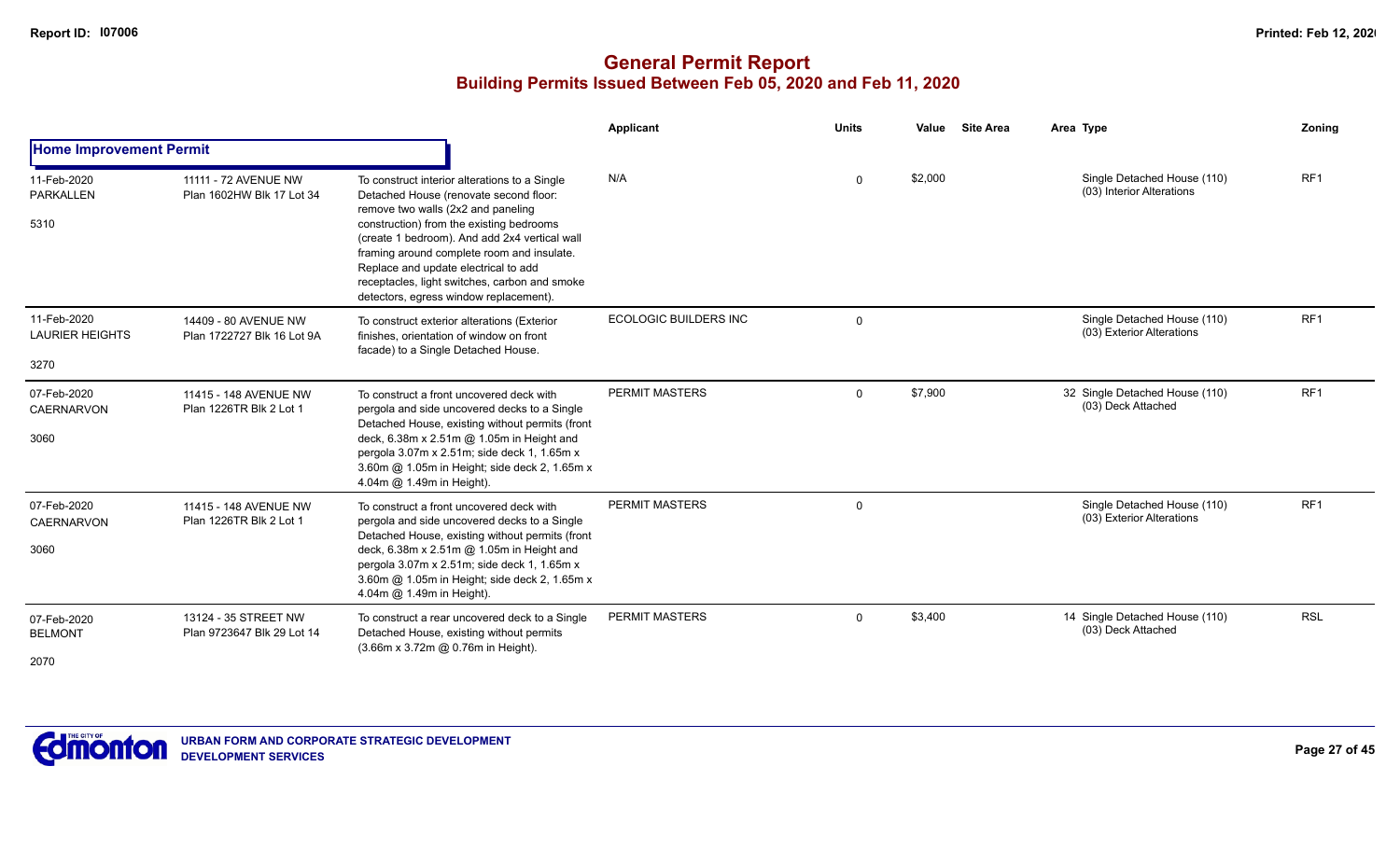|                                               |                                                    |                                                                                                                                                                                                                                                                                                                                                                                                             | Applicant                    | <b>Units</b> | Value   | <b>Site Area</b> | Area Type                                                | Zoning          |
|-----------------------------------------------|----------------------------------------------------|-------------------------------------------------------------------------------------------------------------------------------------------------------------------------------------------------------------------------------------------------------------------------------------------------------------------------------------------------------------------------------------------------------------|------------------------------|--------------|---------|------------------|----------------------------------------------------------|-----------------|
| <b>Home Improvement Permit</b>                |                                                    |                                                                                                                                                                                                                                                                                                                                                                                                             |                              |              |         |                  |                                                          |                 |
| 11-Feb-2020<br><b>PARKALLEN</b><br>5310       | 11111 - 72 AVENUE NW<br>Plan 1602HW Blk 17 Lot 34  | To construct interior alterations to a Single<br>Detached House (renovate second floor:<br>remove two walls (2x2 and paneling<br>construction) from the existing bedrooms<br>(create 1 bedroom). And add 2x4 vertical wall<br>framing around complete room and insulate.<br>Replace and update electrical to add<br>receptacles, light switches, carbon and smoke<br>detectors, egress window replacement). | N/A                          | 0            | \$2,000 |                  | Single Detached House (110)<br>(03) Interior Alterations | RF <sub>1</sub> |
| 11-Feb-2020<br><b>LAURIER HEIGHTS</b><br>3270 | 14409 - 80 AVENUE NW<br>Plan 1722727 Blk 16 Lot 9A | To construct exterior alterations (Exterior<br>finishes, orientation of window on front<br>facade) to a Single Detached House.                                                                                                                                                                                                                                                                              | <b>ECOLOGIC BUILDERS INC</b> | $\Omega$     |         |                  | Single Detached House (110)<br>(03) Exterior Alterations | RF <sub>1</sub> |
| 07-Feb-2020<br><b>CAERNARVON</b><br>3060      | 11415 - 148 AVENUE NW<br>Plan 1226TR Blk 2 Lot 1   | To construct a front uncovered deck with<br>pergola and side uncovered decks to a Single<br>Detached House, existing without permits (front<br>deck, 6.38m x 2.51m @ 1.05m in Height and<br>pergola 3.07m x 2.51m; side deck 1, 1.65m x<br>3.60m @ 1.05m in Height; side deck 2, 1.65m x<br>4.04m @ 1.49m in Height).                                                                                       | <b>PERMIT MASTERS</b>        | $\Omega$     | \$7,900 |                  | 32 Single Detached House (110)<br>(03) Deck Attached     | RF <sub>1</sub> |
| 07-Feb-2020<br><b>CAERNARVON</b><br>3060      | 11415 - 148 AVENUE NW<br>Plan 1226TR Blk 2 Lot 1   | To construct a front uncovered deck with<br>pergola and side uncovered decks to a Single<br>Detached House, existing without permits (front<br>deck, 6.38m x 2.51m @ 1.05m in Height and<br>pergola 3.07m x 2.51m; side deck 1, 1.65m x<br>3.60m @ 1.05m in Height; side deck 2, 1.65m x<br>4.04m @ 1.49m in Height).                                                                                       | <b>PERMIT MASTERS</b>        | 0            |         |                  | Single Detached House (110)<br>(03) Exterior Alterations | RF1             |
| 07-Feb-2020<br><b>BELMONT</b><br>2070         | 13124 - 35 STREET NW<br>Plan 9723647 Blk 29 Lot 14 | To construct a rear uncovered deck to a Single<br>Detached House, existing without permits<br>(3.66m x 3.72m @ 0.76m in Height).                                                                                                                                                                                                                                                                            | <b>PERMIT MASTERS</b>        | $\Omega$     | \$3,400 |                  | 14 Single Detached House (110)<br>(03) Deck Attached     | <b>RSL</b>      |

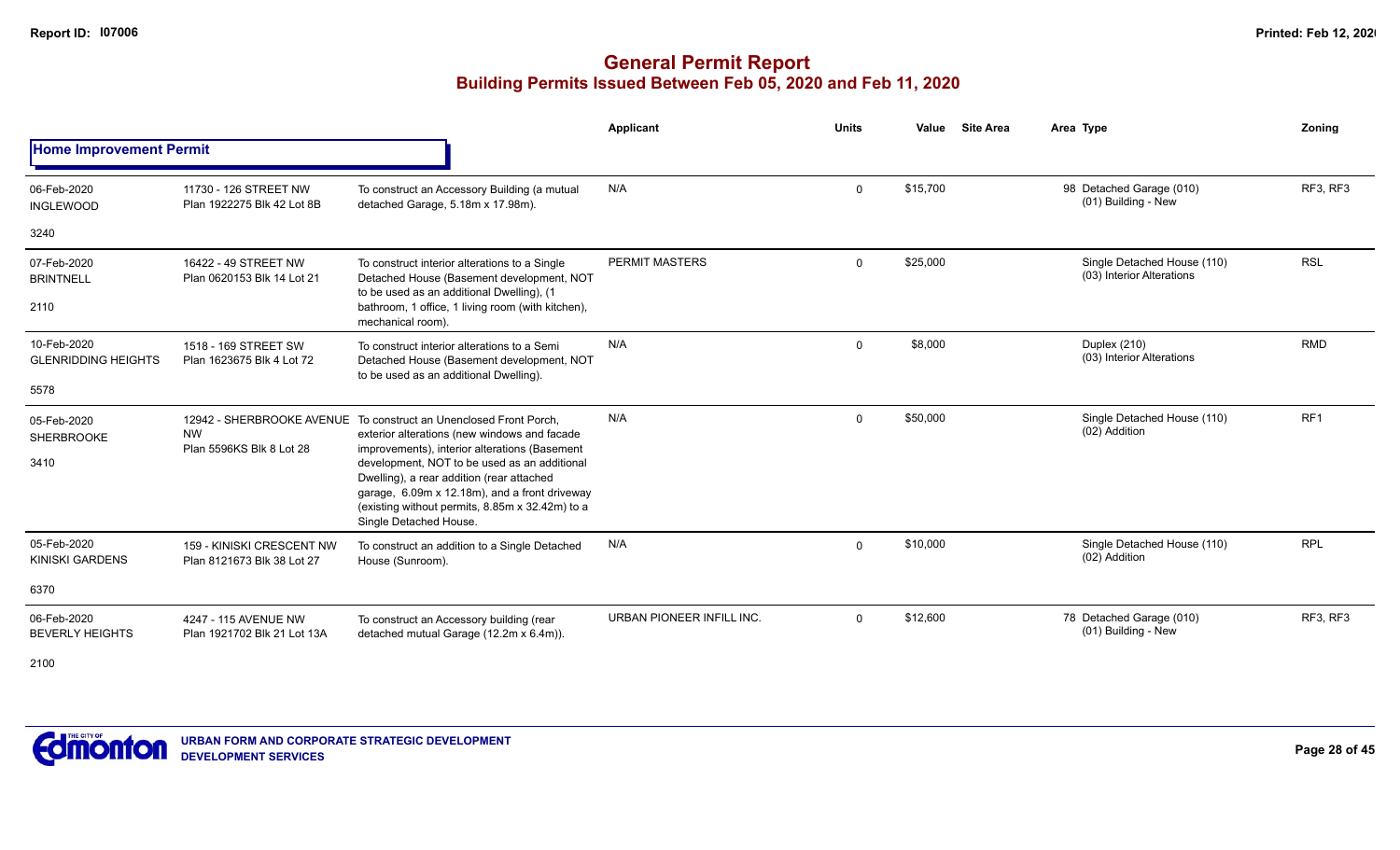## **General Permit Report Building Permits Issued Between Feb 05, 2020 and Feb 11, 2020**

|                                                   |                                                         |                                                                                                                                                                                                                                                                                                                                                                                               | Applicant                 | <b>Units</b> | Value    | <b>Site Area</b> | Area Type                                                | Zonina          |
|---------------------------------------------------|---------------------------------------------------------|-----------------------------------------------------------------------------------------------------------------------------------------------------------------------------------------------------------------------------------------------------------------------------------------------------------------------------------------------------------------------------------------------|---------------------------|--------------|----------|------------------|----------------------------------------------------------|-----------------|
| <b>Home Improvement Permit</b>                    |                                                         |                                                                                                                                                                                                                                                                                                                                                                                               |                           |              |          |                  |                                                          |                 |
| 06-Feb-2020<br><b>INGLEWOOD</b>                   | 11730 - 126 STREET NW<br>Plan 1922275 Blk 42 Lot 8B     | To construct an Accessory Building (a mutual<br>detached Garage, 5.18m x 17.98m).                                                                                                                                                                                                                                                                                                             | N/A                       | 0            | \$15,700 |                  | 98 Detached Garage (010)<br>(01) Building - New          | RF3, RF3        |
| 3240                                              |                                                         |                                                                                                                                                                                                                                                                                                                                                                                               |                           |              |          |                  |                                                          |                 |
| 07-Feb-2020<br><b>BRINTNELL</b><br>2110           | 16422 - 49 STREET NW<br>Plan 0620153 Blk 14 Lot 21      | To construct interior alterations to a Single<br>Detached House (Basement development, NOT<br>to be used as an additional Dwelling), (1<br>bathroom, 1 office, 1 living room (with kitchen),<br>mechanical room).                                                                                                                                                                             | <b>PERMIT MASTERS</b>     | $\Omega$     | \$25,000 |                  | Single Detached House (110)<br>(03) Interior Alterations | <b>RSL</b>      |
| 10-Feb-2020<br><b>GLENRIDDING HEIGHTS</b><br>5578 | 1518 - 169 STREET SW<br>Plan 1623675 Blk 4 Lot 72       | To construct interior alterations to a Semi<br>Detached House (Basement development, NOT<br>to be used as an additional Dwelling).                                                                                                                                                                                                                                                            | N/A                       | $\Omega$     | \$8,000  |                  | Duplex (210)<br>(03) Interior Alterations                | <b>RMD</b>      |
| 05-Feb-2020<br>SHERBROOKE<br>3410                 | <b>NW</b><br>Plan 5596KS Blk 8 Lot 28                   | 12942 - SHERBROOKE AVENUE To construct an Unenclosed Front Porch,<br>exterior alterations (new windows and facade<br>improvements), interior alterations (Basement<br>development, NOT to be used as an additional<br>Dwelling), a rear addition (rear attached<br>garage, 6.09m x 12.18m), and a front driveway<br>(existing without permits, 8.85m x 32.42m) to a<br>Single Detached House. | N/A                       | 0            | \$50,000 |                  | Single Detached House (110)<br>(02) Addition             | RF <sub>1</sub> |
| 05-Feb-2020<br><b>KINISKI GARDENS</b>             | 159 - KINISKI CRESCENT NW<br>Plan 8121673 Blk 38 Lot 27 | To construct an addition to a Single Detached<br>House (Sunroom).                                                                                                                                                                                                                                                                                                                             | N/A                       | 0            | \$10,000 |                  | Single Detached House (110)<br>(02) Addition             | <b>RPL</b>      |
| 6370                                              |                                                         |                                                                                                                                                                                                                                                                                                                                                                                               |                           |              |          |                  |                                                          |                 |
| 06-Feb-2020<br><b>BEVERLY HEIGHTS</b>             | 4247 - 115 AVENUE NW<br>Plan 1921702 Blk 21 Lot 13A     | To construct an Accessory building (rear<br>detached mutual Garage (12.2m x 6.4m)).                                                                                                                                                                                                                                                                                                           | URBAN PIONEER INFILL INC. | 0            | \$12,600 |                  | 78 Detached Garage (010)<br>(01) Building - New          | RF3, RF3        |

2100

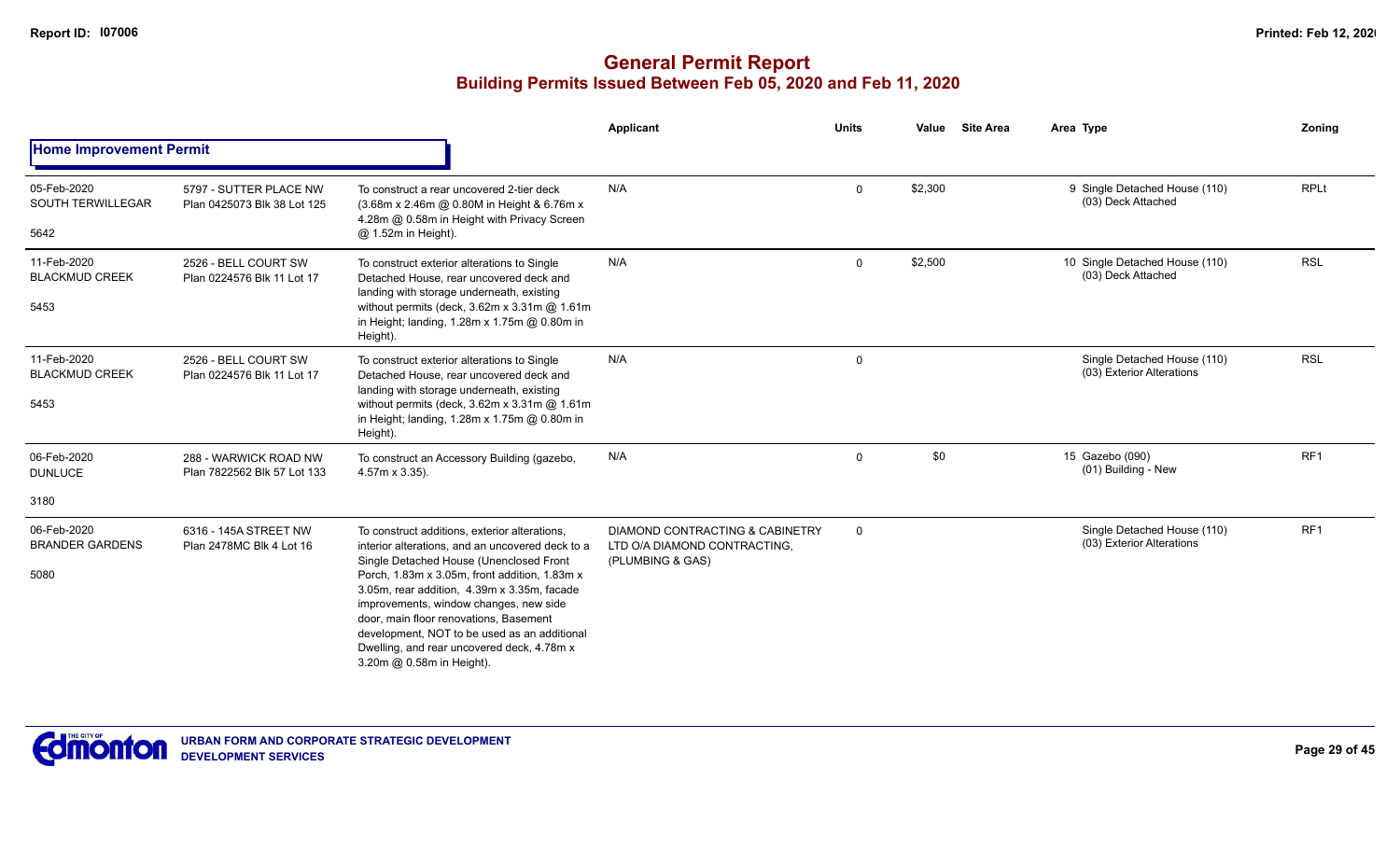|                                                 |                                                       |                                                                                                                                                                                                                                                                                                                                                                                                                                                             | <b>Applicant</b>                                                                    | <b>Units</b> | Value   | <b>Site Area</b> | Area Type                                                | Zoning          |
|-------------------------------------------------|-------------------------------------------------------|-------------------------------------------------------------------------------------------------------------------------------------------------------------------------------------------------------------------------------------------------------------------------------------------------------------------------------------------------------------------------------------------------------------------------------------------------------------|-------------------------------------------------------------------------------------|--------------|---------|------------------|----------------------------------------------------------|-----------------|
| <b>Home Improvement Permit</b>                  |                                                       |                                                                                                                                                                                                                                                                                                                                                                                                                                                             |                                                                                     |              |         |                  |                                                          |                 |
| 05-Feb-2020<br><b>SOUTH TERWILLEGAR</b><br>5642 | 5797 - SUTTER PLACE NW<br>Plan 0425073 Blk 38 Lot 125 | To construct a rear uncovered 2-tier deck<br>(3.68m x 2.46m @ 0.80M in Height & 6.76m x<br>4.28m @ 0.58m in Height with Privacy Screen<br>@ 1.52m in Height).                                                                                                                                                                                                                                                                                               | N/A                                                                                 | $\mathbf 0$  | \$2,300 |                  | 9 Single Detached House (110)<br>(03) Deck Attached      | <b>RPLt</b>     |
| 11-Feb-2020<br><b>BLACKMUD CREEK</b><br>5453    | 2526 - BELL COURT SW<br>Plan 0224576 Blk 11 Lot 17    | To construct exterior alterations to Single<br>Detached House, rear uncovered deck and<br>landing with storage underneath, existing<br>without permits (deck, $3.62m \times 3.31m$ @ 1.61m<br>in Height; landing, 1.28m x 1.75m @ 0.80m in<br>Height).                                                                                                                                                                                                      | N/A                                                                                 | $\mathbf 0$  | \$2,500 |                  | 10 Single Detached House (110)<br>(03) Deck Attached     | <b>RSL</b>      |
| 11-Feb-2020<br><b>BLACKMUD CREEK</b><br>5453    | 2526 - BELL COURT SW<br>Plan 0224576 Blk 11 Lot 17    | To construct exterior alterations to Single<br>Detached House, rear uncovered deck and<br>landing with storage underneath, existing<br>without permits (deck, $3.62m \times 3.31m$ @ 1.61m<br>in Height; landing, 1.28m x 1.75m @ 0.80m in<br>Height).                                                                                                                                                                                                      | N/A                                                                                 | 0            |         |                  | Single Detached House (110)<br>(03) Exterior Alterations | <b>RSL</b>      |
| 06-Feb-2020<br><b>DUNLUCE</b>                   | 288 - WARWICK ROAD NW<br>Plan 7822562 Blk 57 Lot 133  | To construct an Accessory Building (gazebo,<br>4.57m x 3.35).                                                                                                                                                                                                                                                                                                                                                                                               | N/A                                                                                 | $\mathbf 0$  | \$0     |                  | 15 Gazebo (090)<br>(01) Building - New                   | RF <sub>1</sub> |
| 3180                                            |                                                       |                                                                                                                                                                                                                                                                                                                                                                                                                                                             |                                                                                     |              |         |                  |                                                          |                 |
| 06-Feb-2020<br><b>BRANDER GARDENS</b><br>5080   | 6316 - 145A STREET NW<br>Plan 2478MC Blk 4 Lot 16     | To construct additions, exterior alterations,<br>interior alterations, and an uncovered deck to a<br>Single Detached House (Unenclosed Front<br>Porch, 1.83m x 3.05m, front addition, 1.83m x<br>3.05m, rear addition, 4.39m x 3.35m, facade<br>improvements, window changes, new side<br>door, main floor renovations, Basement<br>development, NOT to be used as an additional<br>Dwelling, and rear uncovered deck, 4.78m x<br>3.20m @ 0.58m in Height). | DIAMOND CONTRACTING & CABINETRY<br>LTD O/A DIAMOND CONTRACTING,<br>(PLUMBING & GAS) | $\Omega$     |         |                  | Single Detached House (110)<br>(03) Exterior Alterations | RF <sub>1</sub> |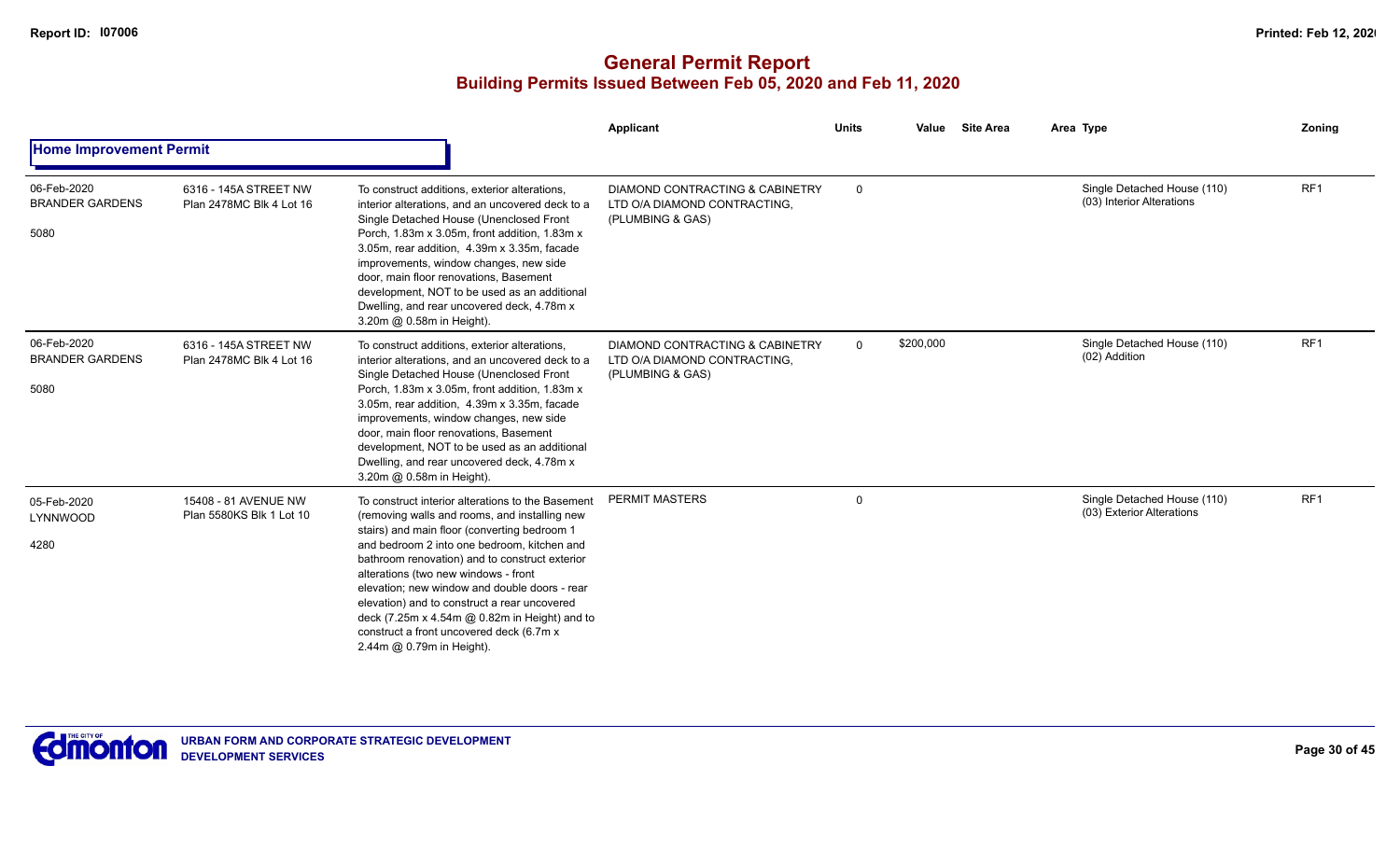|                                               |                                                   |                                                                                                                                                                                                                                                                                                                                                                                                                                                                                                                        | Applicant                                                                                      | <b>Units</b> | Value     | <b>Site Area</b> | Area Type                                                | <b>Zoning</b>   |
|-----------------------------------------------|---------------------------------------------------|------------------------------------------------------------------------------------------------------------------------------------------------------------------------------------------------------------------------------------------------------------------------------------------------------------------------------------------------------------------------------------------------------------------------------------------------------------------------------------------------------------------------|------------------------------------------------------------------------------------------------|--------------|-----------|------------------|----------------------------------------------------------|-----------------|
| <b>Home Improvement Permit</b>                |                                                   |                                                                                                                                                                                                                                                                                                                                                                                                                                                                                                                        |                                                                                                |              |           |                  |                                                          |                 |
| 06-Feb-2020<br><b>BRANDER GARDENS</b><br>5080 | 6316 - 145A STREET NW<br>Plan 2478MC Blk 4 Lot 16 | To construct additions, exterior alterations,<br>interior alterations, and an uncovered deck to a<br>Single Detached House (Unenclosed Front<br>Porch, 1.83m x 3.05m, front addition, 1.83m x<br>3.05m, rear addition, 4.39m x 3.35m, facade<br>improvements, window changes, new side<br>door, main floor renovations, Basement<br>development, NOT to be used as an additional<br>Dwelling, and rear uncovered deck, 4.78m x<br>3.20m @ 0.58m in Height).                                                            | DIAMOND CONTRACTING & CABINETRY<br>LTD O/A DIAMOND CONTRACTING,<br>(PLUMBING & GAS)            | 0            |           |                  | Single Detached House (110)<br>(03) Interior Alterations | RF <sub>1</sub> |
| 06-Feb-2020<br><b>BRANDER GARDENS</b><br>5080 | 6316 - 145A STREET NW<br>Plan 2478MC Blk 4 Lot 16 | To construct additions, exterior alterations,<br>interior alterations, and an uncovered deck to a<br>Single Detached House (Unenclosed Front<br>Porch, 1.83m x 3.05m, front addition, 1.83m x<br>3.05m, rear addition, 4.39m x 3.35m, facade<br>improvements, window changes, new side<br>door, main floor renovations, Basement<br>development, NOT to be used as an additional<br>Dwelling, and rear uncovered deck, 4.78m x<br>3.20m @ 0.58m in Height).                                                            | <b>DIAMOND CONTRACTING &amp; CABINETRY</b><br>LTD O/A DIAMOND CONTRACTING,<br>(PLUMBING & GAS) | $\mathbf 0$  | \$200,000 |                  | Single Detached House (110)<br>(02) Addition             | RF1             |
| 05-Feb-2020<br>LYNNWOOD<br>4280               | 15408 - 81 AVENUE NW<br>Plan 5580KS Blk 1 Lot 10  | To construct interior alterations to the Basement<br>(removing walls and rooms, and installing new<br>stairs) and main floor (converting bedroom 1<br>and bedroom 2 into one bedroom, kitchen and<br>bathroom renovation) and to construct exterior<br>alterations (two new windows - front<br>elevation; new window and double doors - rear<br>elevation) and to construct a rear uncovered<br>deck (7.25m x 4.54m @ 0.82m in Height) and to<br>construct a front uncovered deck (6.7m x<br>2.44m @ 0.79m in Height). | <b>PERMIT MASTERS</b>                                                                          | $\mathbf 0$  |           |                  | Single Detached House (110)<br>(03) Exterior Alterations | RF <sub>1</sub> |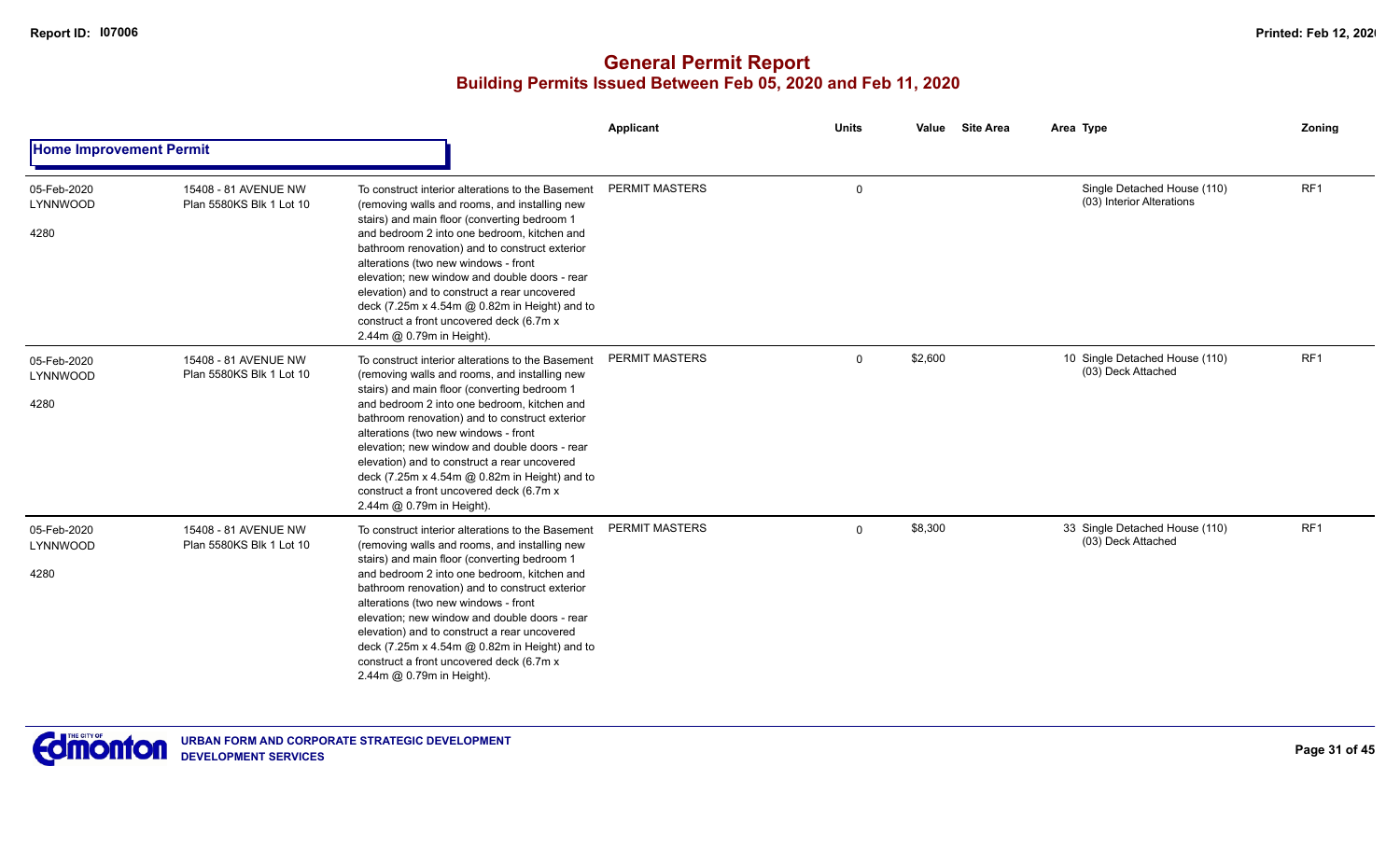|                                 |                                                  |                                                                                                                                                                                                                                                                                                                                                                                                                                                                                                                        | <b>Applicant</b>      | <b>Units</b> | <b>Site Area</b><br>Value | Area Type                                                | Zoning          |
|---------------------------------|--------------------------------------------------|------------------------------------------------------------------------------------------------------------------------------------------------------------------------------------------------------------------------------------------------------------------------------------------------------------------------------------------------------------------------------------------------------------------------------------------------------------------------------------------------------------------------|-----------------------|--------------|---------------------------|----------------------------------------------------------|-----------------|
| <b>Home Improvement Permit</b>  |                                                  |                                                                                                                                                                                                                                                                                                                                                                                                                                                                                                                        |                       |              |                           |                                                          |                 |
| 05-Feb-2020<br>LYNNWOOD<br>4280 | 15408 - 81 AVENUE NW<br>Plan 5580KS Blk 1 Lot 10 | To construct interior alterations to the Basement<br>(removing walls and rooms, and installing new<br>stairs) and main floor (converting bedroom 1<br>and bedroom 2 into one bedroom, kitchen and<br>bathroom renovation) and to construct exterior<br>alterations (two new windows - front<br>elevation; new window and double doors - rear<br>elevation) and to construct a rear uncovered<br>deck (7.25m x 4.54m @ 0.82m in Height) and to<br>construct a front uncovered deck (6.7m x<br>2.44m @ 0.79m in Height). | PERMIT MASTERS        | $\mathbf 0$  |                           | Single Detached House (110)<br>(03) Interior Alterations | RF1             |
| 05-Feb-2020<br>LYNNWOOD<br>4280 | 15408 - 81 AVENUE NW<br>Plan 5580KS Blk 1 Lot 10 | To construct interior alterations to the Basement<br>(removing walls and rooms, and installing new<br>stairs) and main floor (converting bedroom 1<br>and bedroom 2 into one bedroom, kitchen and<br>bathroom renovation) and to construct exterior<br>alterations (two new windows - front<br>elevation: new window and double doors - rear<br>elevation) and to construct a rear uncovered<br>deck (7.25m x 4.54m @ 0.82m in Height) and to<br>construct a front uncovered deck (6.7m x<br>2.44m @ 0.79m in Height). | <b>PERMIT MASTERS</b> | $\Omega$     | \$2,600                   | 10 Single Detached House (110)<br>(03) Deck Attached     | RF1             |
| 05-Feb-2020<br>LYNNWOOD<br>4280 | 15408 - 81 AVENUE NW<br>Plan 5580KS Blk 1 Lot 10 | To construct interior alterations to the Basement<br>(removing walls and rooms, and installing new<br>stairs) and main floor (converting bedroom 1<br>and bedroom 2 into one bedroom, kitchen and<br>bathroom renovation) and to construct exterior<br>alterations (two new windows - front<br>elevation; new window and double doors - rear<br>elevation) and to construct a rear uncovered<br>deck (7.25m x 4.54m @ 0.82m in Height) and to<br>construct a front uncovered deck (6.7m x<br>2.44m @ 0.79m in Height). | <b>PERMIT MASTERS</b> | $\Omega$     | \$8,300                   | 33 Single Detached House (110)<br>(03) Deck Attached     | RF <sub>1</sub> |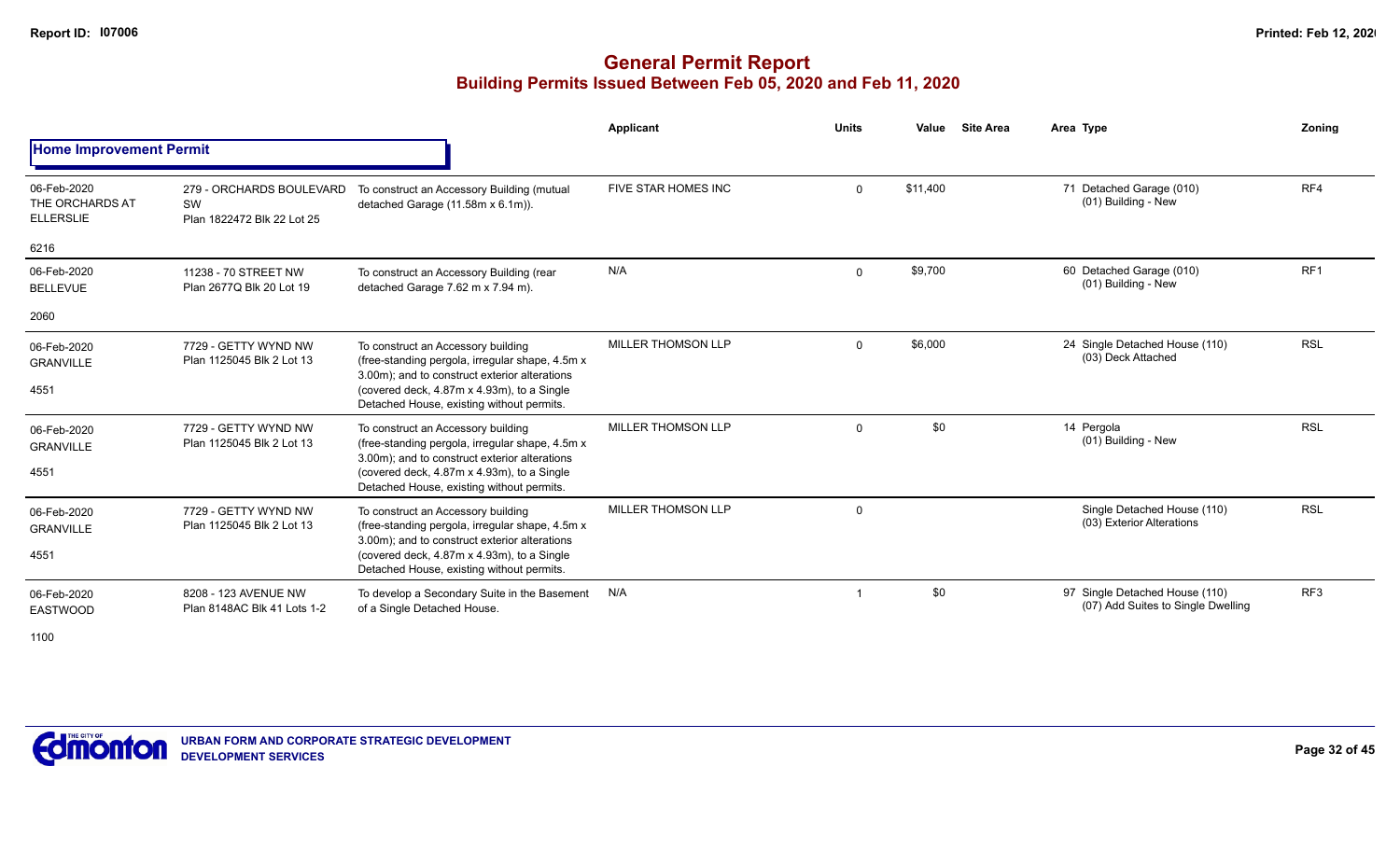|                                                    |                                                              |                                                                                                                                                                                                                                   | Applicant                 | <b>Units</b> | Value    | <b>Site Area</b> | Area Type                                                            | Zoning          |
|----------------------------------------------------|--------------------------------------------------------------|-----------------------------------------------------------------------------------------------------------------------------------------------------------------------------------------------------------------------------------|---------------------------|--------------|----------|------------------|----------------------------------------------------------------------|-----------------|
| <b>Home Improvement Permit</b>                     |                                                              |                                                                                                                                                                                                                                   |                           |              |          |                  |                                                                      |                 |
| 06-Feb-2020<br>THE ORCHARDS AT<br><b>ELLERSLIE</b> | 279 - ORCHARDS BOULEVARD<br>SW<br>Plan 1822472 Blk 22 Lot 25 | To construct an Accessory Building (mutual<br>detached Garage (11.58m x 6.1m)).                                                                                                                                                   | FIVE STAR HOMES INC       | $\mathbf{0}$ | \$11,400 |                  | 71 Detached Garage (010)<br>(01) Building - New                      | RF4             |
| 6216                                               |                                                              |                                                                                                                                                                                                                                   |                           |              |          |                  |                                                                      |                 |
| 06-Feb-2020<br><b>BELLEVUE</b>                     | 11238 - 70 STREET NW<br>Plan 2677Q Blk 20 Lot 19             | To construct an Accessory Building (rear<br>detached Garage 7.62 m x 7.94 m).                                                                                                                                                     | N/A                       | $\mathbf 0$  | \$9,700  |                  | 60 Detached Garage (010)<br>(01) Building - New                      | RF <sub>1</sub> |
| 2060                                               |                                                              |                                                                                                                                                                                                                                   |                           |              |          |                  |                                                                      |                 |
| 06-Feb-2020<br><b>GRANVILLE</b><br>4551            | 7729 - GETTY WYND NW<br>Plan 1125045 Blk 2 Lot 13            | To construct an Accessory building<br>(free-standing pergola, irregular shape, 4.5m x<br>3.00m); and to construct exterior alterations<br>(covered deck, 4.87m x 4.93m), to a Single<br>Detached House, existing without permits. | <b>MILLER THOMSON LLP</b> | $\mathbf{0}$ | \$6,000  |                  | 24 Single Detached House (110)<br>(03) Deck Attached                 | <b>RSL</b>      |
| 06-Feb-2020<br><b>GRANVILLE</b><br>4551            | 7729 - GETTY WYND NW<br>Plan 1125045 Blk 2 Lot 13            | To construct an Accessory building<br>(free-standing pergola, irregular shape, 4.5m x<br>3.00m); and to construct exterior alterations<br>(covered deck, 4.87m x 4.93m), to a Single<br>Detached House, existing without permits. | <b>MILLER THOMSON LLP</b> | $\mathbf 0$  | \$0      |                  | 14 Pergola<br>(01) Building - New                                    | <b>RSL</b>      |
| 06-Feb-2020<br><b>GRANVILLE</b><br>4551            | 7729 - GETTY WYND NW<br>Plan 1125045 Blk 2 Lot 13            | To construct an Accessory building<br>(free-standing pergola, irregular shape, 4.5m x<br>3.00m); and to construct exterior alterations<br>(covered deck, 4.87m x 4.93m), to a Single<br>Detached House, existing without permits. | MILLER THOMSON LLP        | $\mathbf 0$  |          |                  | Single Detached House (110)<br>(03) Exterior Alterations             | <b>RSL</b>      |
| 06-Feb-2020<br>EASTWOOD<br>1100                    | 8208 - 123 AVENUE NW<br>Plan 8148AC Blk 41 Lots 1-2          | To develop a Secondary Suite in the Basement<br>of a Single Detached House.                                                                                                                                                       | N/A                       |              | \$0      |                  | 97 Single Detached House (110)<br>(07) Add Suites to Single Dwelling | RF <sub>3</sub> |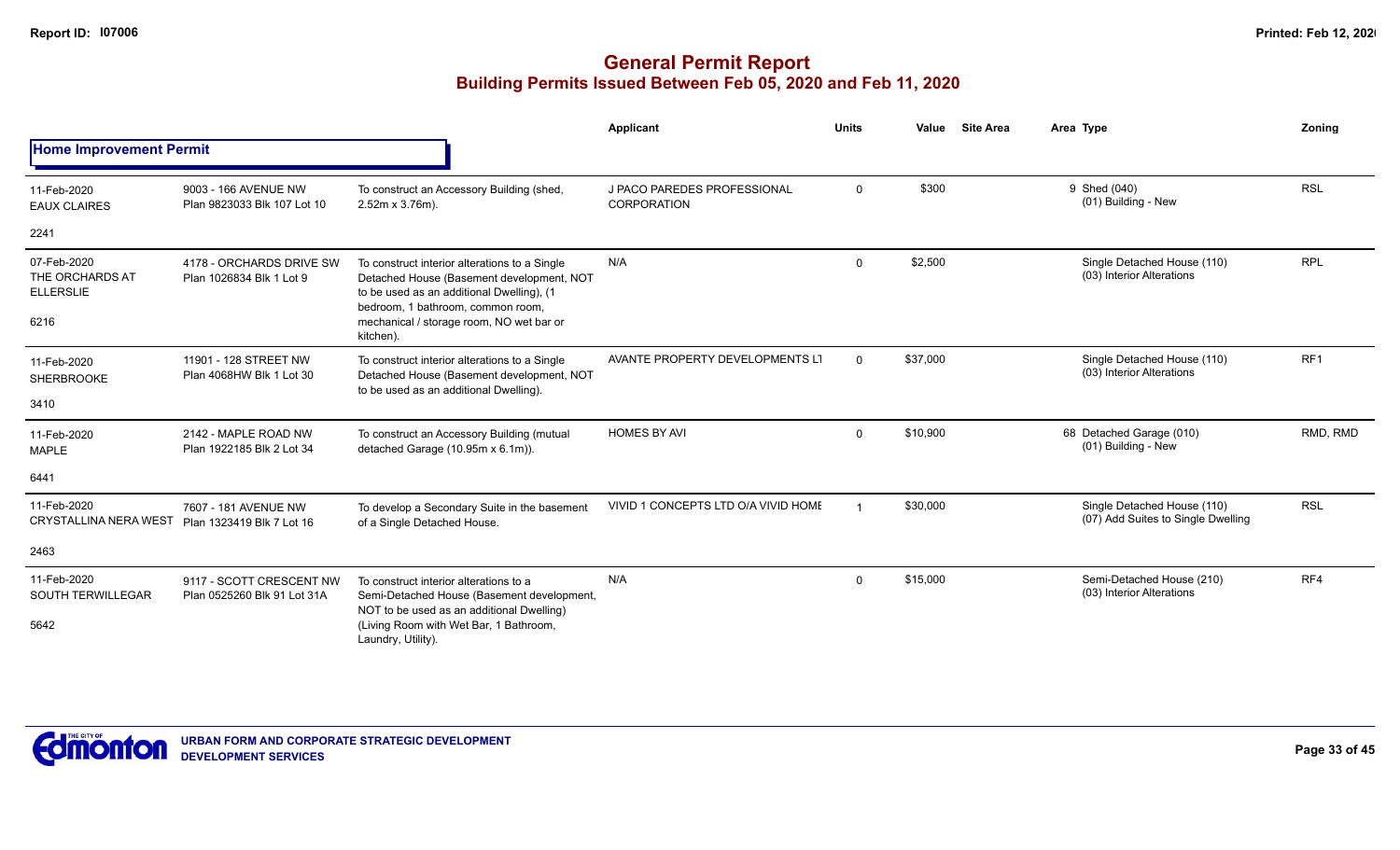|                                                            |                                                         |                                                                                                                                                                                                                                       | Applicant                                         | <b>Units</b> | Value    | <b>Site Area</b> | Area Type                                                         | Zoning     |
|------------------------------------------------------------|---------------------------------------------------------|---------------------------------------------------------------------------------------------------------------------------------------------------------------------------------------------------------------------------------------|---------------------------------------------------|--------------|----------|------------------|-------------------------------------------------------------------|------------|
| <b>Home Improvement Permit</b>                             |                                                         |                                                                                                                                                                                                                                       |                                                   |              |          |                  |                                                                   |            |
| 11-Feb-2020<br><b>EAUX CLAIRES</b>                         | 9003 - 166 AVENUE NW<br>Plan 9823033 Blk 107 Lot 10     | To construct an Accessory Building (shed,<br>2.52m x 3.76m).                                                                                                                                                                          | J PACO PAREDES PROFESSIONAL<br><b>CORPORATION</b> | $\mathbf 0$  | \$300    |                  | 9 Shed (040)<br>(01) Building - New                               | <b>RSL</b> |
| 2241                                                       |                                                         |                                                                                                                                                                                                                                       |                                                   |              |          |                  |                                                                   |            |
| 07-Feb-2020<br>THE ORCHARDS AT<br><b>ELLERSLIE</b><br>6216 | 4178 - ORCHARDS DRIVE SW<br>Plan 1026834 Blk 1 Lot 9    | To construct interior alterations to a Single<br>Detached House (Basement development, NOT<br>to be used as an additional Dwelling), (1<br>bedroom, 1 bathroom, common room,<br>mechanical / storage room, NO wet bar or<br>kitchen). | N/A                                               | $\mathbf 0$  | \$2,500  |                  | Single Detached House (110)<br>(03) Interior Alterations          | <b>RPL</b> |
| 11-Feb-2020<br><b>SHERBROOKE</b><br>3410                   | 11901 - 128 STREET NW<br>Plan 4068HW Blk 1 Lot 30       | To construct interior alterations to a Single<br>Detached House (Basement development, NOT<br>to be used as an additional Dwelling).                                                                                                  | AVANTE PROPERTY DEVELOPMENTS LT                   | $\Omega$     | \$37,000 |                  | Single Detached House (110)<br>(03) Interior Alterations          | RF1        |
| 11-Feb-2020<br><b>MAPLE</b>                                | 2142 - MAPLE ROAD NW<br>Plan 1922185 Blk 2 Lot 34       | To construct an Accessory Building (mutual<br>detached Garage (10.95m x 6.1m)).                                                                                                                                                       | <b>HOMES BY AVI</b>                               | $\Omega$     | \$10,900 |                  | 68 Detached Garage (010)<br>(01) Building - New                   | RMD, RMD   |
| 6441                                                       |                                                         |                                                                                                                                                                                                                                       |                                                   |              |          |                  |                                                                   |            |
| 11-Feb-2020<br><b>CRYSTALLINA NERA WEST</b>                | 7607 - 181 AVENUE NW<br>Plan 1323419 Blk 7 Lot 16       | To develop a Secondary Suite in the basement<br>of a Single Detached House.                                                                                                                                                           | VIVID 1 CONCEPTS LTD O/A VIVID HOME               |              | \$30,000 |                  | Single Detached House (110)<br>(07) Add Suites to Single Dwelling | <b>RSL</b> |
| 2463                                                       |                                                         |                                                                                                                                                                                                                                       |                                                   |              |          |                  |                                                                   |            |
| 11-Feb-2020<br><b>SOUTH TERWILLEGAR</b><br>5642            | 9117 - SCOTT CRESCENT NW<br>Plan 0525260 Blk 91 Lot 31A | To construct interior alterations to a<br>Semi-Detached House (Basement development,<br>NOT to be used as an additional Dwelling)<br>(Living Room with Wet Bar, 1 Bathroom,<br>Laundry, Utility).                                     | N/A                                               | $\Omega$     | \$15,000 |                  | Semi-Detached House (210)<br>(03) Interior Alterations            | RF4        |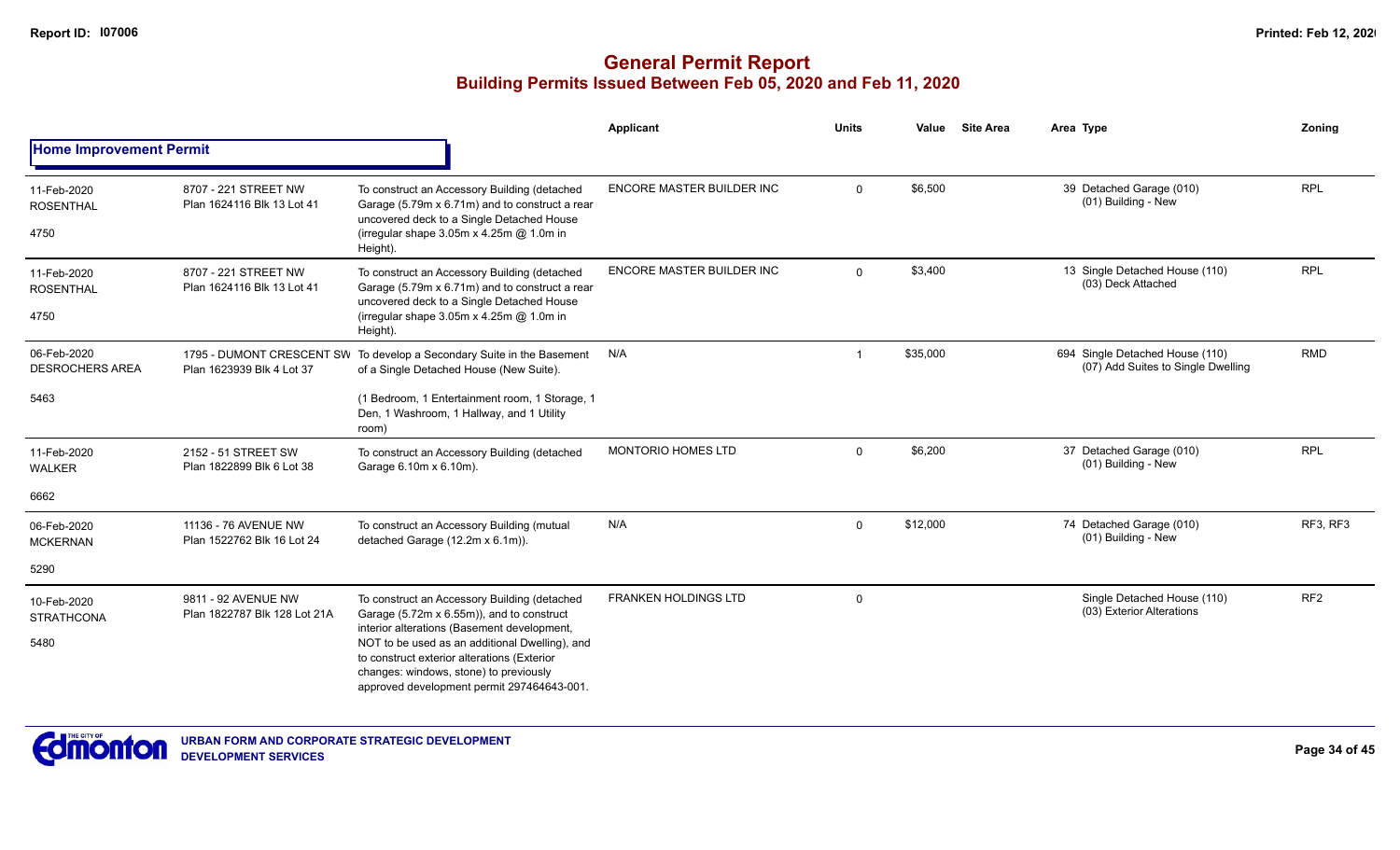|                                       |                                                     |                                                                                                                                                                                                                                      | Applicant                        | <b>Units</b> | Value    | <b>Site Area</b> | Area Type                                                             | Zoning          |
|---------------------------------------|-----------------------------------------------------|--------------------------------------------------------------------------------------------------------------------------------------------------------------------------------------------------------------------------------------|----------------------------------|--------------|----------|------------------|-----------------------------------------------------------------------|-----------------|
| <b>Home Improvement Permit</b>        |                                                     |                                                                                                                                                                                                                                      |                                  |              |          |                  |                                                                       |                 |
| 11-Feb-2020<br><b>ROSENTHAL</b>       | 8707 - 221 STREET NW<br>Plan 1624116 Blk 13 Lot 41  | To construct an Accessory Building (detached<br>Garage (5.79m x 6.71m) and to construct a rear<br>uncovered deck to a Single Detached House                                                                                          | ENCORE MASTER BUILDER INC        | $\Omega$     | \$6,500  |                  | 39 Detached Garage (010)<br>(01) Building - New                       | <b>RPL</b>      |
| 4750                                  |                                                     | (irregular shape 3.05m x 4.25m @ 1.0m in<br>Height).                                                                                                                                                                                 |                                  |              |          |                  |                                                                       |                 |
| 11-Feb-2020<br><b>ROSENTHAL</b>       | 8707 - 221 STREET NW<br>Plan 1624116 Blk 13 Lot 41  | To construct an Accessory Building (detached<br>Garage (5.79m x 6.71m) and to construct a rear                                                                                                                                       | <b>ENCORE MASTER BUILDER INC</b> | $\Omega$     | \$3,400  |                  | 13 Single Detached House (110)<br>(03) Deck Attached                  | <b>RPL</b>      |
| 4750                                  |                                                     | uncovered deck to a Single Detached House<br>(irregular shape 3.05m x 4.25m @ 1.0m in<br>Height).                                                                                                                                    |                                  |              |          |                  |                                                                       |                 |
| 06-Feb-2020<br><b>DESROCHERS AREA</b> | Plan 1623939 Blk 4 Lot 37                           | 1795 - DUMONT CRESCENT SW To develop a Secondary Suite in the Basement<br>of a Single Detached House (New Suite).                                                                                                                    | N/A                              |              | \$35,000 |                  | 694 Single Detached House (110)<br>(07) Add Suites to Single Dwelling | <b>RMD</b>      |
| 5463                                  |                                                     | (1 Bedroom, 1 Entertainment room, 1 Storage, 1<br>Den, 1 Washroom, 1 Hallway, and 1 Utility<br>room)                                                                                                                                 |                                  |              |          |                  |                                                                       |                 |
| 11-Feb-2020<br><b>WALKER</b>          | 2152 - 51 STREET SW<br>Plan 1822899 Blk 6 Lot 38    | To construct an Accessory Building (detached<br>Garage 6.10m x 6.10m).                                                                                                                                                               | <b>MONTORIO HOMES LTD</b>        | $\Omega$     | \$6,200  |                  | 37 Detached Garage (010)<br>(01) Building - New                       | <b>RPL</b>      |
| 6662                                  |                                                     |                                                                                                                                                                                                                                      |                                  |              |          |                  |                                                                       |                 |
| 06-Feb-2020<br><b>MCKERNAN</b>        | 11136 - 76 AVENUE NW<br>Plan 1522762 Blk 16 Lot 24  | To construct an Accessory Building (mutual<br>detached Garage (12.2m x 6.1m)).                                                                                                                                                       | N/A                              | $\mathbf 0$  | \$12,000 |                  | 74 Detached Garage (010)<br>(01) Building - New                       | RF3, RF3        |
| 5290                                  |                                                     |                                                                                                                                                                                                                                      |                                  |              |          |                  |                                                                       |                 |
| 10-Feb-2020<br><b>STRATHCONA</b>      | 9811 - 92 AVENUE NW<br>Plan 1822787 Blk 128 Lot 21A | To construct an Accessory Building (detached<br>Garage (5.72m x 6.55m)), and to construct                                                                                                                                            | <b>FRANKEN HOLDINGS LTD</b>      | $\mathbf 0$  |          |                  | Single Detached House (110)<br>(03) Exterior Alterations              | RF <sub>2</sub> |
| 5480                                  |                                                     | interior alterations (Basement development,<br>NOT to be used as an additional Dwelling), and<br>to construct exterior alterations (Exterior<br>changes: windows, stone) to previously<br>approved development permit 297464643-001. |                                  |              |          |                  |                                                                       |                 |

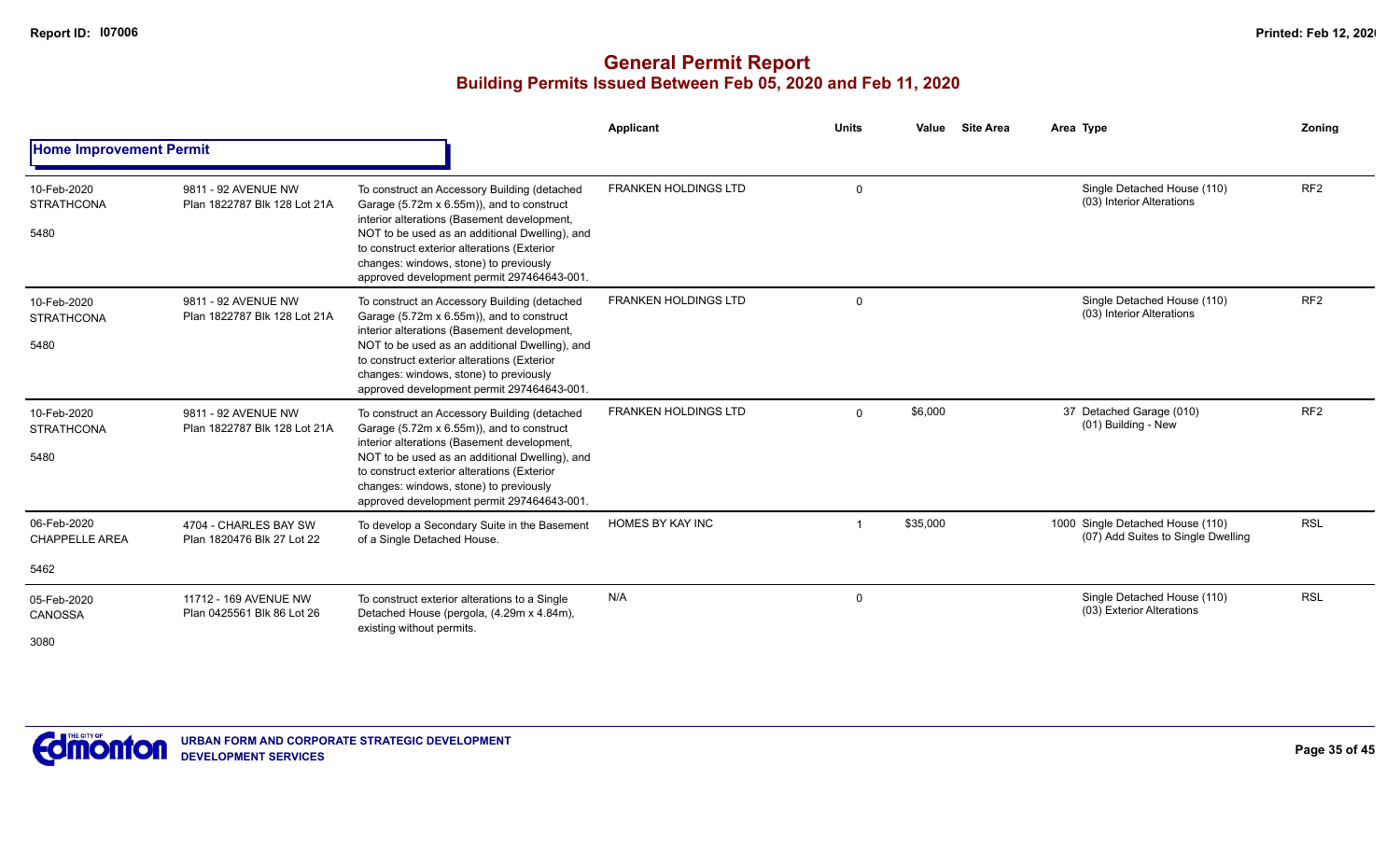|                                              |                                                     |                                                                                                                                                                                                                                                                                                                                   | <b>Applicant</b>            | <b>Units</b> | <b>Site Area</b><br>Value | Area Type                                                              | <b>Zoning</b>   |
|----------------------------------------------|-----------------------------------------------------|-----------------------------------------------------------------------------------------------------------------------------------------------------------------------------------------------------------------------------------------------------------------------------------------------------------------------------------|-----------------------------|--------------|---------------------------|------------------------------------------------------------------------|-----------------|
| <b>Home Improvement Permit</b>               |                                                     |                                                                                                                                                                                                                                                                                                                                   |                             |              |                           |                                                                        |                 |
| 10-Feb-2020<br><b>STRATHCONA</b><br>5480     | 9811 - 92 AVENUE NW<br>Plan 1822787 Blk 128 Lot 21A | To construct an Accessory Building (detached<br>Garage (5.72m x 6.55m)), and to construct<br>interior alterations (Basement development,<br>NOT to be used as an additional Dwelling), and<br>to construct exterior alterations (Exterior<br>changes: windows, stone) to previously<br>approved development permit 297464643-001. | <b>FRANKEN HOLDINGS LTD</b> | $\Omega$     |                           | Single Detached House (110)<br>(03) Interior Alterations               | RF <sub>2</sub> |
| 10-Feb-2020<br><b>STRATHCONA</b><br>5480     | 9811 - 92 AVENUE NW<br>Plan 1822787 Blk 128 Lot 21A | To construct an Accessory Building (detached<br>Garage (5.72m x 6.55m)), and to construct<br>interior alterations (Basement development,<br>NOT to be used as an additional Dwelling), and<br>to construct exterior alterations (Exterior<br>changes: windows, stone) to previously<br>approved development permit 297464643-001. | <b>FRANKEN HOLDINGS LTD</b> | $\mathbf 0$  |                           | Single Detached House (110)<br>(03) Interior Alterations               | RF <sub>2</sub> |
| 10-Feb-2020<br><b>STRATHCONA</b><br>5480     | 9811 - 92 AVENUE NW<br>Plan 1822787 Blk 128 Lot 21A | To construct an Accessory Building (detached<br>Garage (5.72m x 6.55m)), and to construct<br>interior alterations (Basement development,<br>NOT to be used as an additional Dwelling), and<br>to construct exterior alterations (Exterior<br>changes: windows, stone) to previously<br>approved development permit 297464643-001. | <b>FRANKEN HOLDINGS LTD</b> | $\Omega$     | \$6,000                   | 37 Detached Garage (010)<br>(01) Building - New                        | RF <sub>2</sub> |
| 06-Feb-2020<br><b>CHAPPELLE AREA</b><br>5462 | 4704 - CHARLES BAY SW<br>Plan 1820476 Blk 27 Lot 22 | To develop a Secondary Suite in the Basement<br>of a Single Detached House.                                                                                                                                                                                                                                                       | <b>HOMES BY KAY INC</b>     |              | \$35,000                  | 1000 Single Detached House (110)<br>(07) Add Suites to Single Dwelling | <b>RSL</b>      |
| 05-Feb-2020<br>CANOSSA<br>3080               | 11712 - 169 AVENUE NW<br>Plan 0425561 Blk 86 Lot 26 | To construct exterior alterations to a Single<br>Detached House (pergola, (4.29m x 4.84m),<br>existing without permits.                                                                                                                                                                                                           | N/A                         | $\mathbf 0$  |                           | Single Detached House (110)<br>(03) Exterior Alterations               | <b>RSL</b>      |

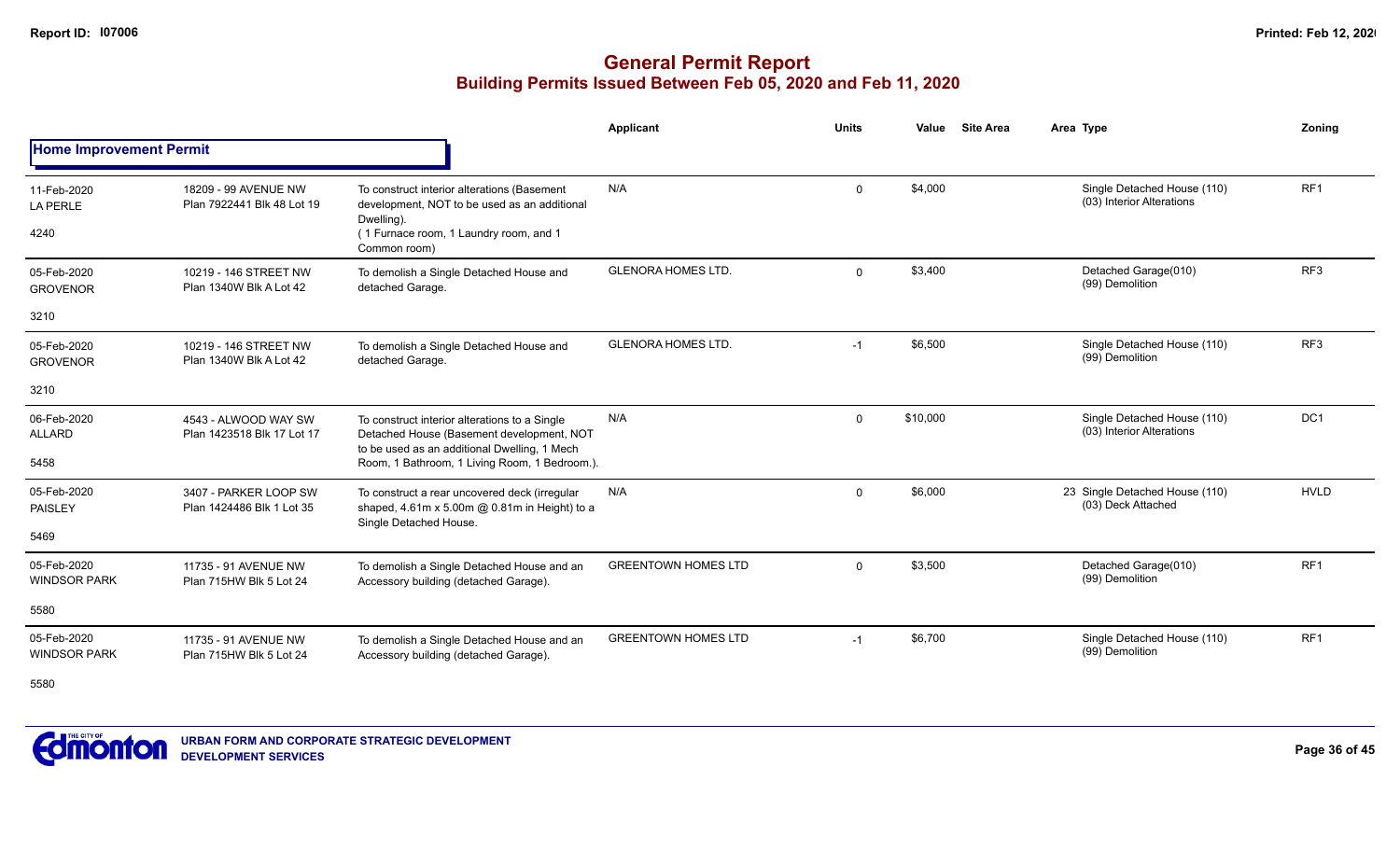|                                    |                                                    |                                                                                                                                            | Applicant                  | <b>Units</b> | <b>Site Area</b><br>Value | Area Type                                                | Zoning          |
|------------------------------------|----------------------------------------------------|--------------------------------------------------------------------------------------------------------------------------------------------|----------------------------|--------------|---------------------------|----------------------------------------------------------|-----------------|
| <b>Home Improvement Permit</b>     |                                                    |                                                                                                                                            |                            |              |                           |                                                          |                 |
| 11-Feb-2020<br><b>LA PERLE</b>     | 18209 - 99 AVENUE NW<br>Plan 7922441 Blk 48 Lot 19 | To construct interior alterations (Basement<br>development, NOT to be used as an additional<br>Dwelling).                                  | N/A                        | $\Omega$     | \$4,000                   | Single Detached House (110)<br>(03) Interior Alterations | RF1             |
| 4240                               |                                                    | (1 Furnace room, 1 Laundry room, and 1<br>Common room)                                                                                     |                            |              |                           |                                                          |                 |
| 05-Feb-2020<br><b>GROVENOR</b>     | 10219 - 146 STREET NW<br>Plan 1340W Blk A Lot 42   | To demolish a Single Detached House and<br>detached Garage.                                                                                | <b>GLENORA HOMES LTD.</b>  | $\Omega$     | \$3,400                   | Detached Garage(010)<br>(99) Demolition                  | RF3             |
| 3210                               |                                                    |                                                                                                                                            |                            |              |                           |                                                          |                 |
| 05-Feb-2020<br><b>GROVENOR</b>     | 10219 - 146 STREET NW<br>Plan 1340W Blk A Lot 42   | To demolish a Single Detached House and<br>detached Garage.                                                                                | <b>GLENORA HOMES LTD.</b>  | $-1$         | \$6,500                   | Single Detached House (110)<br>(99) Demolition           | RF <sub>3</sub> |
| 3210                               |                                                    |                                                                                                                                            |                            |              |                           |                                                          |                 |
| 06-Feb-2020<br><b>ALLARD</b>       | 4543 - ALWOOD WAY SW<br>Plan 1423518 Blk 17 Lot 17 | To construct interior alterations to a Single<br>Detached House (Basement development, NOT<br>to be used as an additional Dwelling, 1 Mech | N/A                        | $\Omega$     | \$10,000                  | Single Detached House (110)<br>(03) Interior Alterations | DC1             |
| 5458                               |                                                    | Room, 1 Bathroom, 1 Living Room, 1 Bedroom.).                                                                                              |                            |              |                           |                                                          |                 |
| 05-Feb-2020<br>PAISLEY             | 3407 - PARKER LOOP SW<br>Plan 1424486 Blk 1 Lot 35 | To construct a rear uncovered deck (irregular<br>shaped, 4.61m x 5.00m @ 0.81m in Height) to a<br>Single Detached House.                   | N/A                        | $\Omega$     | \$6,000                   | 23 Single Detached House (110)<br>(03) Deck Attached     | <b>HVLD</b>     |
| 5469                               |                                                    |                                                                                                                                            |                            |              |                           |                                                          |                 |
| 05-Feb-2020<br><b>WINDSOR PARK</b> | 11735 - 91 AVENUE NW<br>Plan 715HW Blk 5 Lot 24    | To demolish a Single Detached House and an<br>Accessory building (detached Garage).                                                        | <b>GREENTOWN HOMES LTD</b> | $\Omega$     | \$3,500                   | Detached Garage(010)<br>(99) Demolition                  | RF <sub>1</sub> |
| 5580                               |                                                    |                                                                                                                                            |                            |              |                           |                                                          |                 |
| 05-Feb-2020<br><b>WINDSOR PARK</b> | 11735 - 91 AVENUE NW<br>Plan 715HW Blk 5 Lot 24    | To demolish a Single Detached House and an<br>Accessory building (detached Garage).                                                        | <b>GREENTOWN HOMES LTD</b> | $-1$         | \$6,700                   | Single Detached House (110)<br>(99) Demolition           | RF1             |
| 5580                               |                                                    |                                                                                                                                            |                            |              |                           |                                                          |                 |

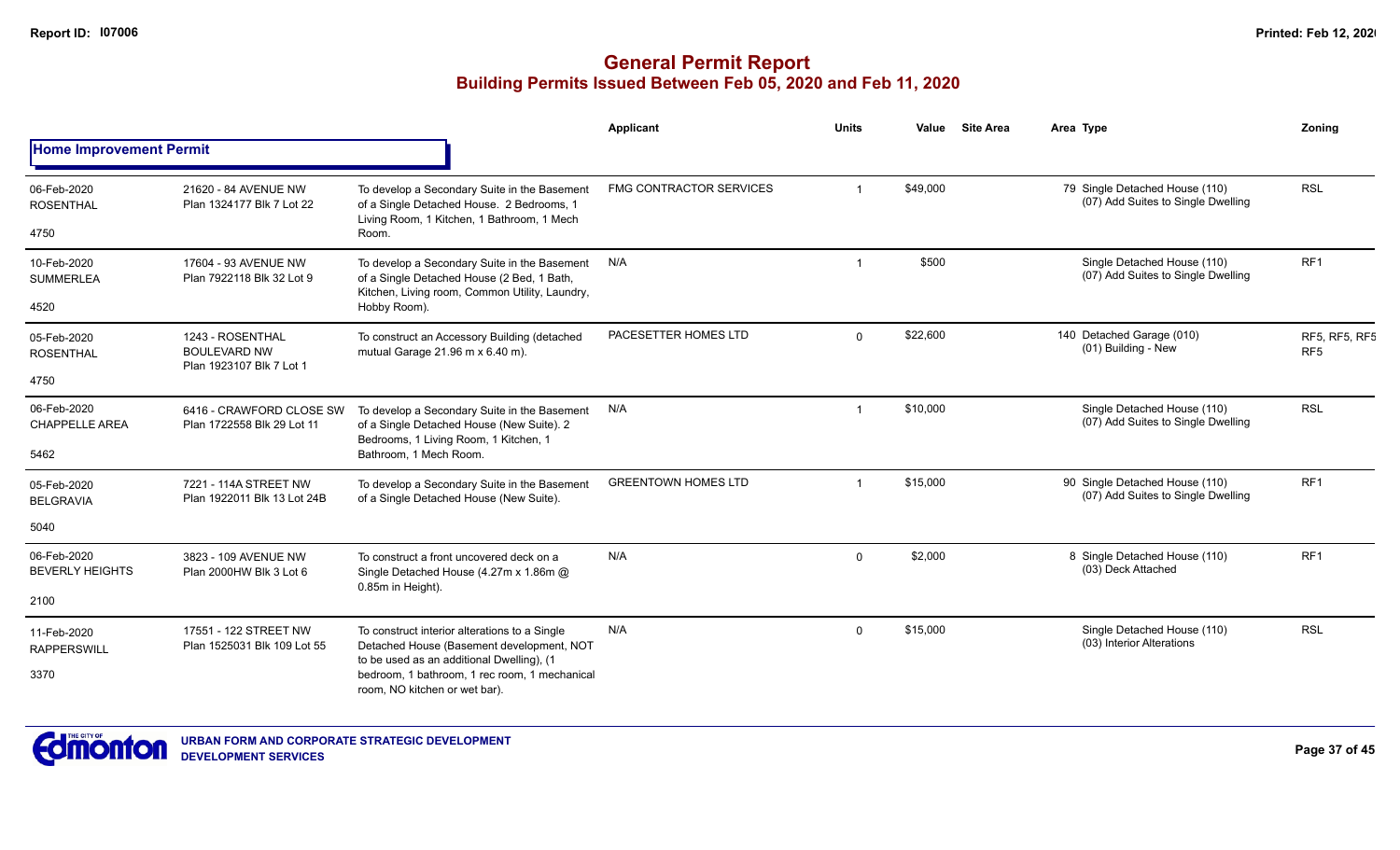|                                       |                                                                                                                             |                                                                                                                                              | Applicant                      | <b>Units</b> | Value    | <b>Site Area</b> | Area Type                                                            | Zoning                           |
|---------------------------------------|-----------------------------------------------------------------------------------------------------------------------------|----------------------------------------------------------------------------------------------------------------------------------------------|--------------------------------|--------------|----------|------------------|----------------------------------------------------------------------|----------------------------------|
| <b>Home Improvement Permit</b>        |                                                                                                                             |                                                                                                                                              |                                |              |          |                  |                                                                      |                                  |
| 06-Feb-2020<br><b>ROSENTHAL</b>       | 21620 - 84 AVENUE NW<br>Plan 1324177 Blk 7 Lot 22                                                                           | To develop a Secondary Suite in the Basement<br>of a Single Detached House. 2 Bedrooms, 1<br>Living Room, 1 Kitchen, 1 Bathroom, 1 Mech      | <b>FMG CONTRACTOR SERVICES</b> |              | \$49,000 |                  | 79 Single Detached House (110)<br>(07) Add Suites to Single Dwelling | <b>RSL</b>                       |
| 4750                                  |                                                                                                                             | Room.                                                                                                                                        |                                |              |          |                  |                                                                      |                                  |
| 10-Feb-2020<br><b>SUMMERLEA</b>       | 17604 - 93 AVENUE NW<br>Plan 7922118 Blk 32 Lot 9                                                                           | To develop a Secondary Suite in the Basement<br>of a Single Detached House (2 Bed, 1 Bath,<br>Kitchen, Living room, Common Utility, Laundry, | N/A                            |              | \$500    |                  | Single Detached House (110)<br>(07) Add Suites to Single Dwelling    | RF <sub>1</sub>                  |
| 4520                                  |                                                                                                                             | Hobby Room).                                                                                                                                 |                                |              |          |                  |                                                                      |                                  |
| 05-Feb-2020<br><b>ROSENTHAL</b>       | 1243 - ROSENTHAL<br><b>BOULEVARD NW</b><br>Plan 1923107 Blk 7 Lot 1                                                         | To construct an Accessory Building (detached<br>mutual Garage 21.96 m x 6.40 m).                                                             | PACESETTER HOMES LTD           | $\Omega$     | \$22,600 |                  | 140 Detached Garage (010)<br>(01) Building - New                     | RF5, RF5, RF5<br>RF <sub>5</sub> |
| 4750                                  |                                                                                                                             |                                                                                                                                              |                                |              |          |                  |                                                                      |                                  |
| 06-Feb-2020<br><b>CHAPPELLE AREA</b>  | 6416 - CRAWFORD CLOSE SW<br>Plan 1722558 Blk 29 Lot 11                                                                      | To develop a Secondary Suite in the Basement<br>of a Single Detached House (New Suite). 2<br>Bedrooms, 1 Living Room, 1 Kitchen, 1           | N/A                            |              | \$10,000 |                  | Single Detached House (110)<br>(07) Add Suites to Single Dwelling    | <b>RSL</b>                       |
| 5462                                  |                                                                                                                             | Bathroom, 1 Mech Room.                                                                                                                       |                                |              |          |                  |                                                                      |                                  |
| 05-Feb-2020<br><b>BELGRAVIA</b>       | 7221 - 114A STREET NW<br>Plan 1922011 Blk 13 Lot 24B                                                                        | To develop a Secondary Suite in the Basement<br>of a Single Detached House (New Suite).                                                      | <b>GREENTOWN HOMES LTD</b>     |              | \$15,000 |                  | 90 Single Detached House (110)<br>(07) Add Suites to Single Dwelling | RF <sub>1</sub>                  |
| 5040                                  |                                                                                                                             |                                                                                                                                              |                                |              |          |                  |                                                                      |                                  |
| 06-Feb-2020<br><b>BEVERLY HEIGHTS</b> | 3823 - 109 AVENUE NW<br>Plan 2000HW Blk 3 Lot 6                                                                             | To construct a front uncovered deck on a<br>Single Detached House (4.27m x 1.86m @                                                           | N/A                            | $\Omega$     | \$2,000  |                  | 8 Single Detached House (110)<br>(03) Deck Attached                  | RF1                              |
| 2100                                  |                                                                                                                             | 0.85m in Height).                                                                                                                            |                                |              |          |                  |                                                                      |                                  |
| 11-Feb-2020<br><b>RAPPERSWILL</b>     | 17551 - 122 STREET NW<br>Plan 1525031 Blk 109 Lot 55                                                                        | To construct interior alterations to a Single<br>Detached House (Basement development, NOT                                                   | N/A                            | $\Omega$     | \$15,000 |                  | Single Detached House (110)<br>(03) Interior Alterations             | <b>RSL</b>                       |
| 3370                                  | to be used as an additional Dwelling), (1<br>bedroom, 1 bathroom, 1 rec room, 1 mechanical<br>room, NO kitchen or wet bar). |                                                                                                                                              |                                |              |          |                  |                                                                      |                                  |

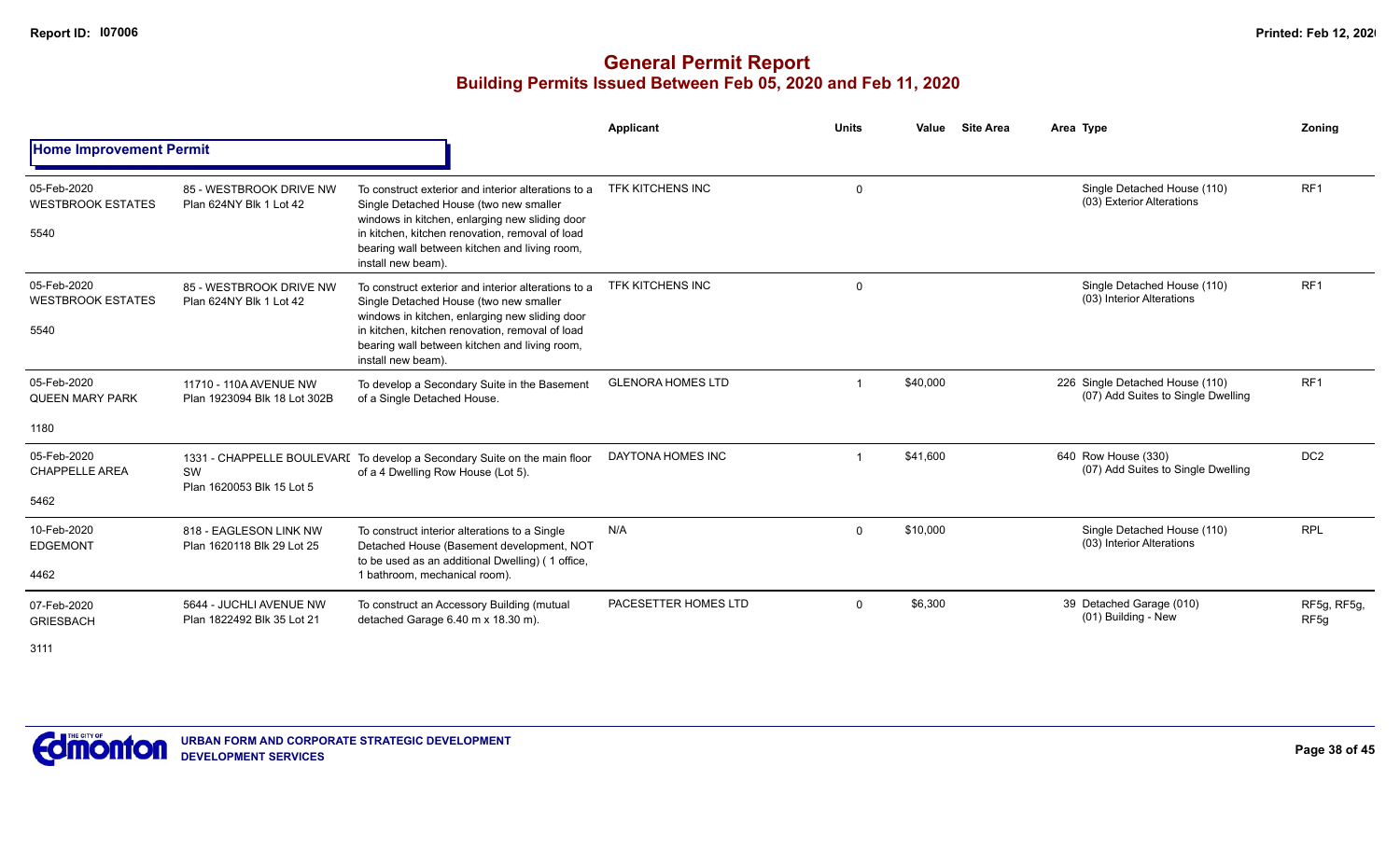## **General Permit Report Building Permits Issued Between Feb 05, 2020 and Feb 11, 2020**

|                                                 |                                                        |                                                                                                                                                                                                                                                                           | Applicant                | <b>Units</b> | <b>Site Area</b><br>Value | Area Type                                                             | Zoning                          |
|-------------------------------------------------|--------------------------------------------------------|---------------------------------------------------------------------------------------------------------------------------------------------------------------------------------------------------------------------------------------------------------------------------|--------------------------|--------------|---------------------------|-----------------------------------------------------------------------|---------------------------------|
| <b>Home Improvement Permit</b>                  |                                                        |                                                                                                                                                                                                                                                                           |                          |              |                           |                                                                       |                                 |
| 05-Feb-2020<br><b>WESTBROOK ESTATES</b><br>5540 | 85 - WESTBROOK DRIVE NW<br>Plan 624NY Blk 1 Lot 42     | To construct exterior and interior alterations to a<br>Single Detached House (two new smaller<br>windows in kitchen, enlarging new sliding door<br>in kitchen, kitchen renovation, removal of load<br>bearing wall between kitchen and living room,<br>install new beam). | <b>TFK KITCHENS INC</b>  | $\mathbf{0}$ |                           | Single Detached House (110)<br>(03) Exterior Alterations              | RF <sub>1</sub>                 |
| 05-Feb-2020<br><b>WESTBROOK ESTATES</b><br>5540 | 85 - WESTBROOK DRIVE NW<br>Plan 624NY Blk 1 Lot 42     | To construct exterior and interior alterations to a<br>Single Detached House (two new smaller<br>windows in kitchen, enlarging new sliding door<br>in kitchen, kitchen renovation, removal of load<br>bearing wall between kitchen and living room,<br>install new beam). | TFK KITCHENS INC         | $\Omega$     |                           | Single Detached House (110)<br>(03) Interior Alterations              | RF <sub>1</sub>                 |
| 05-Feb-2020<br><b>QUEEN MARY PARK</b>           | 11710 - 110A AVENUE NW<br>Plan 1923094 Blk 18 Lot 302B | To develop a Secondary Suite in the Basement<br>of a Single Detached House.                                                                                                                                                                                               | <b>GLENORA HOMES LTD</b> |              | \$40,000                  | 226 Single Detached House (110)<br>(07) Add Suites to Single Dwelling | RF <sub>1</sub>                 |
| 1180                                            |                                                        |                                                                                                                                                                                                                                                                           |                          |              |                           |                                                                       |                                 |
| 05-Feb-2020<br><b>CHAPPELLE AREA</b><br>5462    | SW<br>Plan 1620053 Blk 15 Lot 5                        | 1331 - CHAPPELLE BOULEVARI To develop a Secondary Suite on the main floor<br>of a 4 Dwelling Row House (Lot 5).                                                                                                                                                           | DAYTONA HOMES INC        |              | \$41.600                  | 640 Row House (330)<br>(07) Add Suites to Single Dwelling             | DC <sub>2</sub>                 |
| 10-Feb-2020<br><b>EDGEMONT</b><br>4462          | 818 - EAGLESON LINK NW<br>Plan 1620118 Blk 29 Lot 25   | To construct interior alterations to a Single<br>Detached House (Basement development, NOT<br>to be used as an additional Dwelling) (1 office,<br>1 bathroom, mechanical room).                                                                                           | N/A                      | $\Omega$     | \$10,000                  | Single Detached House (110)<br>(03) Interior Alterations              | <b>RPL</b>                      |
| 07-Feb-2020<br><b>GRIESBACH</b>                 | 5644 - JUCHLI AVENUE NW<br>Plan 1822492 Blk 35 Lot 21  | To construct an Accessory Building (mutual<br>detached Garage 6.40 m x 18.30 m).                                                                                                                                                                                          | PACESETTER HOMES LTD     | $\Omega$     | \$6,300                   | 39 Detached Garage (010)<br>(01) Building - New                       | RF5g, RF5g,<br>RF <sub>5g</sub> |

3111

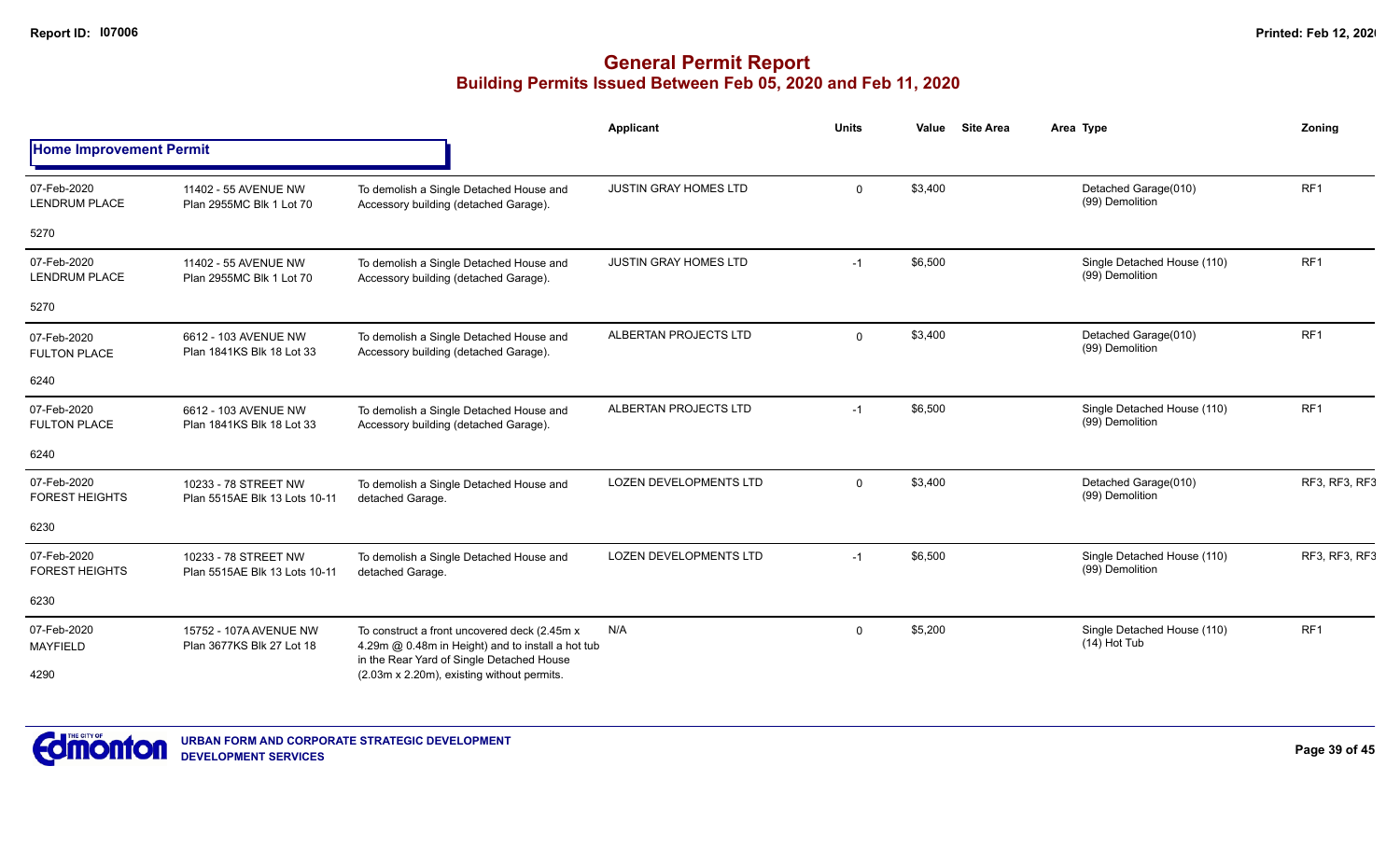|                                      |                                                       |                                                                                                                                                | <b>Applicant</b>              | <b>Units</b> | <b>Site Area</b><br>Value | Area Type                                      | <b>Zoning</b>        |
|--------------------------------------|-------------------------------------------------------|------------------------------------------------------------------------------------------------------------------------------------------------|-------------------------------|--------------|---------------------------|------------------------------------------------|----------------------|
| <b>Home Improvement Permit</b>       |                                                       |                                                                                                                                                |                               |              |                           |                                                |                      |
| 07-Feb-2020<br><b>LENDRUM PLACE</b>  | 11402 - 55 AVENUE NW<br>Plan 2955MC Blk 1 Lot 70      | To demolish a Single Detached House and<br>Accessory building (detached Garage).                                                               | <b>JUSTIN GRAY HOMES LTD</b>  | $\Omega$     | \$3,400                   | Detached Garage(010)<br>(99) Demolition        | RF <sub>1</sub>      |
| 5270                                 |                                                       |                                                                                                                                                |                               |              |                           |                                                |                      |
| 07-Feb-2020<br><b>LENDRUM PLACE</b>  | 11402 - 55 AVENUE NW<br>Plan 2955MC Blk 1 Lot 70      | To demolish a Single Detached House and<br>Accessory building (detached Garage).                                                               | <b>JUSTIN GRAY HOMES LTD</b>  | $-1$         | \$6,500                   | Single Detached House (110)<br>(99) Demolition | RF1                  |
| 5270                                 |                                                       |                                                                                                                                                |                               |              |                           |                                                |                      |
| 07-Feb-2020<br><b>FULTON PLACE</b>   | 6612 - 103 AVENUE NW<br>Plan 1841KS Blk 18 Lot 33     | To demolish a Single Detached House and<br>Accessory building (detached Garage).                                                               | ALBERTAN PROJECTS LTD         | $\Omega$     | \$3,400                   | Detached Garage(010)<br>(99) Demolition        | RF1                  |
| 6240                                 |                                                       |                                                                                                                                                |                               |              |                           |                                                |                      |
| 07-Feb-2020<br><b>FULTON PLACE</b>   | 6612 - 103 AVENUE NW<br>Plan 1841KS Blk 18 Lot 33     | To demolish a Single Detached House and<br>Accessory building (detached Garage).                                                               | <b>ALBERTAN PROJECTS LTD</b>  | $-1$         | \$6,500                   | Single Detached House (110)<br>(99) Demolition | RF1                  |
| 6240                                 |                                                       |                                                                                                                                                |                               |              |                           |                                                |                      |
| 07-Feb-2020<br><b>FOREST HEIGHTS</b> | 10233 - 78 STREET NW<br>Plan 5515AE Blk 13 Lots 10-11 | To demolish a Single Detached House and<br>detached Garage.                                                                                    | <b>LOZEN DEVELOPMENTS LTD</b> | $\Omega$     | \$3,400                   | Detached Garage(010)<br>(99) Demolition        | RF3, RF3, RF3        |
| 6230                                 |                                                       |                                                                                                                                                |                               |              |                           |                                                |                      |
| 07-Feb-2020<br><b>FOREST HEIGHTS</b> | 10233 - 78 STREET NW<br>Plan 5515AE Blk 13 Lots 10-11 | To demolish a Single Detached House and<br>detached Garage.                                                                                    | <b>LOZEN DEVELOPMENTS LTD</b> | $-1$         | \$6,500                   | Single Detached House (110)<br>(99) Demolition | <b>RF3, RF3, RF3</b> |
| 6230                                 |                                                       |                                                                                                                                                |                               |              |                           |                                                |                      |
| 07-Feb-2020<br><b>MAYFIELD</b>       | 15752 - 107A AVENUE NW<br>Plan 3677KS Blk 27 Lot 18   | To construct a front uncovered deck (2.45m x<br>4.29m @ 0.48m in Height) and to install a hot tub<br>in the Rear Yard of Single Detached House | N/A                           | $\Omega$     | \$5,200                   | Single Detached House (110)<br>$(14)$ Hot Tub  | RF1                  |
| 4290                                 |                                                       | (2.03m x 2.20m), existing without permits.                                                                                                     |                               |              |                           |                                                |                      |

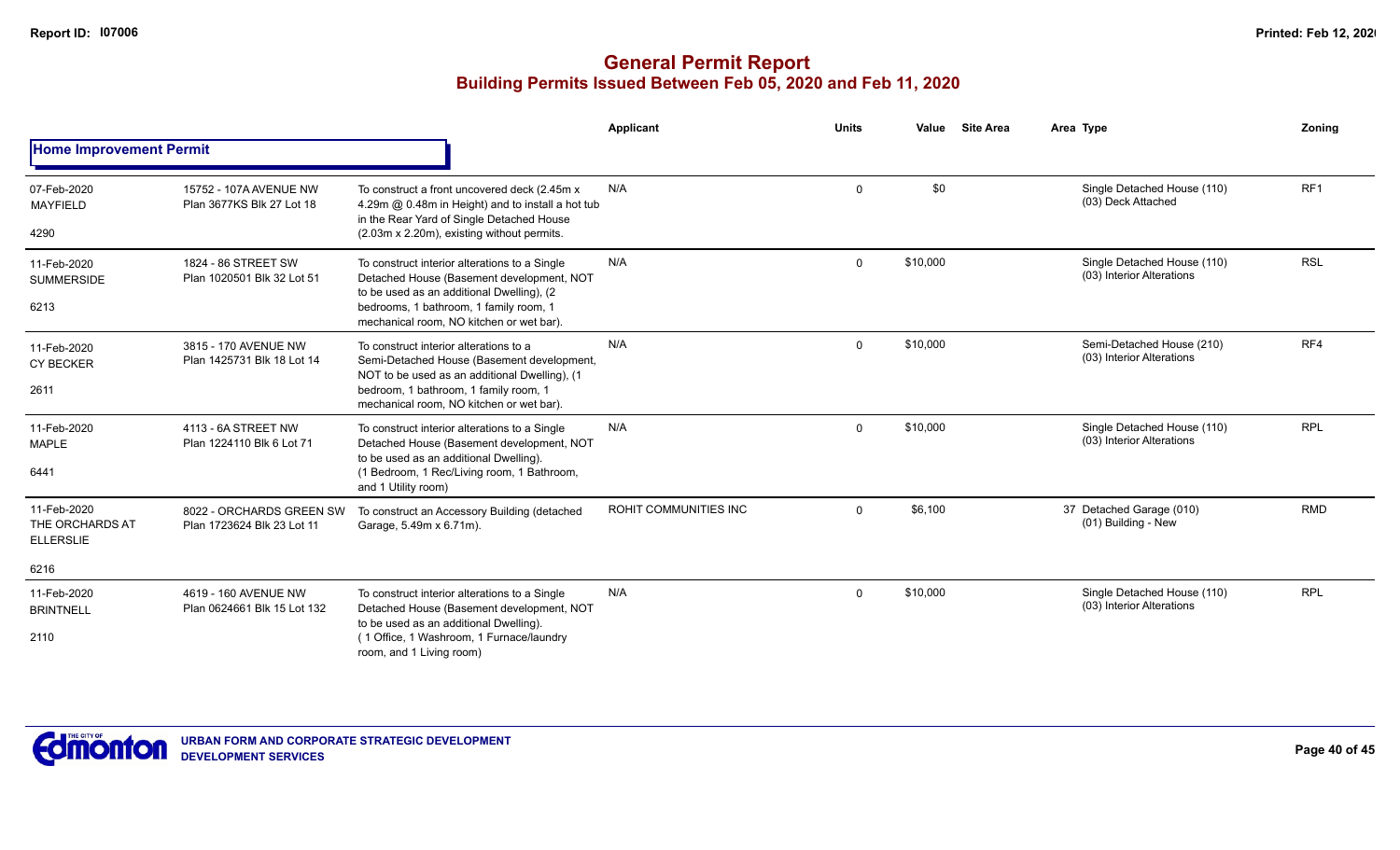|                                                    |                                                        |                                                                                                                                                                                                                               | Applicant             | <b>Units</b> | Value    | <b>Site Area</b> | Area Type                                                | Zoning          |
|----------------------------------------------------|--------------------------------------------------------|-------------------------------------------------------------------------------------------------------------------------------------------------------------------------------------------------------------------------------|-----------------------|--------------|----------|------------------|----------------------------------------------------------|-----------------|
| <b>Home Improvement Permit</b>                     |                                                        |                                                                                                                                                                                                                               |                       |              |          |                  |                                                          |                 |
| 07-Feb-2020<br><b>MAYFIELD</b><br>4290             | 15752 - 107A AVENUE NW<br>Plan 3677KS Blk 27 Lot 18    | To construct a front uncovered deck (2.45m x<br>4.29m @ 0.48m in Height) and to install a hot tub<br>in the Rear Yard of Single Detached House<br>(2.03m x 2.20m), existing without permits.                                  | N/A                   | $\Omega$     | \$0      |                  | Single Detached House (110)<br>(03) Deck Attached        | RF <sub>1</sub> |
| 11-Feb-2020<br><b>SUMMERSIDE</b><br>6213           | 1824 - 86 STREET SW<br>Plan 1020501 Blk 32 Lot 51      | To construct interior alterations to a Single<br>Detached House (Basement development, NOT<br>to be used as an additional Dwelling), (2<br>bedrooms, 1 bathroom, 1 family room, 1<br>mechanical room, NO kitchen or wet bar). | N/A                   | $\Omega$     | \$10,000 |                  | Single Detached House (110)<br>(03) Interior Alterations | <b>RSL</b>      |
| 11-Feb-2020<br><b>CY BECKER</b><br>2611            | 3815 - 170 AVENUE NW<br>Plan 1425731 Blk 18 Lot 14     | To construct interior alterations to a<br>Semi-Detached House (Basement development,<br>NOT to be used as an additional Dwelling), (1<br>bedroom, 1 bathroom, 1 family room, 1<br>mechanical room, NO kitchen or wet bar).    | N/A                   | $\Omega$     | \$10,000 |                  | Semi-Detached House (210)<br>(03) Interior Alterations   | RF4             |
| 11-Feb-2020<br><b>MAPLE</b><br>6441                | 4113 - 6A STREET NW<br>Plan 1224110 Blk 6 Lot 71       | To construct interior alterations to a Single<br>Detached House (Basement development, NOT<br>to be used as an additional Dwelling).<br>(1 Bedroom, 1 Rec/Living room, 1 Bathroom,<br>and 1 Utility room)                     | N/A                   | $\Omega$     | \$10,000 |                  | Single Detached House (110)<br>(03) Interior Alterations | <b>RPL</b>      |
| 11-Feb-2020<br>THE ORCHARDS AT<br><b>ELLERSLIE</b> | 8022 - ORCHARDS GREEN SW<br>Plan 1723624 Blk 23 Lot 11 | To construct an Accessory Building (detached<br>Garage, 5.49m x 6.71m).                                                                                                                                                       | ROHIT COMMUNITIES INC | $\Omega$     | \$6,100  |                  | 37 Detached Garage (010)<br>(01) Building - New          | <b>RMD</b>      |
| 6216                                               |                                                        |                                                                                                                                                                                                                               |                       |              |          |                  |                                                          |                 |
| 11-Feb-2020<br><b>BRINTNELL</b>                    | 4619 - 160 AVENUE NW<br>Plan 0624661 Blk 15 Lot 132    | To construct interior alterations to a Single<br>Detached House (Basement development, NOT<br>to be used as an additional Dwelling).                                                                                          | N/A                   | $\Omega$     | \$10,000 |                  | Single Detached House (110)<br>(03) Interior Alterations | <b>RPL</b>      |
| 2110                                               |                                                        | (1 Office, 1 Washroom, 1 Furnace/laundry<br>room, and 1 Living room)                                                                                                                                                          |                       |              |          |                  |                                                          |                 |

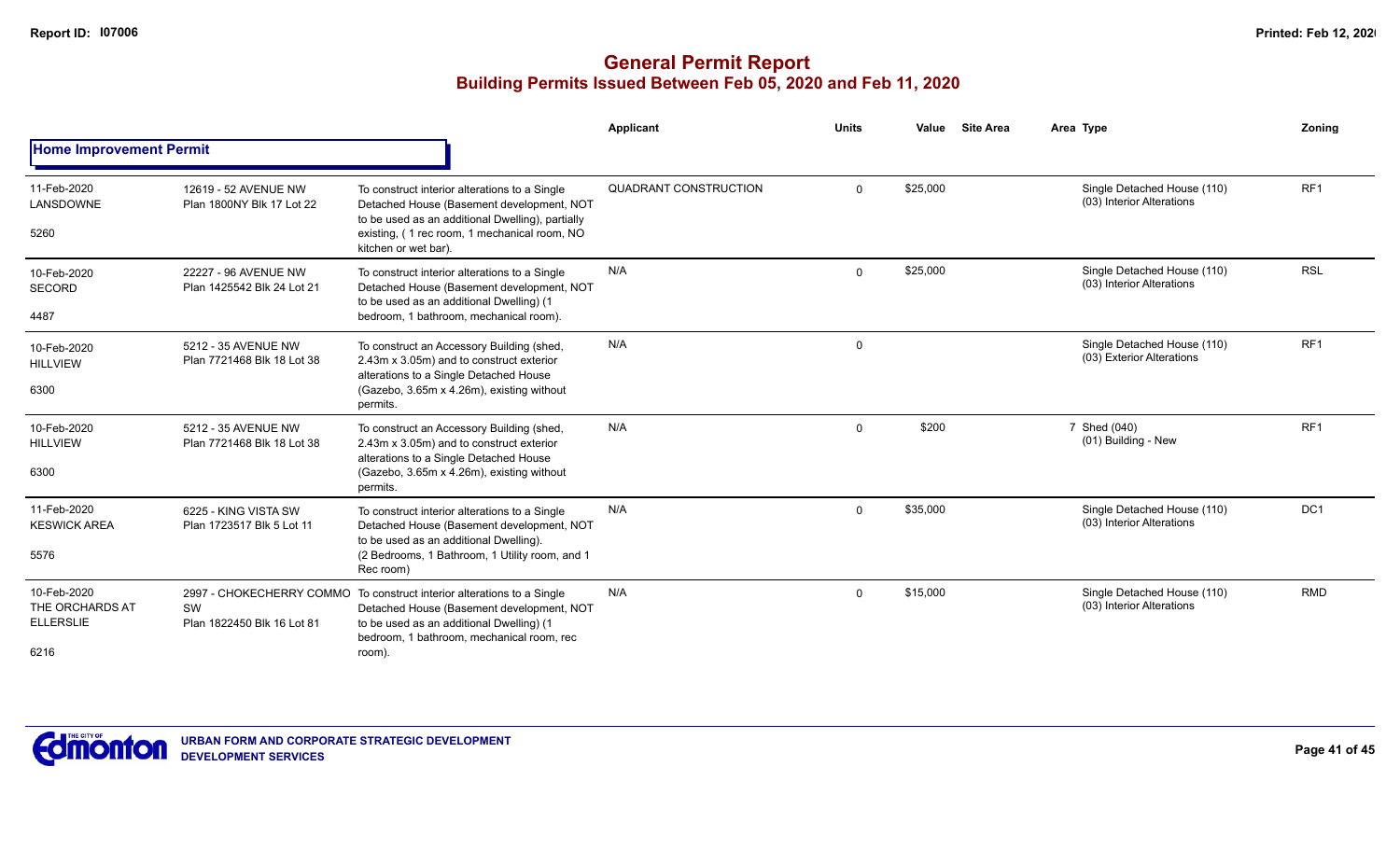|                                                            |                                                              |                                                                                                                                                                                                                        | Applicant             | <b>Units</b> | Value    | <b>Site Area</b> | Area Type                                                | Zoning          |
|------------------------------------------------------------|--------------------------------------------------------------|------------------------------------------------------------------------------------------------------------------------------------------------------------------------------------------------------------------------|-----------------------|--------------|----------|------------------|----------------------------------------------------------|-----------------|
| <b>Home Improvement Permit</b>                             |                                                              |                                                                                                                                                                                                                        |                       |              |          |                  |                                                          |                 |
| 11-Feb-2020<br>LANSDOWNE<br>5260                           | 12619 - 52 AVENUE NW<br>Plan 1800NY Blk 17 Lot 22            | To construct interior alterations to a Single<br>Detached House (Basement development, NOT<br>to be used as an additional Dwelling), partially<br>existing, (1 rec room, 1 mechanical room, NO<br>kitchen or wet bar). | QUADRANT CONSTRUCTION | $\Omega$     | \$25,000 |                  | Single Detached House (110)<br>(03) Interior Alterations | RF <sub>1</sub> |
| 10-Feb-2020<br><b>SECORD</b><br>4487                       | 22227 - 96 AVENUE NW<br>Plan 1425542 Blk 24 Lot 21           | To construct interior alterations to a Single<br>Detached House (Basement development, NOT<br>to be used as an additional Dwelling) (1<br>bedroom, 1 bathroom, mechanical room).                                       | N/A                   | $\Omega$     | \$25,000 |                  | Single Detached House (110)<br>(03) Interior Alterations | <b>RSL</b>      |
| 10-Feb-2020<br><b>HILLVIEW</b><br>6300                     | 5212 - 35 AVENUE NW<br>Plan 7721468 Blk 18 Lot 38            | To construct an Accessory Building (shed,<br>2.43m x 3.05m) and to construct exterior<br>alterations to a Single Detached House<br>(Gazebo, 3.65m x 4.26m), existing without<br>permits.                               | N/A                   | $\Omega$     |          |                  | Single Detached House (110)<br>(03) Exterior Alterations | RF <sub>1</sub> |
| 10-Feb-2020<br><b>HILLVIEW</b><br>6300                     | 5212 - 35 AVENUE NW<br>Plan 7721468 Blk 18 Lot 38            | To construct an Accessory Building (shed,<br>2.43m x 3.05m) and to construct exterior<br>alterations to a Single Detached House<br>(Gazebo, 3.65m x 4.26m), existing without<br>permits.                               | N/A                   | $\Omega$     | \$200    |                  | 7 Shed (040)<br>(01) Building - New                      | RF <sub>1</sub> |
| 11-Feb-2020<br><b>KESWICK AREA</b><br>5576                 | 6225 - KING VISTA SW<br>Plan 1723517 Blk 5 Lot 11            | To construct interior alterations to a Single<br>Detached House (Basement development, NOT<br>to be used as an additional Dwelling).<br>(2 Bedrooms, 1 Bathroom, 1 Utility room, and 1<br>Rec room)                    | N/A                   | $\Omega$     | \$35,000 |                  | Single Detached House (110)<br>(03) Interior Alterations | DC <sub>1</sub> |
| 10-Feb-2020<br>THE ORCHARDS AT<br><b>ELLERSLIE</b><br>6216 | 2997 - CHOKECHERRY COMMO<br>SW<br>Plan 1822450 Blk 16 Lot 81 | To construct interior alterations to a Single<br>Detached House (Basement development, NOT<br>to be used as an additional Dwelling) (1<br>bedroom. 1 bathroom. mechanical room. rec<br>room).                          | N/A                   | 0            | \$15,000 |                  | Single Detached House (110)<br>(03) Interior Alterations | <b>RMD</b>      |

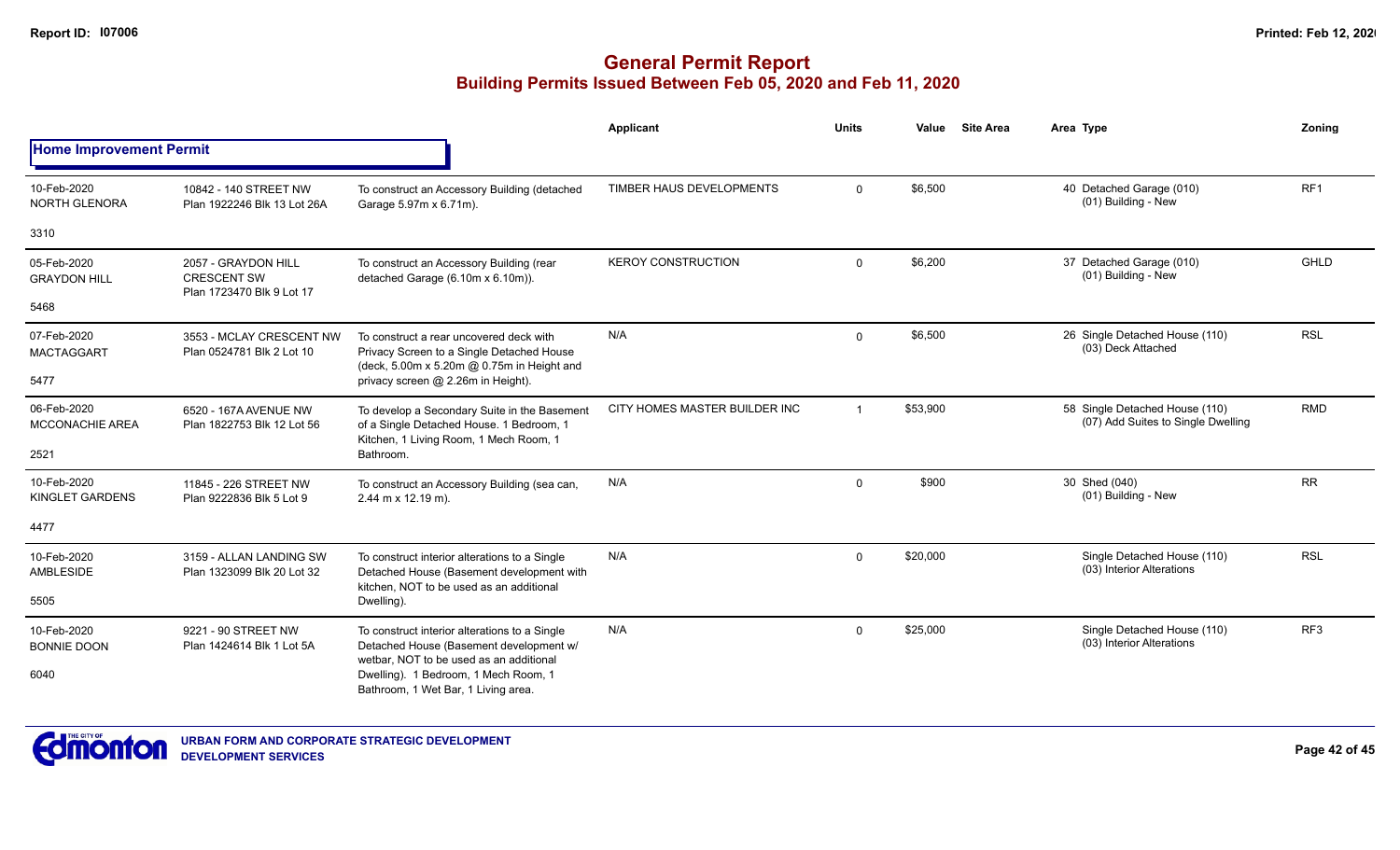|                                       |                                                       |                                                                                                                                        | Applicant                     | <b>Units</b>   | Value    | <b>Site Area</b> | Area Type                                                            | Zonina          |
|---------------------------------------|-------------------------------------------------------|----------------------------------------------------------------------------------------------------------------------------------------|-------------------------------|----------------|----------|------------------|----------------------------------------------------------------------|-----------------|
| <b>Home Improvement Permit</b>        |                                                       |                                                                                                                                        |                               |                |          |                  |                                                                      |                 |
| 10-Feb-2020<br>NORTH GLENORA          | 10842 - 140 STREET NW<br>Plan 1922246 Blk 13 Lot 26A  | To construct an Accessory Building (detached<br>Garage 5.97m x 6.71m).                                                                 | TIMBER HAUS DEVELOPMENTS      | 0              | \$6,500  |                  | 40 Detached Garage (010)<br>(01) Building - New                      | RF <sub>1</sub> |
| 3310                                  |                                                       |                                                                                                                                        |                               |                |          |                  |                                                                      |                 |
| 05-Feb-2020<br><b>GRAYDON HILL</b>    | 2057 - GRAYDON HILL<br><b>CRESCENT SW</b>             | To construct an Accessory Building (rear<br>detached Garage (6.10m x 6.10m)).                                                          | <b>KEROY CONSTRUCTION</b>     | $\mathbf 0$    | \$6,200  |                  | 37 Detached Garage (010)<br>(01) Building - New                      | <b>GHLD</b>     |
| 5468                                  | Plan 1723470 Blk 9 Lot 17                             |                                                                                                                                        |                               |                |          |                  |                                                                      |                 |
| 07-Feb-2020<br><b>MACTAGGART</b>      | 3553 - MCLAY CRESCENT NW<br>Plan 0524781 Blk 2 Lot 10 | To construct a rear uncovered deck with<br>Privacy Screen to a Single Detached House<br>(deck, 5.00m x 5.20m @ 0.75m in Height and     | N/A                           | 0              | \$6,500  |                  | 26 Single Detached House (110)<br>(03) Deck Attached                 | <b>RSL</b>      |
| 5477                                  |                                                       | privacy screen @ 2.26m in Height).                                                                                                     |                               |                |          |                  |                                                                      |                 |
| 06-Feb-2020<br><b>MCCONACHIE AREA</b> | 6520 - 167A AVENUE NW<br>Plan 1822753 Blk 12 Lot 56   | To develop a Secondary Suite in the Basement<br>of a Single Detached House. 1 Bedroom, 1                                               | CITY HOMES MASTER BUILDER INC | $\overline{1}$ | \$53,900 |                  | 58 Single Detached House (110)<br>(07) Add Suites to Single Dwelling | <b>RMD</b>      |
| 2521                                  |                                                       | Kitchen, 1 Living Room, 1 Mech Room, 1<br>Bathroom.                                                                                    |                               |                |          |                  |                                                                      |                 |
| 10-Feb-2020<br>KINGLET GARDENS        | 11845 - 226 STREET NW<br>Plan 9222836 Blk 5 Lot 9     | To construct an Accessory Building (sea can,<br>2.44 m x 12.19 m).                                                                     | N/A                           | $\mathbf 0$    | \$900    |                  | 30 Shed (040)<br>(01) Building - New                                 | <b>RR</b>       |
| 4477                                  |                                                       |                                                                                                                                        |                               |                |          |                  |                                                                      |                 |
| 10-Feb-2020<br>AMBLESIDE              | 3159 - ALLAN LANDING SW<br>Plan 1323099 Blk 20 Lot 32 | To construct interior alterations to a Single<br>Detached House (Basement development with<br>kitchen. NOT to be used as an additional | N/A                           | 0              | \$20,000 |                  | Single Detached House (110)<br>(03) Interior Alterations             | <b>RSL</b>      |
| 5505                                  |                                                       | Dwelling).                                                                                                                             |                               |                |          |                  |                                                                      |                 |
| 10-Feb-2020<br><b>BONNIE DOON</b>     | 9221 - 90 STREET NW<br>Plan 1424614 Blk 1 Lot 5A      | To construct interior alterations to a Single<br>Detached House (Basement development w/                                               | N/A                           | $\mathbf 0$    | \$25,000 |                  | Single Detached House (110)<br>(03) Interior Alterations             | RF <sub>3</sub> |
| 6040                                  |                                                       | wetbar. NOT to be used as an additional<br>Dwelling). 1 Bedroom, 1 Mech Room, 1<br>Bathroom, 1 Wet Bar, 1 Living area.                 |                               |                |          |                  |                                                                      |                 |

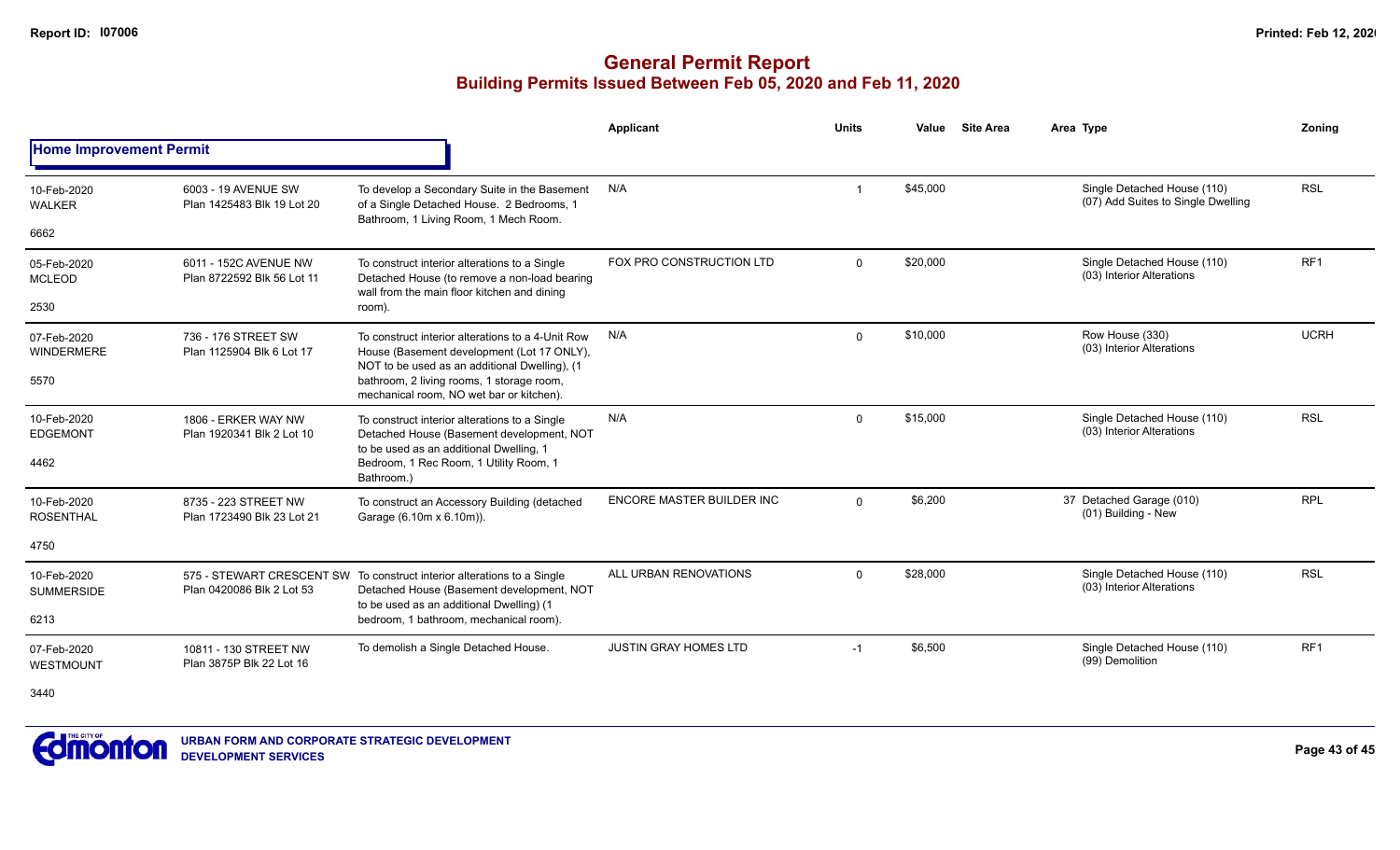# **General Permit Report Building Permits Issued Between Feb 05, 2020 and Feb 11, 2020**

|                                  |                                                        |                                                                                                                                                  | <b>Applicant</b>                 | <b>Units</b> | Value    | <b>Site Area</b> | Area Type                                                         | Zonina          |
|----------------------------------|--------------------------------------------------------|--------------------------------------------------------------------------------------------------------------------------------------------------|----------------------------------|--------------|----------|------------------|-------------------------------------------------------------------|-----------------|
| <b>Home Improvement Permit</b>   |                                                        |                                                                                                                                                  |                                  |              |          |                  |                                                                   |                 |
| 10-Feb-2020<br><b>WALKER</b>     | 6003 - 19 AVENUE SW<br>Plan 1425483 Blk 19 Lot 20      | To develop a Secondary Suite in the Basement<br>of a Single Detached House. 2 Bedrooms, 1<br>Bathroom, 1 Living Room, 1 Mech Room.               | N/A                              |              | \$45,000 |                  | Single Detached House (110)<br>(07) Add Suites to Single Dwelling | <b>RSL</b>      |
| 6662                             |                                                        |                                                                                                                                                  |                                  |              |          |                  |                                                                   |                 |
| 05-Feb-2020<br><b>MCLEOD</b>     | 6011 - 152C AVENUE NW<br>Plan 8722592 Blk 56 Lot 11    | To construct interior alterations to a Single<br>Detached House (to remove a non-load bearing<br>wall from the main floor kitchen and dining     | FOX PRO CONSTRUCTION LTD         | $\mathbf{0}$ | \$20,000 |                  | Single Detached House (110)<br>(03) Interior Alterations          | RF <sub>1</sub> |
| 2530                             |                                                        | room).                                                                                                                                           |                                  |              |          |                  |                                                                   |                 |
| 07-Feb-2020<br><b>WINDERMERE</b> | 736 - 176 STREET SW<br>Plan 1125904 Blk 6 Lot 17       | To construct interior alterations to a 4-Unit Row<br>House (Basement development (Lot 17 ONLY),<br>NOT to be used as an additional Dwelling), (1 | N/A                              | 0            | \$10,000 |                  | Row House (330)<br>(03) Interior Alterations                      | <b>UCRH</b>     |
| 5570                             |                                                        | bathroom, 2 living rooms, 1 storage room,<br>mechanical room, NO wet bar or kitchen).                                                            |                                  |              |          |                  |                                                                   |                 |
| 10-Feb-2020<br><b>EDGEMONT</b>   | 1806 - ERKER WAY NW<br>Plan 1920341 Blk 2 Lot 10       | To construct interior alterations to a Single<br>Detached House (Basement development, NOT<br>to be used as an additional Dwelling, 1            | N/A                              | $\mathbf{0}$ | \$15,000 |                  | Single Detached House (110)<br>(03) Interior Alterations          | <b>RSL</b>      |
| 4462                             |                                                        | Bedroom, 1 Rec Room, 1 Utility Room, 1<br>Bathroom.)                                                                                             |                                  |              |          |                  |                                                                   |                 |
| 10-Feb-2020<br><b>ROSENTHAL</b>  | 8735 - 223 STREET NW<br>Plan 1723490 Blk 23 Lot 21     | To construct an Accessory Building (detached<br>Garage (6.10m x 6.10m)).                                                                         | <b>ENCORE MASTER BUILDER INC</b> | $\Omega$     | \$6,200  |                  | 37 Detached Garage (010)<br>(01) Building - New                   | <b>RPL</b>      |
| 4750                             |                                                        |                                                                                                                                                  |                                  |              |          |                  |                                                                   |                 |
| 10-Feb-2020<br><b>SUMMERSIDE</b> | 575 - STEWART CRESCENT SW<br>Plan 0420086 Blk 2 Lot 53 | To construct interior alterations to a Single<br>Detached House (Basement development, NOT<br>to be used as an additional Dwelling) (1           | ALL URBAN RENOVATIONS            | $\Omega$     | \$28,000 |                  | Single Detached House (110)<br>(03) Interior Alterations          | <b>RSL</b>      |
| 6213                             |                                                        | bedroom, 1 bathroom, mechanical room).                                                                                                           |                                  |              |          |                  |                                                                   |                 |
| 07-Feb-2020<br>WESTMOUNT         | 10811 - 130 STREET NW<br>Plan 3875P Blk 22 Lot 16      | To demolish a Single Detached House.                                                                                                             | <b>JUSTIN GRAY HOMES LTD</b>     | $-1$         | \$6,500  |                  | Single Detached House (110)<br>(99) Demolition                    | RF <sub>1</sub> |

3440

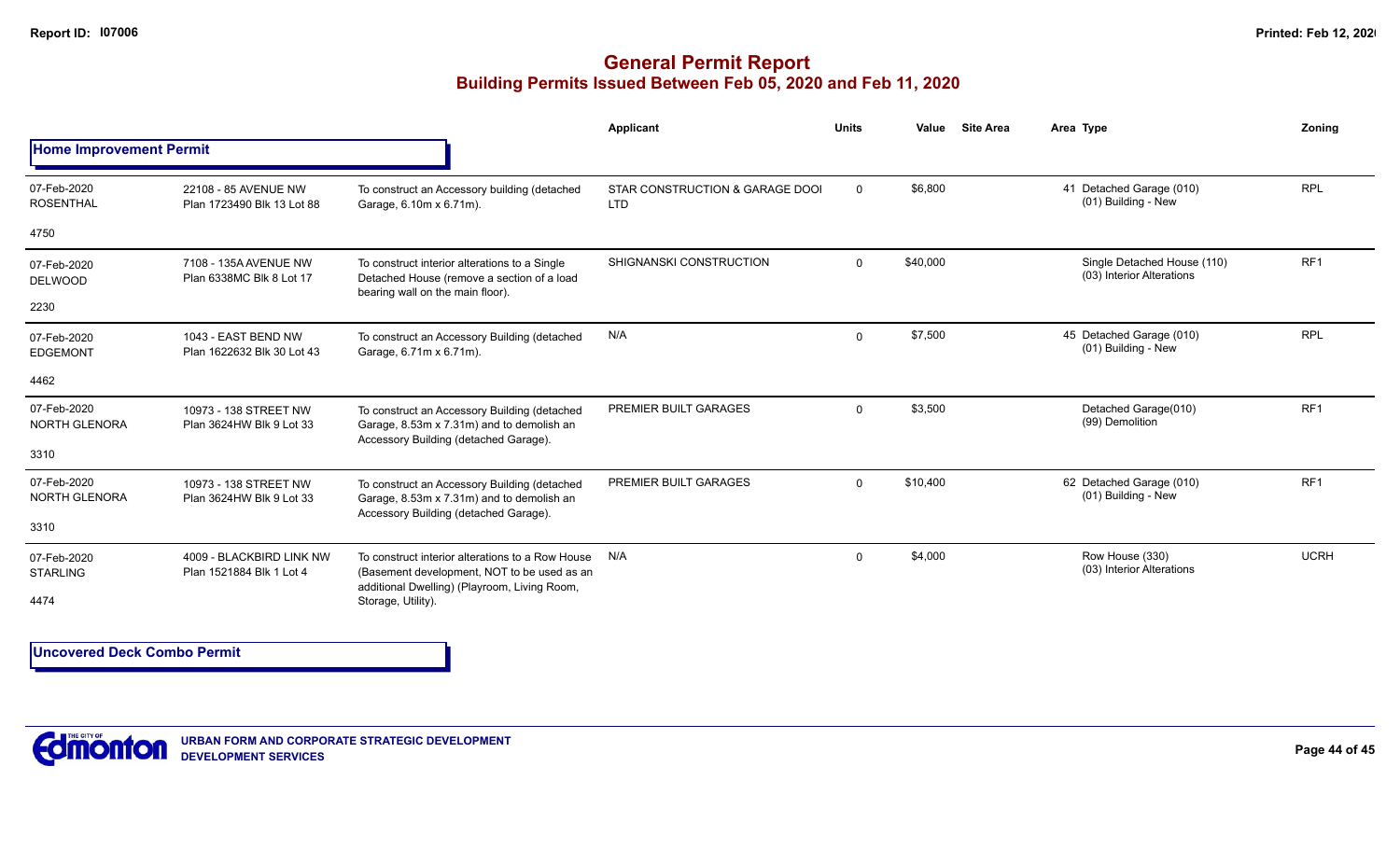## **General Permit Report Building Permits Issued Between Feb 05, 2020 and Feb 11, 2020**

|                                     |                                                      |                                                                                                                                    | Applicant                                     | <b>Units</b> | Value    | <b>Site Area</b> | Area Type                                                | Zonina          |
|-------------------------------------|------------------------------------------------------|------------------------------------------------------------------------------------------------------------------------------------|-----------------------------------------------|--------------|----------|------------------|----------------------------------------------------------|-----------------|
| <b>Home Improvement Permit</b>      |                                                      |                                                                                                                                    |                                               |              |          |                  |                                                          |                 |
| 07-Feb-2020<br><b>ROSENTHAL</b>     | 22108 - 85 AVENUE NW<br>Plan 1723490 Blk 13 Lot 88   | To construct an Accessory building (detached<br>Garage, 6.10m x 6.71m).                                                            | STAR CONSTRUCTION & GARAGE DOOI<br><b>LTD</b> | $\mathbf 0$  | \$6,800  |                  | 41 Detached Garage (010)<br>(01) Building - New          | <b>RPL</b>      |
| 4750                                |                                                      |                                                                                                                                    |                                               |              |          |                  |                                                          |                 |
| 07-Feb-2020<br><b>DELWOOD</b>       | 7108 - 135A AVENUE NW<br>Plan 6338MC Blk 8 Lot 17    | To construct interior alterations to a Single<br>Detached House (remove a section of a load<br>bearing wall on the main floor).    | SHIGNANSKI CONSTRUCTION                       | $\Omega$     | \$40,000 |                  | Single Detached House (110)<br>(03) Interior Alterations | RF <sub>1</sub> |
| 2230                                |                                                      |                                                                                                                                    |                                               |              |          |                  |                                                          |                 |
| 07-Feb-2020<br><b>EDGEMONT</b>      | 1043 - EAST BEND NW<br>Plan 1622632 Blk 30 Lot 43    | To construct an Accessory Building (detached<br>Garage, 6.71m x 6.71m).                                                            | N/A                                           | $\mathbf 0$  | \$7,500  |                  | 45 Detached Garage (010)<br>(01) Building - New          | <b>RPL</b>      |
| 4462                                |                                                      |                                                                                                                                    |                                               |              |          |                  |                                                          |                 |
| 07-Feb-2020<br>NORTH GLENORA        | 10973 - 138 STREET NW<br>Plan 3624HW Blk 9 Lot 33    | To construct an Accessory Building (detached<br>Garage, 8.53m x 7.31m) and to demolish an                                          | PREMIER BUILT GARAGES                         | $\Omega$     | \$3,500  |                  | Detached Garage(010)<br>(99) Demolition                  | RF <sub>1</sub> |
| 3310                                |                                                      | Accessory Building (detached Garage).                                                                                              |                                               |              |          |                  |                                                          |                 |
| 07-Feb-2020<br><b>NORTH GLENORA</b> | 10973 - 138 STREET NW<br>Plan 3624HW Blk 9 Lot 33    | To construct an Accessory Building (detached<br>Garage, 8.53m x 7.31m) and to demolish an<br>Accessory Building (detached Garage). | PREMIER BUILT GARAGES                         | $\mathbf 0$  | \$10,400 |                  | 62 Detached Garage (010)<br>(01) Building - New          | RF <sub>1</sub> |
| 3310                                |                                                      |                                                                                                                                    |                                               |              |          |                  |                                                          |                 |
| 07-Feb-2020<br><b>STARLING</b>      | 4009 - BLACKBIRD LINK NW<br>Plan 1521884 Blk 1 Lot 4 | To construct interior alterations to a Row House<br>(Basement development, NOT to be used as an                                    | N/A                                           | $\mathbf 0$  | \$4,000  |                  | Row House (330)<br>(03) Interior Alterations             | <b>UCRH</b>     |
| 4474                                |                                                      | additional Dwelling) (Playroom, Living Room,<br>Storage, Utility).                                                                 |                                               |              |          |                  |                                                          |                 |

**Uncovered Deck Combo Permit**